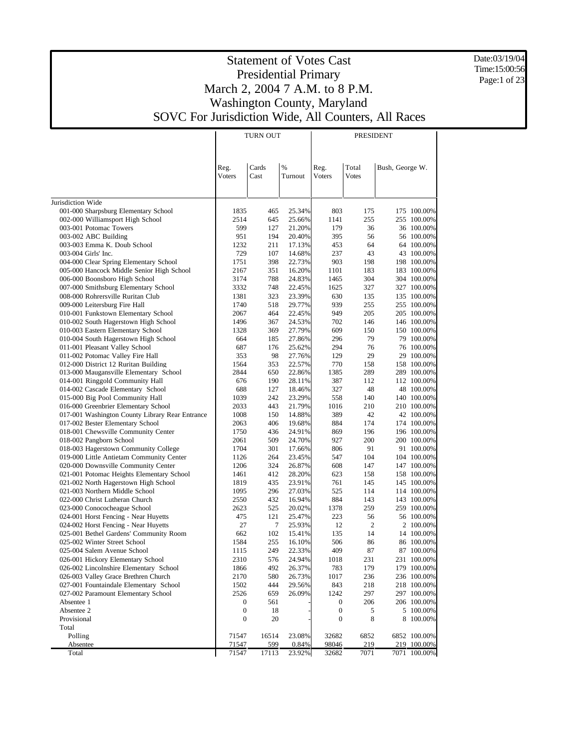Date:03/19/04 Time:15:00:56 Page:1 of 23

| %<br>Total<br>Cards<br>Reg.<br>Bush, George W.<br>Reg.<br>Voters<br>Cast<br><b>Votes</b><br>Turnout<br>Voters<br>001-000 Sharpsburg Elementary School<br>1835<br>465<br>25.34%<br>803<br>175<br>175 100.00%<br>255<br>002-000 Williamsport High School<br>2514<br>645<br>25.66%<br>1141<br>255 100.00%<br>599<br>21.20%<br>179<br>36<br>36 100.00%<br>003-001 Potomac Towers<br>127<br>20.40%<br>395<br>003-002 ABC Building<br>951<br>194<br>56<br>56 100.00%<br>64<br>64 100.00%<br>003-003 Emma K. Doub School<br>1232<br>211<br>17.13%<br>453<br>237<br>43<br>003-004 Girls' Inc.<br>729<br>107<br>14.68%<br>43 100.00%<br>903<br>198<br>198 100.00%<br>004-000 Clear Spring Elementary School<br>1751<br>398<br>22.73%<br>16.20%<br>005-000 Hancock Middle Senior High School<br>2167<br>351<br>1101<br>183<br>183 100.00%<br>24.83%<br>304<br>304 100.00%<br>006-000 Boonsboro High School<br>3174<br>788<br>1465<br>327<br>007-000 Smithsburg Elementary School<br>3332<br>748<br>22.45%<br>1625<br>327 100.00%<br>23.39%<br>630<br>135 100.00%<br>008-000 Rohrersville Ruritan Club<br>1381<br>323<br>135<br>939<br>255<br>009-000 Leitersburg Fire Hall<br>1740<br>518<br>29.77%<br>255 100.00%<br>949<br>205<br>205 100.00%<br>010-001 Funkstown Elementary School<br>2067<br>464<br>22.45%<br>146<br>010-002 South Hagerstown High School<br>1496<br>367<br>24.53%<br>702<br>146 100.00%<br>27.79%<br>609<br>150<br>150 100.00%<br>010-003 Eastern Elementary School<br>1328<br>369<br>79<br>010-004 South Hagerstown High School<br>185<br>27.86%<br>296<br>79 100.00%<br>664<br>294<br>76<br>76 100.00%<br>011-001 Pleasant Valley School<br>687<br>176<br>25.62%<br>98<br>129<br>29<br>29 100.00%<br>011-002 Potomac Valley Fire Hall<br>353<br>27.76%<br>012-000 District 12 Ruritan Building<br>22.57%<br>770<br>158 100.00%<br>1564<br>353<br>158<br>289<br>013-000 Maugansville Elementary School<br>22.86%<br>1385<br>289 100.00%<br>2844<br>650<br>014-001 Ringgold Community Hall<br>190<br>28.11%<br>387<br>112<br>112 100.00%<br>676<br>327<br>48<br>014-002 Cascade Elementary School<br>688<br>127<br>18.46%<br>48 100.00%<br>015-000 Big Pool Community Hall<br>23.29%<br>140<br>1039<br>242<br>558<br>140 100.00%<br>210<br>016-000 Greenbrier Elementary School<br>2033<br>443<br>21.79%<br>1016<br>210 100.00%<br>42<br>017-001 Washington County Library Rear Entrance<br>1008<br>150<br>14.88%<br>389<br>42 100.00%<br>174<br>017-002 Bester Elementary School<br>406<br>19.68%<br>884<br>174 100.00%<br>2063<br>018-001 Chewsville Community Center<br>196<br>436<br>24.91%<br>869<br>196 100.00%<br>1750<br>200<br>018-002 Pangborn School<br>509<br>24.70%<br>927<br>200 100.00%<br>2061<br>91<br>018-003 Hagerstown Community College<br>1704<br>301<br>17.66%<br>806<br>91 100.00%<br>019-000 Little Antietam Community Center<br>104<br>264<br>23.45%<br>547<br>104 100.00%<br>1126<br>020-000 Downsville Community Center<br>147<br>1206<br>324<br>26.87%<br>608<br>147 100.00%<br>021-001 Potomac Heights Elementary School<br>412<br>28.20%<br>623<br>158<br>158 100.00%<br>1461<br>021-002 North Hagerstown High School<br>435<br>23.91%<br>761<br>145<br>145 100.00%<br>1819<br>525<br>114<br>021-003 Northern Middle School<br>1095<br>296<br>27.03%<br>114 100.00%<br>143<br>022-000 Christ Lutheran Church<br>2550<br>432<br>16.94%<br>884<br>143 100.00%<br>259<br>023-000 Conococheague School<br>2623<br>525<br>20.02%<br>1378<br>259 100.00%<br>121<br>56<br>024-001 Horst Fencing - Near Huyetts<br>475<br>25.47%<br>223<br>56 100.00%<br>27<br>12<br>$\overline{c}$<br>024-002 Horst Fencing - Near Huyetts<br>7<br>25.93%<br>2 100.00%<br>102<br>14<br>025-001 Bethel Gardens' Community Room<br>662<br>15.41%<br>135<br>14 100.00%<br>506<br>025-002 Winter Street School<br>255<br>16.10%<br>86<br>86 100.00%<br>1584<br>249<br>409<br>87<br>87 100.00%<br>025-004 Salem Avenue School<br>22.33%<br>1115<br>026-001 Hickory Elementary School<br>2310<br>576<br>24.94%<br>1018<br>231<br>231 100.00%<br>026-002 Lincolnshire Elementary School<br>179<br>179 100.00%<br>1866<br>492<br>26.37%<br>783<br>026-003 Valley Grace Brethren Church<br>2170<br>26.73%<br>1017<br>236<br>236 100.00%<br>580<br>027-001 Fountaindale Elementary School<br>1502<br>29.56%<br>843<br>218<br>218 100.00%<br>444<br>297<br>027-002 Paramount Elementary School<br>1242<br>297 100.00%<br>2526<br>659<br>26.09%<br>Absentee 1<br>206<br>206 100.00%<br>$\boldsymbol{0}$<br>561<br>$\mathbf{0}$<br>Absentee 2<br>$\boldsymbol{0}$<br>5 100.00%<br>18<br>$\boldsymbol{0}$<br>5<br>Provisional<br>$\boldsymbol{0}$<br>20<br>$\boldsymbol{0}$<br>8<br>8 100.00%<br>Total<br>Polling<br>71547<br>16514<br>23.08%<br>32682<br>6852 100.00%<br>6852<br>Absentee<br>71547<br>219_100.00%<br>599<br>0.84%<br>98046<br><u>219</u><br>7071<br>7071 100.00%<br>Total<br>71547<br>17113<br>23.92%<br>32682 |                   | <b>TURN OUT</b> |  | PRESIDENT |  |
|---------------------------------------------------------------------------------------------------------------------------------------------------------------------------------------------------------------------------------------------------------------------------------------------------------------------------------------------------------------------------------------------------------------------------------------------------------------------------------------------------------------------------------------------------------------------------------------------------------------------------------------------------------------------------------------------------------------------------------------------------------------------------------------------------------------------------------------------------------------------------------------------------------------------------------------------------------------------------------------------------------------------------------------------------------------------------------------------------------------------------------------------------------------------------------------------------------------------------------------------------------------------------------------------------------------------------------------------------------------------------------------------------------------------------------------------------------------------------------------------------------------------------------------------------------------------------------------------------------------------------------------------------------------------------------------------------------------------------------------------------------------------------------------------------------------------------------------------------------------------------------------------------------------------------------------------------------------------------------------------------------------------------------------------------------------------------------------------------------------------------------------------------------------------------------------------------------------------------------------------------------------------------------------------------------------------------------------------------------------------------------------------------------------------------------------------------------------------------------------------------------------------------------------------------------------------------------------------------------------------------------------------------------------------------------------------------------------------------------------------------------------------------------------------------------------------------------------------------------------------------------------------------------------------------------------------------------------------------------------------------------------------------------------------------------------------------------------------------------------------------------------------------------------------------------------------------------------------------------------------------------------------------------------------------------------------------------------------------------------------------------------------------------------------------------------------------------------------------------------------------------------------------------------------------------------------------------------------------------------------------------------------------------------------------------------------------------------------------------------------------------------------------------------------------------------------------------------------------------------------------------------------------------------------------------------------------------------------------------------------------------------------------------------------------------------------------------------------------------------------------------------------------------------------------------------------------------------------------------------------------------------------------------------------------------------------------------------------------------------------------------------------------------------------------------------------------------------------------------------------------------------------------------------------------------------------------------------------------------------------------------------------------------------------------------------------------------------------------------------------------------------------------------------------------------------------------------------------------------------------------------------------------------------------------------------|-------------------|-----------------|--|-----------|--|
|                                                                                                                                                                                                                                                                                                                                                                                                                                                                                                                                                                                                                                                                                                                                                                                                                                                                                                                                                                                                                                                                                                                                                                                                                                                                                                                                                                                                                                                                                                                                                                                                                                                                                                                                                                                                                                                                                                                                                                                                                                                                                                                                                                                                                                                                                                                                                                                                                                                                                                                                                                                                                                                                                                                                                                                                                                                                                                                                                                                                                                                                                                                                                                                                                                                                                                                                                                                                                                                                                                                                                                                                                                                                                                                                                                                                                                                                                                                                                                                                                                                                                                                                                                                                                                                                                                                                                                                                                                                                                                                                                                                                                                                                                                                                                                                                                                                                                                                                       |                   |                 |  |           |  |
|                                                                                                                                                                                                                                                                                                                                                                                                                                                                                                                                                                                                                                                                                                                                                                                                                                                                                                                                                                                                                                                                                                                                                                                                                                                                                                                                                                                                                                                                                                                                                                                                                                                                                                                                                                                                                                                                                                                                                                                                                                                                                                                                                                                                                                                                                                                                                                                                                                                                                                                                                                                                                                                                                                                                                                                                                                                                                                                                                                                                                                                                                                                                                                                                                                                                                                                                                                                                                                                                                                                                                                                                                                                                                                                                                                                                                                                                                                                                                                                                                                                                                                                                                                                                                                                                                                                                                                                                                                                                                                                                                                                                                                                                                                                                                                                                                                                                                                                                       | Jurisdiction Wide |                 |  |           |  |
|                                                                                                                                                                                                                                                                                                                                                                                                                                                                                                                                                                                                                                                                                                                                                                                                                                                                                                                                                                                                                                                                                                                                                                                                                                                                                                                                                                                                                                                                                                                                                                                                                                                                                                                                                                                                                                                                                                                                                                                                                                                                                                                                                                                                                                                                                                                                                                                                                                                                                                                                                                                                                                                                                                                                                                                                                                                                                                                                                                                                                                                                                                                                                                                                                                                                                                                                                                                                                                                                                                                                                                                                                                                                                                                                                                                                                                                                                                                                                                                                                                                                                                                                                                                                                                                                                                                                                                                                                                                                                                                                                                                                                                                                                                                                                                                                                                                                                                                                       |                   |                 |  |           |  |
|                                                                                                                                                                                                                                                                                                                                                                                                                                                                                                                                                                                                                                                                                                                                                                                                                                                                                                                                                                                                                                                                                                                                                                                                                                                                                                                                                                                                                                                                                                                                                                                                                                                                                                                                                                                                                                                                                                                                                                                                                                                                                                                                                                                                                                                                                                                                                                                                                                                                                                                                                                                                                                                                                                                                                                                                                                                                                                                                                                                                                                                                                                                                                                                                                                                                                                                                                                                                                                                                                                                                                                                                                                                                                                                                                                                                                                                                                                                                                                                                                                                                                                                                                                                                                                                                                                                                                                                                                                                                                                                                                                                                                                                                                                                                                                                                                                                                                                                                       |                   |                 |  |           |  |
|                                                                                                                                                                                                                                                                                                                                                                                                                                                                                                                                                                                                                                                                                                                                                                                                                                                                                                                                                                                                                                                                                                                                                                                                                                                                                                                                                                                                                                                                                                                                                                                                                                                                                                                                                                                                                                                                                                                                                                                                                                                                                                                                                                                                                                                                                                                                                                                                                                                                                                                                                                                                                                                                                                                                                                                                                                                                                                                                                                                                                                                                                                                                                                                                                                                                                                                                                                                                                                                                                                                                                                                                                                                                                                                                                                                                                                                                                                                                                                                                                                                                                                                                                                                                                                                                                                                                                                                                                                                                                                                                                                                                                                                                                                                                                                                                                                                                                                                                       |                   |                 |  |           |  |
|                                                                                                                                                                                                                                                                                                                                                                                                                                                                                                                                                                                                                                                                                                                                                                                                                                                                                                                                                                                                                                                                                                                                                                                                                                                                                                                                                                                                                                                                                                                                                                                                                                                                                                                                                                                                                                                                                                                                                                                                                                                                                                                                                                                                                                                                                                                                                                                                                                                                                                                                                                                                                                                                                                                                                                                                                                                                                                                                                                                                                                                                                                                                                                                                                                                                                                                                                                                                                                                                                                                                                                                                                                                                                                                                                                                                                                                                                                                                                                                                                                                                                                                                                                                                                                                                                                                                                                                                                                                                                                                                                                                                                                                                                                                                                                                                                                                                                                                                       |                   |                 |  |           |  |
|                                                                                                                                                                                                                                                                                                                                                                                                                                                                                                                                                                                                                                                                                                                                                                                                                                                                                                                                                                                                                                                                                                                                                                                                                                                                                                                                                                                                                                                                                                                                                                                                                                                                                                                                                                                                                                                                                                                                                                                                                                                                                                                                                                                                                                                                                                                                                                                                                                                                                                                                                                                                                                                                                                                                                                                                                                                                                                                                                                                                                                                                                                                                                                                                                                                                                                                                                                                                                                                                                                                                                                                                                                                                                                                                                                                                                                                                                                                                                                                                                                                                                                                                                                                                                                                                                                                                                                                                                                                                                                                                                                                                                                                                                                                                                                                                                                                                                                                                       |                   |                 |  |           |  |
|                                                                                                                                                                                                                                                                                                                                                                                                                                                                                                                                                                                                                                                                                                                                                                                                                                                                                                                                                                                                                                                                                                                                                                                                                                                                                                                                                                                                                                                                                                                                                                                                                                                                                                                                                                                                                                                                                                                                                                                                                                                                                                                                                                                                                                                                                                                                                                                                                                                                                                                                                                                                                                                                                                                                                                                                                                                                                                                                                                                                                                                                                                                                                                                                                                                                                                                                                                                                                                                                                                                                                                                                                                                                                                                                                                                                                                                                                                                                                                                                                                                                                                                                                                                                                                                                                                                                                                                                                                                                                                                                                                                                                                                                                                                                                                                                                                                                                                                                       |                   |                 |  |           |  |
|                                                                                                                                                                                                                                                                                                                                                                                                                                                                                                                                                                                                                                                                                                                                                                                                                                                                                                                                                                                                                                                                                                                                                                                                                                                                                                                                                                                                                                                                                                                                                                                                                                                                                                                                                                                                                                                                                                                                                                                                                                                                                                                                                                                                                                                                                                                                                                                                                                                                                                                                                                                                                                                                                                                                                                                                                                                                                                                                                                                                                                                                                                                                                                                                                                                                                                                                                                                                                                                                                                                                                                                                                                                                                                                                                                                                                                                                                                                                                                                                                                                                                                                                                                                                                                                                                                                                                                                                                                                                                                                                                                                                                                                                                                                                                                                                                                                                                                                                       |                   |                 |  |           |  |
|                                                                                                                                                                                                                                                                                                                                                                                                                                                                                                                                                                                                                                                                                                                                                                                                                                                                                                                                                                                                                                                                                                                                                                                                                                                                                                                                                                                                                                                                                                                                                                                                                                                                                                                                                                                                                                                                                                                                                                                                                                                                                                                                                                                                                                                                                                                                                                                                                                                                                                                                                                                                                                                                                                                                                                                                                                                                                                                                                                                                                                                                                                                                                                                                                                                                                                                                                                                                                                                                                                                                                                                                                                                                                                                                                                                                                                                                                                                                                                                                                                                                                                                                                                                                                                                                                                                                                                                                                                                                                                                                                                                                                                                                                                                                                                                                                                                                                                                                       |                   |                 |  |           |  |
|                                                                                                                                                                                                                                                                                                                                                                                                                                                                                                                                                                                                                                                                                                                                                                                                                                                                                                                                                                                                                                                                                                                                                                                                                                                                                                                                                                                                                                                                                                                                                                                                                                                                                                                                                                                                                                                                                                                                                                                                                                                                                                                                                                                                                                                                                                                                                                                                                                                                                                                                                                                                                                                                                                                                                                                                                                                                                                                                                                                                                                                                                                                                                                                                                                                                                                                                                                                                                                                                                                                                                                                                                                                                                                                                                                                                                                                                                                                                                                                                                                                                                                                                                                                                                                                                                                                                                                                                                                                                                                                                                                                                                                                                                                                                                                                                                                                                                                                                       |                   |                 |  |           |  |
|                                                                                                                                                                                                                                                                                                                                                                                                                                                                                                                                                                                                                                                                                                                                                                                                                                                                                                                                                                                                                                                                                                                                                                                                                                                                                                                                                                                                                                                                                                                                                                                                                                                                                                                                                                                                                                                                                                                                                                                                                                                                                                                                                                                                                                                                                                                                                                                                                                                                                                                                                                                                                                                                                                                                                                                                                                                                                                                                                                                                                                                                                                                                                                                                                                                                                                                                                                                                                                                                                                                                                                                                                                                                                                                                                                                                                                                                                                                                                                                                                                                                                                                                                                                                                                                                                                                                                                                                                                                                                                                                                                                                                                                                                                                                                                                                                                                                                                                                       |                   |                 |  |           |  |
|                                                                                                                                                                                                                                                                                                                                                                                                                                                                                                                                                                                                                                                                                                                                                                                                                                                                                                                                                                                                                                                                                                                                                                                                                                                                                                                                                                                                                                                                                                                                                                                                                                                                                                                                                                                                                                                                                                                                                                                                                                                                                                                                                                                                                                                                                                                                                                                                                                                                                                                                                                                                                                                                                                                                                                                                                                                                                                                                                                                                                                                                                                                                                                                                                                                                                                                                                                                                                                                                                                                                                                                                                                                                                                                                                                                                                                                                                                                                                                                                                                                                                                                                                                                                                                                                                                                                                                                                                                                                                                                                                                                                                                                                                                                                                                                                                                                                                                                                       |                   |                 |  |           |  |
|                                                                                                                                                                                                                                                                                                                                                                                                                                                                                                                                                                                                                                                                                                                                                                                                                                                                                                                                                                                                                                                                                                                                                                                                                                                                                                                                                                                                                                                                                                                                                                                                                                                                                                                                                                                                                                                                                                                                                                                                                                                                                                                                                                                                                                                                                                                                                                                                                                                                                                                                                                                                                                                                                                                                                                                                                                                                                                                                                                                                                                                                                                                                                                                                                                                                                                                                                                                                                                                                                                                                                                                                                                                                                                                                                                                                                                                                                                                                                                                                                                                                                                                                                                                                                                                                                                                                                                                                                                                                                                                                                                                                                                                                                                                                                                                                                                                                                                                                       |                   |                 |  |           |  |
|                                                                                                                                                                                                                                                                                                                                                                                                                                                                                                                                                                                                                                                                                                                                                                                                                                                                                                                                                                                                                                                                                                                                                                                                                                                                                                                                                                                                                                                                                                                                                                                                                                                                                                                                                                                                                                                                                                                                                                                                                                                                                                                                                                                                                                                                                                                                                                                                                                                                                                                                                                                                                                                                                                                                                                                                                                                                                                                                                                                                                                                                                                                                                                                                                                                                                                                                                                                                                                                                                                                                                                                                                                                                                                                                                                                                                                                                                                                                                                                                                                                                                                                                                                                                                                                                                                                                                                                                                                                                                                                                                                                                                                                                                                                                                                                                                                                                                                                                       |                   |                 |  |           |  |
|                                                                                                                                                                                                                                                                                                                                                                                                                                                                                                                                                                                                                                                                                                                                                                                                                                                                                                                                                                                                                                                                                                                                                                                                                                                                                                                                                                                                                                                                                                                                                                                                                                                                                                                                                                                                                                                                                                                                                                                                                                                                                                                                                                                                                                                                                                                                                                                                                                                                                                                                                                                                                                                                                                                                                                                                                                                                                                                                                                                                                                                                                                                                                                                                                                                                                                                                                                                                                                                                                                                                                                                                                                                                                                                                                                                                                                                                                                                                                                                                                                                                                                                                                                                                                                                                                                                                                                                                                                                                                                                                                                                                                                                                                                                                                                                                                                                                                                                                       |                   |                 |  |           |  |
|                                                                                                                                                                                                                                                                                                                                                                                                                                                                                                                                                                                                                                                                                                                                                                                                                                                                                                                                                                                                                                                                                                                                                                                                                                                                                                                                                                                                                                                                                                                                                                                                                                                                                                                                                                                                                                                                                                                                                                                                                                                                                                                                                                                                                                                                                                                                                                                                                                                                                                                                                                                                                                                                                                                                                                                                                                                                                                                                                                                                                                                                                                                                                                                                                                                                                                                                                                                                                                                                                                                                                                                                                                                                                                                                                                                                                                                                                                                                                                                                                                                                                                                                                                                                                                                                                                                                                                                                                                                                                                                                                                                                                                                                                                                                                                                                                                                                                                                                       |                   |                 |  |           |  |
|                                                                                                                                                                                                                                                                                                                                                                                                                                                                                                                                                                                                                                                                                                                                                                                                                                                                                                                                                                                                                                                                                                                                                                                                                                                                                                                                                                                                                                                                                                                                                                                                                                                                                                                                                                                                                                                                                                                                                                                                                                                                                                                                                                                                                                                                                                                                                                                                                                                                                                                                                                                                                                                                                                                                                                                                                                                                                                                                                                                                                                                                                                                                                                                                                                                                                                                                                                                                                                                                                                                                                                                                                                                                                                                                                                                                                                                                                                                                                                                                                                                                                                                                                                                                                                                                                                                                                                                                                                                                                                                                                                                                                                                                                                                                                                                                                                                                                                                                       |                   |                 |  |           |  |
|                                                                                                                                                                                                                                                                                                                                                                                                                                                                                                                                                                                                                                                                                                                                                                                                                                                                                                                                                                                                                                                                                                                                                                                                                                                                                                                                                                                                                                                                                                                                                                                                                                                                                                                                                                                                                                                                                                                                                                                                                                                                                                                                                                                                                                                                                                                                                                                                                                                                                                                                                                                                                                                                                                                                                                                                                                                                                                                                                                                                                                                                                                                                                                                                                                                                                                                                                                                                                                                                                                                                                                                                                                                                                                                                                                                                                                                                                                                                                                                                                                                                                                                                                                                                                                                                                                                                                                                                                                                                                                                                                                                                                                                                                                                                                                                                                                                                                                                                       |                   |                 |  |           |  |
|                                                                                                                                                                                                                                                                                                                                                                                                                                                                                                                                                                                                                                                                                                                                                                                                                                                                                                                                                                                                                                                                                                                                                                                                                                                                                                                                                                                                                                                                                                                                                                                                                                                                                                                                                                                                                                                                                                                                                                                                                                                                                                                                                                                                                                                                                                                                                                                                                                                                                                                                                                                                                                                                                                                                                                                                                                                                                                                                                                                                                                                                                                                                                                                                                                                                                                                                                                                                                                                                                                                                                                                                                                                                                                                                                                                                                                                                                                                                                                                                                                                                                                                                                                                                                                                                                                                                                                                                                                                                                                                                                                                                                                                                                                                                                                                                                                                                                                                                       |                   |                 |  |           |  |
|                                                                                                                                                                                                                                                                                                                                                                                                                                                                                                                                                                                                                                                                                                                                                                                                                                                                                                                                                                                                                                                                                                                                                                                                                                                                                                                                                                                                                                                                                                                                                                                                                                                                                                                                                                                                                                                                                                                                                                                                                                                                                                                                                                                                                                                                                                                                                                                                                                                                                                                                                                                                                                                                                                                                                                                                                                                                                                                                                                                                                                                                                                                                                                                                                                                                                                                                                                                                                                                                                                                                                                                                                                                                                                                                                                                                                                                                                                                                                                                                                                                                                                                                                                                                                                                                                                                                                                                                                                                                                                                                                                                                                                                                                                                                                                                                                                                                                                                                       |                   |                 |  |           |  |
|                                                                                                                                                                                                                                                                                                                                                                                                                                                                                                                                                                                                                                                                                                                                                                                                                                                                                                                                                                                                                                                                                                                                                                                                                                                                                                                                                                                                                                                                                                                                                                                                                                                                                                                                                                                                                                                                                                                                                                                                                                                                                                                                                                                                                                                                                                                                                                                                                                                                                                                                                                                                                                                                                                                                                                                                                                                                                                                                                                                                                                                                                                                                                                                                                                                                                                                                                                                                                                                                                                                                                                                                                                                                                                                                                                                                                                                                                                                                                                                                                                                                                                                                                                                                                                                                                                                                                                                                                                                                                                                                                                                                                                                                                                                                                                                                                                                                                                                                       |                   |                 |  |           |  |
|                                                                                                                                                                                                                                                                                                                                                                                                                                                                                                                                                                                                                                                                                                                                                                                                                                                                                                                                                                                                                                                                                                                                                                                                                                                                                                                                                                                                                                                                                                                                                                                                                                                                                                                                                                                                                                                                                                                                                                                                                                                                                                                                                                                                                                                                                                                                                                                                                                                                                                                                                                                                                                                                                                                                                                                                                                                                                                                                                                                                                                                                                                                                                                                                                                                                                                                                                                                                                                                                                                                                                                                                                                                                                                                                                                                                                                                                                                                                                                                                                                                                                                                                                                                                                                                                                                                                                                                                                                                                                                                                                                                                                                                                                                                                                                                                                                                                                                                                       |                   |                 |  |           |  |
|                                                                                                                                                                                                                                                                                                                                                                                                                                                                                                                                                                                                                                                                                                                                                                                                                                                                                                                                                                                                                                                                                                                                                                                                                                                                                                                                                                                                                                                                                                                                                                                                                                                                                                                                                                                                                                                                                                                                                                                                                                                                                                                                                                                                                                                                                                                                                                                                                                                                                                                                                                                                                                                                                                                                                                                                                                                                                                                                                                                                                                                                                                                                                                                                                                                                                                                                                                                                                                                                                                                                                                                                                                                                                                                                                                                                                                                                                                                                                                                                                                                                                                                                                                                                                                                                                                                                                                                                                                                                                                                                                                                                                                                                                                                                                                                                                                                                                                                                       |                   |                 |  |           |  |
|                                                                                                                                                                                                                                                                                                                                                                                                                                                                                                                                                                                                                                                                                                                                                                                                                                                                                                                                                                                                                                                                                                                                                                                                                                                                                                                                                                                                                                                                                                                                                                                                                                                                                                                                                                                                                                                                                                                                                                                                                                                                                                                                                                                                                                                                                                                                                                                                                                                                                                                                                                                                                                                                                                                                                                                                                                                                                                                                                                                                                                                                                                                                                                                                                                                                                                                                                                                                                                                                                                                                                                                                                                                                                                                                                                                                                                                                                                                                                                                                                                                                                                                                                                                                                                                                                                                                                                                                                                                                                                                                                                                                                                                                                                                                                                                                                                                                                                                                       |                   |                 |  |           |  |
|                                                                                                                                                                                                                                                                                                                                                                                                                                                                                                                                                                                                                                                                                                                                                                                                                                                                                                                                                                                                                                                                                                                                                                                                                                                                                                                                                                                                                                                                                                                                                                                                                                                                                                                                                                                                                                                                                                                                                                                                                                                                                                                                                                                                                                                                                                                                                                                                                                                                                                                                                                                                                                                                                                                                                                                                                                                                                                                                                                                                                                                                                                                                                                                                                                                                                                                                                                                                                                                                                                                                                                                                                                                                                                                                                                                                                                                                                                                                                                                                                                                                                                                                                                                                                                                                                                                                                                                                                                                                                                                                                                                                                                                                                                                                                                                                                                                                                                                                       |                   |                 |  |           |  |
|                                                                                                                                                                                                                                                                                                                                                                                                                                                                                                                                                                                                                                                                                                                                                                                                                                                                                                                                                                                                                                                                                                                                                                                                                                                                                                                                                                                                                                                                                                                                                                                                                                                                                                                                                                                                                                                                                                                                                                                                                                                                                                                                                                                                                                                                                                                                                                                                                                                                                                                                                                                                                                                                                                                                                                                                                                                                                                                                                                                                                                                                                                                                                                                                                                                                                                                                                                                                                                                                                                                                                                                                                                                                                                                                                                                                                                                                                                                                                                                                                                                                                                                                                                                                                                                                                                                                                                                                                                                                                                                                                                                                                                                                                                                                                                                                                                                                                                                                       |                   |                 |  |           |  |
|                                                                                                                                                                                                                                                                                                                                                                                                                                                                                                                                                                                                                                                                                                                                                                                                                                                                                                                                                                                                                                                                                                                                                                                                                                                                                                                                                                                                                                                                                                                                                                                                                                                                                                                                                                                                                                                                                                                                                                                                                                                                                                                                                                                                                                                                                                                                                                                                                                                                                                                                                                                                                                                                                                                                                                                                                                                                                                                                                                                                                                                                                                                                                                                                                                                                                                                                                                                                                                                                                                                                                                                                                                                                                                                                                                                                                                                                                                                                                                                                                                                                                                                                                                                                                                                                                                                                                                                                                                                                                                                                                                                                                                                                                                                                                                                                                                                                                                                                       |                   |                 |  |           |  |
|                                                                                                                                                                                                                                                                                                                                                                                                                                                                                                                                                                                                                                                                                                                                                                                                                                                                                                                                                                                                                                                                                                                                                                                                                                                                                                                                                                                                                                                                                                                                                                                                                                                                                                                                                                                                                                                                                                                                                                                                                                                                                                                                                                                                                                                                                                                                                                                                                                                                                                                                                                                                                                                                                                                                                                                                                                                                                                                                                                                                                                                                                                                                                                                                                                                                                                                                                                                                                                                                                                                                                                                                                                                                                                                                                                                                                                                                                                                                                                                                                                                                                                                                                                                                                                                                                                                                                                                                                                                                                                                                                                                                                                                                                                                                                                                                                                                                                                                                       |                   |                 |  |           |  |
|                                                                                                                                                                                                                                                                                                                                                                                                                                                                                                                                                                                                                                                                                                                                                                                                                                                                                                                                                                                                                                                                                                                                                                                                                                                                                                                                                                                                                                                                                                                                                                                                                                                                                                                                                                                                                                                                                                                                                                                                                                                                                                                                                                                                                                                                                                                                                                                                                                                                                                                                                                                                                                                                                                                                                                                                                                                                                                                                                                                                                                                                                                                                                                                                                                                                                                                                                                                                                                                                                                                                                                                                                                                                                                                                                                                                                                                                                                                                                                                                                                                                                                                                                                                                                                                                                                                                                                                                                                                                                                                                                                                                                                                                                                                                                                                                                                                                                                                                       |                   |                 |  |           |  |
|                                                                                                                                                                                                                                                                                                                                                                                                                                                                                                                                                                                                                                                                                                                                                                                                                                                                                                                                                                                                                                                                                                                                                                                                                                                                                                                                                                                                                                                                                                                                                                                                                                                                                                                                                                                                                                                                                                                                                                                                                                                                                                                                                                                                                                                                                                                                                                                                                                                                                                                                                                                                                                                                                                                                                                                                                                                                                                                                                                                                                                                                                                                                                                                                                                                                                                                                                                                                                                                                                                                                                                                                                                                                                                                                                                                                                                                                                                                                                                                                                                                                                                                                                                                                                                                                                                                                                                                                                                                                                                                                                                                                                                                                                                                                                                                                                                                                                                                                       |                   |                 |  |           |  |
|                                                                                                                                                                                                                                                                                                                                                                                                                                                                                                                                                                                                                                                                                                                                                                                                                                                                                                                                                                                                                                                                                                                                                                                                                                                                                                                                                                                                                                                                                                                                                                                                                                                                                                                                                                                                                                                                                                                                                                                                                                                                                                                                                                                                                                                                                                                                                                                                                                                                                                                                                                                                                                                                                                                                                                                                                                                                                                                                                                                                                                                                                                                                                                                                                                                                                                                                                                                                                                                                                                                                                                                                                                                                                                                                                                                                                                                                                                                                                                                                                                                                                                                                                                                                                                                                                                                                                                                                                                                                                                                                                                                                                                                                                                                                                                                                                                                                                                                                       |                   |                 |  |           |  |
|                                                                                                                                                                                                                                                                                                                                                                                                                                                                                                                                                                                                                                                                                                                                                                                                                                                                                                                                                                                                                                                                                                                                                                                                                                                                                                                                                                                                                                                                                                                                                                                                                                                                                                                                                                                                                                                                                                                                                                                                                                                                                                                                                                                                                                                                                                                                                                                                                                                                                                                                                                                                                                                                                                                                                                                                                                                                                                                                                                                                                                                                                                                                                                                                                                                                                                                                                                                                                                                                                                                                                                                                                                                                                                                                                                                                                                                                                                                                                                                                                                                                                                                                                                                                                                                                                                                                                                                                                                                                                                                                                                                                                                                                                                                                                                                                                                                                                                                                       |                   |                 |  |           |  |
|                                                                                                                                                                                                                                                                                                                                                                                                                                                                                                                                                                                                                                                                                                                                                                                                                                                                                                                                                                                                                                                                                                                                                                                                                                                                                                                                                                                                                                                                                                                                                                                                                                                                                                                                                                                                                                                                                                                                                                                                                                                                                                                                                                                                                                                                                                                                                                                                                                                                                                                                                                                                                                                                                                                                                                                                                                                                                                                                                                                                                                                                                                                                                                                                                                                                                                                                                                                                                                                                                                                                                                                                                                                                                                                                                                                                                                                                                                                                                                                                                                                                                                                                                                                                                                                                                                                                                                                                                                                                                                                                                                                                                                                                                                                                                                                                                                                                                                                                       |                   |                 |  |           |  |
|                                                                                                                                                                                                                                                                                                                                                                                                                                                                                                                                                                                                                                                                                                                                                                                                                                                                                                                                                                                                                                                                                                                                                                                                                                                                                                                                                                                                                                                                                                                                                                                                                                                                                                                                                                                                                                                                                                                                                                                                                                                                                                                                                                                                                                                                                                                                                                                                                                                                                                                                                                                                                                                                                                                                                                                                                                                                                                                                                                                                                                                                                                                                                                                                                                                                                                                                                                                                                                                                                                                                                                                                                                                                                                                                                                                                                                                                                                                                                                                                                                                                                                                                                                                                                                                                                                                                                                                                                                                                                                                                                                                                                                                                                                                                                                                                                                                                                                                                       |                   |                 |  |           |  |
|                                                                                                                                                                                                                                                                                                                                                                                                                                                                                                                                                                                                                                                                                                                                                                                                                                                                                                                                                                                                                                                                                                                                                                                                                                                                                                                                                                                                                                                                                                                                                                                                                                                                                                                                                                                                                                                                                                                                                                                                                                                                                                                                                                                                                                                                                                                                                                                                                                                                                                                                                                                                                                                                                                                                                                                                                                                                                                                                                                                                                                                                                                                                                                                                                                                                                                                                                                                                                                                                                                                                                                                                                                                                                                                                                                                                                                                                                                                                                                                                                                                                                                                                                                                                                                                                                                                                                                                                                                                                                                                                                                                                                                                                                                                                                                                                                                                                                                                                       |                   |                 |  |           |  |
|                                                                                                                                                                                                                                                                                                                                                                                                                                                                                                                                                                                                                                                                                                                                                                                                                                                                                                                                                                                                                                                                                                                                                                                                                                                                                                                                                                                                                                                                                                                                                                                                                                                                                                                                                                                                                                                                                                                                                                                                                                                                                                                                                                                                                                                                                                                                                                                                                                                                                                                                                                                                                                                                                                                                                                                                                                                                                                                                                                                                                                                                                                                                                                                                                                                                                                                                                                                                                                                                                                                                                                                                                                                                                                                                                                                                                                                                                                                                                                                                                                                                                                                                                                                                                                                                                                                                                                                                                                                                                                                                                                                                                                                                                                                                                                                                                                                                                                                                       |                   |                 |  |           |  |
|                                                                                                                                                                                                                                                                                                                                                                                                                                                                                                                                                                                                                                                                                                                                                                                                                                                                                                                                                                                                                                                                                                                                                                                                                                                                                                                                                                                                                                                                                                                                                                                                                                                                                                                                                                                                                                                                                                                                                                                                                                                                                                                                                                                                                                                                                                                                                                                                                                                                                                                                                                                                                                                                                                                                                                                                                                                                                                                                                                                                                                                                                                                                                                                                                                                                                                                                                                                                                                                                                                                                                                                                                                                                                                                                                                                                                                                                                                                                                                                                                                                                                                                                                                                                                                                                                                                                                                                                                                                                                                                                                                                                                                                                                                                                                                                                                                                                                                                                       |                   |                 |  |           |  |
|                                                                                                                                                                                                                                                                                                                                                                                                                                                                                                                                                                                                                                                                                                                                                                                                                                                                                                                                                                                                                                                                                                                                                                                                                                                                                                                                                                                                                                                                                                                                                                                                                                                                                                                                                                                                                                                                                                                                                                                                                                                                                                                                                                                                                                                                                                                                                                                                                                                                                                                                                                                                                                                                                                                                                                                                                                                                                                                                                                                                                                                                                                                                                                                                                                                                                                                                                                                                                                                                                                                                                                                                                                                                                                                                                                                                                                                                                                                                                                                                                                                                                                                                                                                                                                                                                                                                                                                                                                                                                                                                                                                                                                                                                                                                                                                                                                                                                                                                       |                   |                 |  |           |  |
|                                                                                                                                                                                                                                                                                                                                                                                                                                                                                                                                                                                                                                                                                                                                                                                                                                                                                                                                                                                                                                                                                                                                                                                                                                                                                                                                                                                                                                                                                                                                                                                                                                                                                                                                                                                                                                                                                                                                                                                                                                                                                                                                                                                                                                                                                                                                                                                                                                                                                                                                                                                                                                                                                                                                                                                                                                                                                                                                                                                                                                                                                                                                                                                                                                                                                                                                                                                                                                                                                                                                                                                                                                                                                                                                                                                                                                                                                                                                                                                                                                                                                                                                                                                                                                                                                                                                                                                                                                                                                                                                                                                                                                                                                                                                                                                                                                                                                                                                       |                   |                 |  |           |  |
|                                                                                                                                                                                                                                                                                                                                                                                                                                                                                                                                                                                                                                                                                                                                                                                                                                                                                                                                                                                                                                                                                                                                                                                                                                                                                                                                                                                                                                                                                                                                                                                                                                                                                                                                                                                                                                                                                                                                                                                                                                                                                                                                                                                                                                                                                                                                                                                                                                                                                                                                                                                                                                                                                                                                                                                                                                                                                                                                                                                                                                                                                                                                                                                                                                                                                                                                                                                                                                                                                                                                                                                                                                                                                                                                                                                                                                                                                                                                                                                                                                                                                                                                                                                                                                                                                                                                                                                                                                                                                                                                                                                                                                                                                                                                                                                                                                                                                                                                       |                   |                 |  |           |  |
|                                                                                                                                                                                                                                                                                                                                                                                                                                                                                                                                                                                                                                                                                                                                                                                                                                                                                                                                                                                                                                                                                                                                                                                                                                                                                                                                                                                                                                                                                                                                                                                                                                                                                                                                                                                                                                                                                                                                                                                                                                                                                                                                                                                                                                                                                                                                                                                                                                                                                                                                                                                                                                                                                                                                                                                                                                                                                                                                                                                                                                                                                                                                                                                                                                                                                                                                                                                                                                                                                                                                                                                                                                                                                                                                                                                                                                                                                                                                                                                                                                                                                                                                                                                                                                                                                                                                                                                                                                                                                                                                                                                                                                                                                                                                                                                                                                                                                                                                       |                   |                 |  |           |  |
|                                                                                                                                                                                                                                                                                                                                                                                                                                                                                                                                                                                                                                                                                                                                                                                                                                                                                                                                                                                                                                                                                                                                                                                                                                                                                                                                                                                                                                                                                                                                                                                                                                                                                                                                                                                                                                                                                                                                                                                                                                                                                                                                                                                                                                                                                                                                                                                                                                                                                                                                                                                                                                                                                                                                                                                                                                                                                                                                                                                                                                                                                                                                                                                                                                                                                                                                                                                                                                                                                                                                                                                                                                                                                                                                                                                                                                                                                                                                                                                                                                                                                                                                                                                                                                                                                                                                                                                                                                                                                                                                                                                                                                                                                                                                                                                                                                                                                                                                       |                   |                 |  |           |  |
|                                                                                                                                                                                                                                                                                                                                                                                                                                                                                                                                                                                                                                                                                                                                                                                                                                                                                                                                                                                                                                                                                                                                                                                                                                                                                                                                                                                                                                                                                                                                                                                                                                                                                                                                                                                                                                                                                                                                                                                                                                                                                                                                                                                                                                                                                                                                                                                                                                                                                                                                                                                                                                                                                                                                                                                                                                                                                                                                                                                                                                                                                                                                                                                                                                                                                                                                                                                                                                                                                                                                                                                                                                                                                                                                                                                                                                                                                                                                                                                                                                                                                                                                                                                                                                                                                                                                                                                                                                                                                                                                                                                                                                                                                                                                                                                                                                                                                                                                       |                   |                 |  |           |  |
|                                                                                                                                                                                                                                                                                                                                                                                                                                                                                                                                                                                                                                                                                                                                                                                                                                                                                                                                                                                                                                                                                                                                                                                                                                                                                                                                                                                                                                                                                                                                                                                                                                                                                                                                                                                                                                                                                                                                                                                                                                                                                                                                                                                                                                                                                                                                                                                                                                                                                                                                                                                                                                                                                                                                                                                                                                                                                                                                                                                                                                                                                                                                                                                                                                                                                                                                                                                                                                                                                                                                                                                                                                                                                                                                                                                                                                                                                                                                                                                                                                                                                                                                                                                                                                                                                                                                                                                                                                                                                                                                                                                                                                                                                                                                                                                                                                                                                                                                       |                   |                 |  |           |  |
|                                                                                                                                                                                                                                                                                                                                                                                                                                                                                                                                                                                                                                                                                                                                                                                                                                                                                                                                                                                                                                                                                                                                                                                                                                                                                                                                                                                                                                                                                                                                                                                                                                                                                                                                                                                                                                                                                                                                                                                                                                                                                                                                                                                                                                                                                                                                                                                                                                                                                                                                                                                                                                                                                                                                                                                                                                                                                                                                                                                                                                                                                                                                                                                                                                                                                                                                                                                                                                                                                                                                                                                                                                                                                                                                                                                                                                                                                                                                                                                                                                                                                                                                                                                                                                                                                                                                                                                                                                                                                                                                                                                                                                                                                                                                                                                                                                                                                                                                       |                   |                 |  |           |  |
|                                                                                                                                                                                                                                                                                                                                                                                                                                                                                                                                                                                                                                                                                                                                                                                                                                                                                                                                                                                                                                                                                                                                                                                                                                                                                                                                                                                                                                                                                                                                                                                                                                                                                                                                                                                                                                                                                                                                                                                                                                                                                                                                                                                                                                                                                                                                                                                                                                                                                                                                                                                                                                                                                                                                                                                                                                                                                                                                                                                                                                                                                                                                                                                                                                                                                                                                                                                                                                                                                                                                                                                                                                                                                                                                                                                                                                                                                                                                                                                                                                                                                                                                                                                                                                                                                                                                                                                                                                                                                                                                                                                                                                                                                                                                                                                                                                                                                                                                       |                   |                 |  |           |  |
|                                                                                                                                                                                                                                                                                                                                                                                                                                                                                                                                                                                                                                                                                                                                                                                                                                                                                                                                                                                                                                                                                                                                                                                                                                                                                                                                                                                                                                                                                                                                                                                                                                                                                                                                                                                                                                                                                                                                                                                                                                                                                                                                                                                                                                                                                                                                                                                                                                                                                                                                                                                                                                                                                                                                                                                                                                                                                                                                                                                                                                                                                                                                                                                                                                                                                                                                                                                                                                                                                                                                                                                                                                                                                                                                                                                                                                                                                                                                                                                                                                                                                                                                                                                                                                                                                                                                                                                                                                                                                                                                                                                                                                                                                                                                                                                                                                                                                                                                       |                   |                 |  |           |  |
|                                                                                                                                                                                                                                                                                                                                                                                                                                                                                                                                                                                                                                                                                                                                                                                                                                                                                                                                                                                                                                                                                                                                                                                                                                                                                                                                                                                                                                                                                                                                                                                                                                                                                                                                                                                                                                                                                                                                                                                                                                                                                                                                                                                                                                                                                                                                                                                                                                                                                                                                                                                                                                                                                                                                                                                                                                                                                                                                                                                                                                                                                                                                                                                                                                                                                                                                                                                                                                                                                                                                                                                                                                                                                                                                                                                                                                                                                                                                                                                                                                                                                                                                                                                                                                                                                                                                                                                                                                                                                                                                                                                                                                                                                                                                                                                                                                                                                                                                       |                   |                 |  |           |  |
|                                                                                                                                                                                                                                                                                                                                                                                                                                                                                                                                                                                                                                                                                                                                                                                                                                                                                                                                                                                                                                                                                                                                                                                                                                                                                                                                                                                                                                                                                                                                                                                                                                                                                                                                                                                                                                                                                                                                                                                                                                                                                                                                                                                                                                                                                                                                                                                                                                                                                                                                                                                                                                                                                                                                                                                                                                                                                                                                                                                                                                                                                                                                                                                                                                                                                                                                                                                                                                                                                                                                                                                                                                                                                                                                                                                                                                                                                                                                                                                                                                                                                                                                                                                                                                                                                                                                                                                                                                                                                                                                                                                                                                                                                                                                                                                                                                                                                                                                       |                   |                 |  |           |  |
|                                                                                                                                                                                                                                                                                                                                                                                                                                                                                                                                                                                                                                                                                                                                                                                                                                                                                                                                                                                                                                                                                                                                                                                                                                                                                                                                                                                                                                                                                                                                                                                                                                                                                                                                                                                                                                                                                                                                                                                                                                                                                                                                                                                                                                                                                                                                                                                                                                                                                                                                                                                                                                                                                                                                                                                                                                                                                                                                                                                                                                                                                                                                                                                                                                                                                                                                                                                                                                                                                                                                                                                                                                                                                                                                                                                                                                                                                                                                                                                                                                                                                                                                                                                                                                                                                                                                                                                                                                                                                                                                                                                                                                                                                                                                                                                                                                                                                                                                       |                   |                 |  |           |  |
|                                                                                                                                                                                                                                                                                                                                                                                                                                                                                                                                                                                                                                                                                                                                                                                                                                                                                                                                                                                                                                                                                                                                                                                                                                                                                                                                                                                                                                                                                                                                                                                                                                                                                                                                                                                                                                                                                                                                                                                                                                                                                                                                                                                                                                                                                                                                                                                                                                                                                                                                                                                                                                                                                                                                                                                                                                                                                                                                                                                                                                                                                                                                                                                                                                                                                                                                                                                                                                                                                                                                                                                                                                                                                                                                                                                                                                                                                                                                                                                                                                                                                                                                                                                                                                                                                                                                                                                                                                                                                                                                                                                                                                                                                                                                                                                                                                                                                                                                       |                   |                 |  |           |  |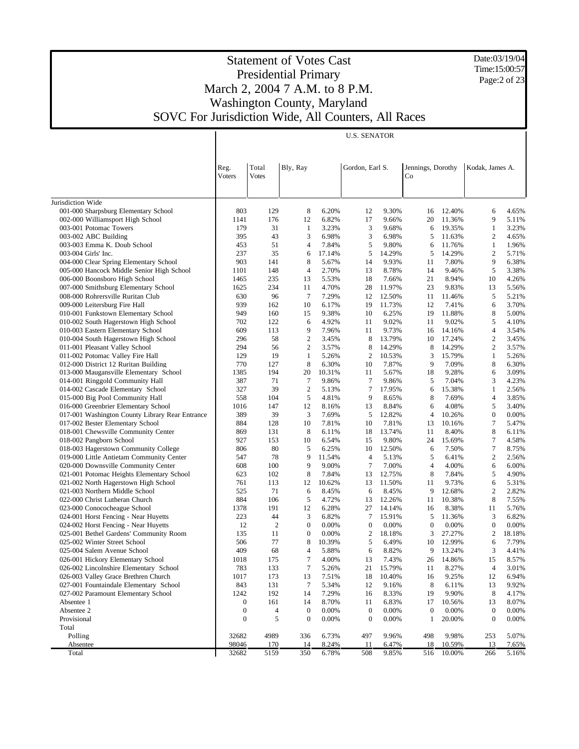Date:03/19/04 Time:15:00:57 Page:2 of 23

| Total<br>Reg.<br>Bly, Ray<br>Gordon, Earl S.<br>Jennings, Dorothy<br>Kodak, James A.<br>Voters<br>Votes<br>Co<br>Jurisdiction Wide<br>001-000 Sharpsburg Elementary School<br>803<br>129<br>8<br>6.20%<br>12<br>9.30%<br>12.40%<br>6<br>16<br>4.65%<br>002-000 Williamsport High School<br>176<br>6.82%<br>17<br>20<br>9<br>1141<br>12<br>9.66%<br>11.36%<br>5.11%<br>179<br>3.23%<br>3<br>19.35%<br>$\mathbf{1}$<br>003-001 Potomac Towers<br>31<br>1<br>9.68%<br>6<br>3.23%<br>395<br>43<br>3<br>6.98%<br>3<br>11.63%<br>$\overline{c}$<br>003-002 ABC Building<br>6.98%<br>5<br>4.65%<br>453<br>51<br>4<br>5<br>$\mathbf{1}$<br>003-003 Emma K. Doub School<br>7.84%<br>9.80%<br>11.76%<br>1.96%<br>6<br>237<br>35<br>14.29%<br>5<br>14.29%<br>$\overline{c}$<br>003-004 Girls' Inc.<br>17.14%<br>5<br>5.71%<br>6<br>9<br>903<br>8<br>5.67%<br>9.93%<br>7.80%<br>004-000 Clear Spring Elementary School<br>141<br>14<br>11<br>6.38%<br>005-000 Hancock Middle Senior High School<br>148<br>4<br>2.70%<br>5<br>3.38%<br>1101<br>13<br>8.78%<br>14<br>9.46%<br>235<br>006-000 Boonsboro High School<br>13<br>5.53%<br>18<br>7.66%<br>21<br>8.94%<br>10<br>4.26%<br>1465<br>234<br>4.70%<br>28<br>11.97%<br>23<br>9.83%<br>007-000 Smithsburg Elementary School<br>1625<br>11<br>13<br>5.56%<br>96<br>$7\phantom{.0}$<br>7.29%<br>5<br>008-000 Rohrersville Ruritan Club<br>630<br>12<br>12.50%<br>11<br>11.46%<br>5.21%<br>939<br>10<br>6.17%<br>11.73%<br>7.41%<br>6<br>3.70%<br>009-000 Leitersburg Fire Hall<br>162<br>19<br>12<br>010-001 Funkstown Elementary School<br>160<br>9.38%<br>11.88%<br>8<br>949<br>15<br>10<br>6.25%<br>19<br>5.00%<br>010-002 South Hagerstown High School<br>122<br>4.92%<br>9.02%<br>9.02%<br>5<br>702<br>6<br>11<br>11<br>4.10%<br>9<br>9.73%<br>$\overline{4}$<br>010-003 Eastern Elementary School<br>609<br>113<br>7.96%<br>11<br>14.16%<br>3.54%<br>16<br>296<br>58<br>2<br>8<br>13.79%<br>$\boldsymbol{2}$<br>3.45%<br>010-004 South Hagerstown High School<br>3.45%<br>10<br>17.24%<br>011-001 Pleasant Valley School<br>294<br>56<br>2<br>8<br>14.29%<br>2<br>3.57%<br>8<br>14.29%<br>3.57%<br>011-002 Potomac Valley Fire Hall<br>129<br>19<br>$\overline{2}$<br>10.53%<br>3<br>15.79%<br>5.26%<br>1<br>5.26%<br>1<br>012-000 District 12 Ruritan Building<br>127<br>8<br>7.87%<br>9<br>7.09%<br>8<br>770<br>6.30%<br>10<br>6.30%<br>013-000 Maugansville Elementary School<br>1385<br>194<br>20<br>10.31%<br>11<br>5.67%<br>18<br>9.28%<br>6<br>3.09%<br>7<br>014-001 Ringgold Community Hall<br>387<br>71<br>7<br>9.86%<br>9.86%<br>5<br>7.04%<br>3<br>4.23%<br>39<br>$\boldsymbol{2}$<br>7<br>014-002 Cascade Elementary School<br>327<br>5.13%<br>17.95%<br>15.38%<br>1<br>2.56%<br>6<br>015-000 Big Pool Community Hall<br>4<br>558<br>104<br>5<br>4.81%<br>9<br>8.65%<br>8<br>7.69%<br>3.85%<br>016-000 Greenbrier Elementary School<br>5<br>1016<br>147<br>12<br>8.16%<br>8.84%<br>6<br>4.08%<br>3.40%<br>13<br>017-001 Washington County Library Rear Entrance<br>$\boldsymbol{0}$<br>389<br>39<br>3<br>7.69%<br>5<br>12.82%<br>$\overline{4}$<br>10.26%<br>0.00%<br>$\boldsymbol{7}$<br>017-002 Bester Elementary School<br>884<br>128<br>10<br>7.81%<br>10<br>7.81%<br>13<br>10.16%<br>5.47%<br>018-001 Chewsville Community Center<br>8<br>869<br>131<br>8<br>6.11%<br>13.74%<br>11<br>8.40%<br>6.11%<br>18<br>$\boldsymbol{7}$<br>018-002 Pangborn School<br>927<br>153<br>10<br>6.54%<br>15<br>9.80%<br>24<br>15.69%<br>4.58%<br>7<br>018-003 Hagerstown Community College<br>80<br>806<br>5<br>6.25%<br>12.50%<br>7.50%<br>8.75%<br>10<br>6<br>$\mathbf{2}$<br>019-000 Little Antietam Community Center<br>78<br>9<br>547<br>11.54%<br>$\overline{4}$<br>5.13%<br>5<br>6.41%<br>2.56%<br>$\tau$<br>020-000 Downsville Community Center<br>9<br>7.00%<br>608<br>100<br>9.00%<br>4<br>4.00%<br>6<br>6.00%<br>8<br>5<br>021-001 Potomac Heights Elementary School<br>623<br>102<br>7.84%<br>12.75%<br>8<br>7.84%<br>4.90%<br>13<br>021-002 North Hagerstown High School<br>761<br>113<br>12<br>10.62%<br>13<br>11.50%<br>11<br>9.73%<br>6<br>5.31%<br>$\mathbf{2}$<br>71<br>021-003 Northern Middle School<br>525<br>6<br>8.45%<br>6<br>8.45%<br>9<br>12.68%<br>2.82%<br>8<br>022-000 Christ Lutheran Church<br>884<br>106<br>5<br>4.72%<br>12.26%<br>10.38%<br>7.55%<br>13<br>11<br>191<br>023-000 Conococheague School<br>1378<br>12<br>6.28%<br>27<br>14.14%<br>16<br>8.38%<br>11<br>5.76%<br>024-001 Horst Fencing - Near Huyetts<br>223<br>44<br>3<br>6.82%<br>7<br>15.91%<br>5<br>11.36%<br>3<br>6.82%<br>$\overline{2}$<br>$\boldsymbol{0}$<br>0.00%<br>024-002 Horst Fencing - Near Huyetts<br>12<br>$\boldsymbol{0}$<br>0.00%<br>0.00%<br>$\mathbf{0}$<br>0.00%<br>0<br>$\mathbf{0}$<br>$\mathfrak{2}$<br>025-001 Bethel Gardens' Community Room<br>135<br>11<br>0.00%<br>2<br>18.18%<br>3<br>27.27%<br>18.18%<br>506<br>77<br>8<br>12.99%<br>025-002 Winter Street School<br>10.39%<br>5<br>6.49%<br>10<br>6<br>7.79%<br>409<br>68<br>9<br>3<br>025-004 Salem Avenue School<br>4<br>5.88%<br>8.82%<br>13.24%<br>4.41%<br>6<br>$\boldsymbol{7}$<br>026-001 Hickory Elementary School<br>4.00%<br>7.43%<br>14.86%<br>1018<br>175<br>13<br>26<br>15<br>8.57%<br>$\boldsymbol{7}$<br>133<br>15.79%<br>8.27%<br>026-002 Lincolnshire Elementary School<br>783<br>5.26%<br>21<br>11<br>$\overline{4}$<br>3.01%<br>026-003 Valley Grace Brethren Church<br>18<br>10.40%<br>9.25%<br>6.94%<br>1017<br>173<br>13<br>7.51%<br>16<br>12<br>027-001 Fountaindale Elementary School<br>843<br>131<br>7<br>5.34%<br>12<br>9.16%<br>8<br>6.11%<br>13<br>9.92%<br>192<br>9.90%<br>8<br>027-002 Paramount Elementary School<br>1242<br>14<br>7.29%<br>16<br>8.33%<br>19<br>4.17%<br>8.07%<br>Absentee 1<br>0<br>161<br>14<br>8.70%<br>11<br>6.83%<br>17<br>10.56%<br>13<br>Absentee 2<br>$\boldsymbol{0}$<br>0.00%<br>0.00%<br>$\boldsymbol{0}$<br>4<br>$\boldsymbol{0}$<br>0.00%<br>0.00%<br>$\mathbf{0}$<br>$\boldsymbol{0}$<br>$\boldsymbol{0}$<br>5<br>Provisional<br>$\mathbf{0}$<br>$\boldsymbol{0}$<br>0.00%<br>0.00%<br>20.00%<br>$\mathbf{0}$<br>0.00%<br>1<br>Total<br>Polling<br>32682<br>4989<br>336<br>6.73%<br>497<br>9.96%<br>498<br>9.98%<br>253<br>5.07%<br>98046<br>170<br>18<br>10.59%<br>Absentee<br>14<br>8.24%<br>11<br>6.47%<br>13<br>7.65% |       |       |      |     |       | <b>U.S. SENATOR</b> |       |     |        |     |       |
|---------------------------------------------------------------------------------------------------------------------------------------------------------------------------------------------------------------------------------------------------------------------------------------------------------------------------------------------------------------------------------------------------------------------------------------------------------------------------------------------------------------------------------------------------------------------------------------------------------------------------------------------------------------------------------------------------------------------------------------------------------------------------------------------------------------------------------------------------------------------------------------------------------------------------------------------------------------------------------------------------------------------------------------------------------------------------------------------------------------------------------------------------------------------------------------------------------------------------------------------------------------------------------------------------------------------------------------------------------------------------------------------------------------------------------------------------------------------------------------------------------------------------------------------------------------------------------------------------------------------------------------------------------------------------------------------------------------------------------------------------------------------------------------------------------------------------------------------------------------------------------------------------------------------------------------------------------------------------------------------------------------------------------------------------------------------------------------------------------------------------------------------------------------------------------------------------------------------------------------------------------------------------------------------------------------------------------------------------------------------------------------------------------------------------------------------------------------------------------------------------------------------------------------------------------------------------------------------------------------------------------------------------------------------------------------------------------------------------------------------------------------------------------------------------------------------------------------------------------------------------------------------------------------------------------------------------------------------------------------------------------------------------------------------------------------------------------------------------------------------------------------------------------------------------------------------------------------------------------------------------------------------------------------------------------------------------------------------------------------------------------------------------------------------------------------------------------------------------------------------------------------------------------------------------------------------------------------------------------------------------------------------------------------------------------------------------------------------------------------------------------------------------------------------------------------------------------------------------------------------------------------------------------------------------------------------------------------------------------------------------------------------------------------------------------------------------------------------------------------------------------------------------------------------------------------------------------------------------------------------------------------------------------------------------------------------------------------------------------------------------------------------------------------------------------------------------------------------------------------------------------------------------------------------------------------------------------------------------------------------------------------------------------------------------------------------------------------------------------------------------------------------------------------------------------------------------------------------------------------------------------------------------------------------------------------------------------------------------------------------------------------------------------------------------------------------------------------------------------------------------------------------------------------------------------------------------------------------------------------------------------------------------------------------------------------------------------------------------------------------------------------------------------------------------------------------------------------------------------------------------------------------------------------------------------------------------------------------------------------------------------------------------------------------------------------------------------------------------------------------------------------------------------------------------------------------------------------------------------------------------------------------------------------------------------------------------------------------------------------------------------------------------------------------------------------------------------------------------------------------------------------------------------------------------------------------------------------------------------------------------------------------------------------------------------------------|-------|-------|------|-----|-------|---------------------|-------|-----|--------|-----|-------|
|                                                                                                                                                                                                                                                                                                                                                                                                                                                                                                                                                                                                                                                                                                                                                                                                                                                                                                                                                                                                                                                                                                                                                                                                                                                                                                                                                                                                                                                                                                                                                                                                                                                                                                                                                                                                                                                                                                                                                                                                                                                                                                                                                                                                                                                                                                                                                                                                                                                                                                                                                                                                                                                                                                                                                                                                                                                                                                                                                                                                                                                                                                                                                                                                                                                                                                                                                                                                                                                                                                                                                                                                                                                                                                                                                                                                                                                                                                                                                                                                                                                                                                                                                                                                                                                                                                                                                                                                                                                                                                                                                                                                                                                                                                                                                                                                                                                                                                                                                                                                                                                                                                                                                                                                                                                                                                                                                                                                                                                                                                                                                                                                                                                                                                                                                                                                                                                                                                                                                                                                                                                                                                                                                                                                                                                                                                                     |       |       |      |     |       |                     |       |     |        |     |       |
|                                                                                                                                                                                                                                                                                                                                                                                                                                                                                                                                                                                                                                                                                                                                                                                                                                                                                                                                                                                                                                                                                                                                                                                                                                                                                                                                                                                                                                                                                                                                                                                                                                                                                                                                                                                                                                                                                                                                                                                                                                                                                                                                                                                                                                                                                                                                                                                                                                                                                                                                                                                                                                                                                                                                                                                                                                                                                                                                                                                                                                                                                                                                                                                                                                                                                                                                                                                                                                                                                                                                                                                                                                                                                                                                                                                                                                                                                                                                                                                                                                                                                                                                                                                                                                                                                                                                                                                                                                                                                                                                                                                                                                                                                                                                                                                                                                                                                                                                                                                                                                                                                                                                                                                                                                                                                                                                                                                                                                                                                                                                                                                                                                                                                                                                                                                                                                                                                                                                                                                                                                                                                                                                                                                                                                                                                                                     |       |       |      |     |       |                     |       |     |        |     |       |
|                                                                                                                                                                                                                                                                                                                                                                                                                                                                                                                                                                                                                                                                                                                                                                                                                                                                                                                                                                                                                                                                                                                                                                                                                                                                                                                                                                                                                                                                                                                                                                                                                                                                                                                                                                                                                                                                                                                                                                                                                                                                                                                                                                                                                                                                                                                                                                                                                                                                                                                                                                                                                                                                                                                                                                                                                                                                                                                                                                                                                                                                                                                                                                                                                                                                                                                                                                                                                                                                                                                                                                                                                                                                                                                                                                                                                                                                                                                                                                                                                                                                                                                                                                                                                                                                                                                                                                                                                                                                                                                                                                                                                                                                                                                                                                                                                                                                                                                                                                                                                                                                                                                                                                                                                                                                                                                                                                                                                                                                                                                                                                                                                                                                                                                                                                                                                                                                                                                                                                                                                                                                                                                                                                                                                                                                                                                     |       |       |      |     |       |                     |       |     |        |     |       |
|                                                                                                                                                                                                                                                                                                                                                                                                                                                                                                                                                                                                                                                                                                                                                                                                                                                                                                                                                                                                                                                                                                                                                                                                                                                                                                                                                                                                                                                                                                                                                                                                                                                                                                                                                                                                                                                                                                                                                                                                                                                                                                                                                                                                                                                                                                                                                                                                                                                                                                                                                                                                                                                                                                                                                                                                                                                                                                                                                                                                                                                                                                                                                                                                                                                                                                                                                                                                                                                                                                                                                                                                                                                                                                                                                                                                                                                                                                                                                                                                                                                                                                                                                                                                                                                                                                                                                                                                                                                                                                                                                                                                                                                                                                                                                                                                                                                                                                                                                                                                                                                                                                                                                                                                                                                                                                                                                                                                                                                                                                                                                                                                                                                                                                                                                                                                                                                                                                                                                                                                                                                                                                                                                                                                                                                                                                                     |       |       |      |     |       |                     |       |     |        |     |       |
|                                                                                                                                                                                                                                                                                                                                                                                                                                                                                                                                                                                                                                                                                                                                                                                                                                                                                                                                                                                                                                                                                                                                                                                                                                                                                                                                                                                                                                                                                                                                                                                                                                                                                                                                                                                                                                                                                                                                                                                                                                                                                                                                                                                                                                                                                                                                                                                                                                                                                                                                                                                                                                                                                                                                                                                                                                                                                                                                                                                                                                                                                                                                                                                                                                                                                                                                                                                                                                                                                                                                                                                                                                                                                                                                                                                                                                                                                                                                                                                                                                                                                                                                                                                                                                                                                                                                                                                                                                                                                                                                                                                                                                                                                                                                                                                                                                                                                                                                                                                                                                                                                                                                                                                                                                                                                                                                                                                                                                                                                                                                                                                                                                                                                                                                                                                                                                                                                                                                                                                                                                                                                                                                                                                                                                                                                                                     |       |       |      |     |       |                     |       |     |        |     |       |
|                                                                                                                                                                                                                                                                                                                                                                                                                                                                                                                                                                                                                                                                                                                                                                                                                                                                                                                                                                                                                                                                                                                                                                                                                                                                                                                                                                                                                                                                                                                                                                                                                                                                                                                                                                                                                                                                                                                                                                                                                                                                                                                                                                                                                                                                                                                                                                                                                                                                                                                                                                                                                                                                                                                                                                                                                                                                                                                                                                                                                                                                                                                                                                                                                                                                                                                                                                                                                                                                                                                                                                                                                                                                                                                                                                                                                                                                                                                                                                                                                                                                                                                                                                                                                                                                                                                                                                                                                                                                                                                                                                                                                                                                                                                                                                                                                                                                                                                                                                                                                                                                                                                                                                                                                                                                                                                                                                                                                                                                                                                                                                                                                                                                                                                                                                                                                                                                                                                                                                                                                                                                                                                                                                                                                                                                                                                     |       |       |      |     |       |                     |       |     |        |     |       |
|                                                                                                                                                                                                                                                                                                                                                                                                                                                                                                                                                                                                                                                                                                                                                                                                                                                                                                                                                                                                                                                                                                                                                                                                                                                                                                                                                                                                                                                                                                                                                                                                                                                                                                                                                                                                                                                                                                                                                                                                                                                                                                                                                                                                                                                                                                                                                                                                                                                                                                                                                                                                                                                                                                                                                                                                                                                                                                                                                                                                                                                                                                                                                                                                                                                                                                                                                                                                                                                                                                                                                                                                                                                                                                                                                                                                                                                                                                                                                                                                                                                                                                                                                                                                                                                                                                                                                                                                                                                                                                                                                                                                                                                                                                                                                                                                                                                                                                                                                                                                                                                                                                                                                                                                                                                                                                                                                                                                                                                                                                                                                                                                                                                                                                                                                                                                                                                                                                                                                                                                                                                                                                                                                                                                                                                                                                                     |       |       |      |     |       |                     |       |     |        |     |       |
|                                                                                                                                                                                                                                                                                                                                                                                                                                                                                                                                                                                                                                                                                                                                                                                                                                                                                                                                                                                                                                                                                                                                                                                                                                                                                                                                                                                                                                                                                                                                                                                                                                                                                                                                                                                                                                                                                                                                                                                                                                                                                                                                                                                                                                                                                                                                                                                                                                                                                                                                                                                                                                                                                                                                                                                                                                                                                                                                                                                                                                                                                                                                                                                                                                                                                                                                                                                                                                                                                                                                                                                                                                                                                                                                                                                                                                                                                                                                                                                                                                                                                                                                                                                                                                                                                                                                                                                                                                                                                                                                                                                                                                                                                                                                                                                                                                                                                                                                                                                                                                                                                                                                                                                                                                                                                                                                                                                                                                                                                                                                                                                                                                                                                                                                                                                                                                                                                                                                                                                                                                                                                                                                                                                                                                                                                                                     |       |       |      |     |       |                     |       |     |        |     |       |
|                                                                                                                                                                                                                                                                                                                                                                                                                                                                                                                                                                                                                                                                                                                                                                                                                                                                                                                                                                                                                                                                                                                                                                                                                                                                                                                                                                                                                                                                                                                                                                                                                                                                                                                                                                                                                                                                                                                                                                                                                                                                                                                                                                                                                                                                                                                                                                                                                                                                                                                                                                                                                                                                                                                                                                                                                                                                                                                                                                                                                                                                                                                                                                                                                                                                                                                                                                                                                                                                                                                                                                                                                                                                                                                                                                                                                                                                                                                                                                                                                                                                                                                                                                                                                                                                                                                                                                                                                                                                                                                                                                                                                                                                                                                                                                                                                                                                                                                                                                                                                                                                                                                                                                                                                                                                                                                                                                                                                                                                                                                                                                                                                                                                                                                                                                                                                                                                                                                                                                                                                                                                                                                                                                                                                                                                                                                     |       |       |      |     |       |                     |       |     |        |     |       |
|                                                                                                                                                                                                                                                                                                                                                                                                                                                                                                                                                                                                                                                                                                                                                                                                                                                                                                                                                                                                                                                                                                                                                                                                                                                                                                                                                                                                                                                                                                                                                                                                                                                                                                                                                                                                                                                                                                                                                                                                                                                                                                                                                                                                                                                                                                                                                                                                                                                                                                                                                                                                                                                                                                                                                                                                                                                                                                                                                                                                                                                                                                                                                                                                                                                                                                                                                                                                                                                                                                                                                                                                                                                                                                                                                                                                                                                                                                                                                                                                                                                                                                                                                                                                                                                                                                                                                                                                                                                                                                                                                                                                                                                                                                                                                                                                                                                                                                                                                                                                                                                                                                                                                                                                                                                                                                                                                                                                                                                                                                                                                                                                                                                                                                                                                                                                                                                                                                                                                                                                                                                                                                                                                                                                                                                                                                                     |       |       |      |     |       |                     |       |     |        |     |       |
|                                                                                                                                                                                                                                                                                                                                                                                                                                                                                                                                                                                                                                                                                                                                                                                                                                                                                                                                                                                                                                                                                                                                                                                                                                                                                                                                                                                                                                                                                                                                                                                                                                                                                                                                                                                                                                                                                                                                                                                                                                                                                                                                                                                                                                                                                                                                                                                                                                                                                                                                                                                                                                                                                                                                                                                                                                                                                                                                                                                                                                                                                                                                                                                                                                                                                                                                                                                                                                                                                                                                                                                                                                                                                                                                                                                                                                                                                                                                                                                                                                                                                                                                                                                                                                                                                                                                                                                                                                                                                                                                                                                                                                                                                                                                                                                                                                                                                                                                                                                                                                                                                                                                                                                                                                                                                                                                                                                                                                                                                                                                                                                                                                                                                                                                                                                                                                                                                                                                                                                                                                                                                                                                                                                                                                                                                                                     |       |       |      |     |       |                     |       |     |        |     |       |
|                                                                                                                                                                                                                                                                                                                                                                                                                                                                                                                                                                                                                                                                                                                                                                                                                                                                                                                                                                                                                                                                                                                                                                                                                                                                                                                                                                                                                                                                                                                                                                                                                                                                                                                                                                                                                                                                                                                                                                                                                                                                                                                                                                                                                                                                                                                                                                                                                                                                                                                                                                                                                                                                                                                                                                                                                                                                                                                                                                                                                                                                                                                                                                                                                                                                                                                                                                                                                                                                                                                                                                                                                                                                                                                                                                                                                                                                                                                                                                                                                                                                                                                                                                                                                                                                                                                                                                                                                                                                                                                                                                                                                                                                                                                                                                                                                                                                                                                                                                                                                                                                                                                                                                                                                                                                                                                                                                                                                                                                                                                                                                                                                                                                                                                                                                                                                                                                                                                                                                                                                                                                                                                                                                                                                                                                                                                     |       |       |      |     |       |                     |       |     |        |     |       |
|                                                                                                                                                                                                                                                                                                                                                                                                                                                                                                                                                                                                                                                                                                                                                                                                                                                                                                                                                                                                                                                                                                                                                                                                                                                                                                                                                                                                                                                                                                                                                                                                                                                                                                                                                                                                                                                                                                                                                                                                                                                                                                                                                                                                                                                                                                                                                                                                                                                                                                                                                                                                                                                                                                                                                                                                                                                                                                                                                                                                                                                                                                                                                                                                                                                                                                                                                                                                                                                                                                                                                                                                                                                                                                                                                                                                                                                                                                                                                                                                                                                                                                                                                                                                                                                                                                                                                                                                                                                                                                                                                                                                                                                                                                                                                                                                                                                                                                                                                                                                                                                                                                                                                                                                                                                                                                                                                                                                                                                                                                                                                                                                                                                                                                                                                                                                                                                                                                                                                                                                                                                                                                                                                                                                                                                                                                                     |       |       |      |     |       |                     |       |     |        |     |       |
|                                                                                                                                                                                                                                                                                                                                                                                                                                                                                                                                                                                                                                                                                                                                                                                                                                                                                                                                                                                                                                                                                                                                                                                                                                                                                                                                                                                                                                                                                                                                                                                                                                                                                                                                                                                                                                                                                                                                                                                                                                                                                                                                                                                                                                                                                                                                                                                                                                                                                                                                                                                                                                                                                                                                                                                                                                                                                                                                                                                                                                                                                                                                                                                                                                                                                                                                                                                                                                                                                                                                                                                                                                                                                                                                                                                                                                                                                                                                                                                                                                                                                                                                                                                                                                                                                                                                                                                                                                                                                                                                                                                                                                                                                                                                                                                                                                                                                                                                                                                                                                                                                                                                                                                                                                                                                                                                                                                                                                                                                                                                                                                                                                                                                                                                                                                                                                                                                                                                                                                                                                                                                                                                                                                                                                                                                                                     |       |       |      |     |       |                     |       |     |        |     |       |
|                                                                                                                                                                                                                                                                                                                                                                                                                                                                                                                                                                                                                                                                                                                                                                                                                                                                                                                                                                                                                                                                                                                                                                                                                                                                                                                                                                                                                                                                                                                                                                                                                                                                                                                                                                                                                                                                                                                                                                                                                                                                                                                                                                                                                                                                                                                                                                                                                                                                                                                                                                                                                                                                                                                                                                                                                                                                                                                                                                                                                                                                                                                                                                                                                                                                                                                                                                                                                                                                                                                                                                                                                                                                                                                                                                                                                                                                                                                                                                                                                                                                                                                                                                                                                                                                                                                                                                                                                                                                                                                                                                                                                                                                                                                                                                                                                                                                                                                                                                                                                                                                                                                                                                                                                                                                                                                                                                                                                                                                                                                                                                                                                                                                                                                                                                                                                                                                                                                                                                                                                                                                                                                                                                                                                                                                                                                     |       |       |      |     |       |                     |       |     |        |     |       |
|                                                                                                                                                                                                                                                                                                                                                                                                                                                                                                                                                                                                                                                                                                                                                                                                                                                                                                                                                                                                                                                                                                                                                                                                                                                                                                                                                                                                                                                                                                                                                                                                                                                                                                                                                                                                                                                                                                                                                                                                                                                                                                                                                                                                                                                                                                                                                                                                                                                                                                                                                                                                                                                                                                                                                                                                                                                                                                                                                                                                                                                                                                                                                                                                                                                                                                                                                                                                                                                                                                                                                                                                                                                                                                                                                                                                                                                                                                                                                                                                                                                                                                                                                                                                                                                                                                                                                                                                                                                                                                                                                                                                                                                                                                                                                                                                                                                                                                                                                                                                                                                                                                                                                                                                                                                                                                                                                                                                                                                                                                                                                                                                                                                                                                                                                                                                                                                                                                                                                                                                                                                                                                                                                                                                                                                                                                                     |       |       |      |     |       |                     |       |     |        |     |       |
|                                                                                                                                                                                                                                                                                                                                                                                                                                                                                                                                                                                                                                                                                                                                                                                                                                                                                                                                                                                                                                                                                                                                                                                                                                                                                                                                                                                                                                                                                                                                                                                                                                                                                                                                                                                                                                                                                                                                                                                                                                                                                                                                                                                                                                                                                                                                                                                                                                                                                                                                                                                                                                                                                                                                                                                                                                                                                                                                                                                                                                                                                                                                                                                                                                                                                                                                                                                                                                                                                                                                                                                                                                                                                                                                                                                                                                                                                                                                                                                                                                                                                                                                                                                                                                                                                                                                                                                                                                                                                                                                                                                                                                                                                                                                                                                                                                                                                                                                                                                                                                                                                                                                                                                                                                                                                                                                                                                                                                                                                                                                                                                                                                                                                                                                                                                                                                                                                                                                                                                                                                                                                                                                                                                                                                                                                                                     |       |       |      |     |       |                     |       |     |        |     |       |
|                                                                                                                                                                                                                                                                                                                                                                                                                                                                                                                                                                                                                                                                                                                                                                                                                                                                                                                                                                                                                                                                                                                                                                                                                                                                                                                                                                                                                                                                                                                                                                                                                                                                                                                                                                                                                                                                                                                                                                                                                                                                                                                                                                                                                                                                                                                                                                                                                                                                                                                                                                                                                                                                                                                                                                                                                                                                                                                                                                                                                                                                                                                                                                                                                                                                                                                                                                                                                                                                                                                                                                                                                                                                                                                                                                                                                                                                                                                                                                                                                                                                                                                                                                                                                                                                                                                                                                                                                                                                                                                                                                                                                                                                                                                                                                                                                                                                                                                                                                                                                                                                                                                                                                                                                                                                                                                                                                                                                                                                                                                                                                                                                                                                                                                                                                                                                                                                                                                                                                                                                                                                                                                                                                                                                                                                                                                     |       |       |      |     |       |                     |       |     |        |     |       |
|                                                                                                                                                                                                                                                                                                                                                                                                                                                                                                                                                                                                                                                                                                                                                                                                                                                                                                                                                                                                                                                                                                                                                                                                                                                                                                                                                                                                                                                                                                                                                                                                                                                                                                                                                                                                                                                                                                                                                                                                                                                                                                                                                                                                                                                                                                                                                                                                                                                                                                                                                                                                                                                                                                                                                                                                                                                                                                                                                                                                                                                                                                                                                                                                                                                                                                                                                                                                                                                                                                                                                                                                                                                                                                                                                                                                                                                                                                                                                                                                                                                                                                                                                                                                                                                                                                                                                                                                                                                                                                                                                                                                                                                                                                                                                                                                                                                                                                                                                                                                                                                                                                                                                                                                                                                                                                                                                                                                                                                                                                                                                                                                                                                                                                                                                                                                                                                                                                                                                                                                                                                                                                                                                                                                                                                                                                                     |       |       |      |     |       |                     |       |     |        |     |       |
|                                                                                                                                                                                                                                                                                                                                                                                                                                                                                                                                                                                                                                                                                                                                                                                                                                                                                                                                                                                                                                                                                                                                                                                                                                                                                                                                                                                                                                                                                                                                                                                                                                                                                                                                                                                                                                                                                                                                                                                                                                                                                                                                                                                                                                                                                                                                                                                                                                                                                                                                                                                                                                                                                                                                                                                                                                                                                                                                                                                                                                                                                                                                                                                                                                                                                                                                                                                                                                                                                                                                                                                                                                                                                                                                                                                                                                                                                                                                                                                                                                                                                                                                                                                                                                                                                                                                                                                                                                                                                                                                                                                                                                                                                                                                                                                                                                                                                                                                                                                                                                                                                                                                                                                                                                                                                                                                                                                                                                                                                                                                                                                                                                                                                                                                                                                                                                                                                                                                                                                                                                                                                                                                                                                                                                                                                                                     |       |       |      |     |       |                     |       |     |        |     |       |
|                                                                                                                                                                                                                                                                                                                                                                                                                                                                                                                                                                                                                                                                                                                                                                                                                                                                                                                                                                                                                                                                                                                                                                                                                                                                                                                                                                                                                                                                                                                                                                                                                                                                                                                                                                                                                                                                                                                                                                                                                                                                                                                                                                                                                                                                                                                                                                                                                                                                                                                                                                                                                                                                                                                                                                                                                                                                                                                                                                                                                                                                                                                                                                                                                                                                                                                                                                                                                                                                                                                                                                                                                                                                                                                                                                                                                                                                                                                                                                                                                                                                                                                                                                                                                                                                                                                                                                                                                                                                                                                                                                                                                                                                                                                                                                                                                                                                                                                                                                                                                                                                                                                                                                                                                                                                                                                                                                                                                                                                                                                                                                                                                                                                                                                                                                                                                                                                                                                                                                                                                                                                                                                                                                                                                                                                                                                     |       |       |      |     |       |                     |       |     |        |     |       |
|                                                                                                                                                                                                                                                                                                                                                                                                                                                                                                                                                                                                                                                                                                                                                                                                                                                                                                                                                                                                                                                                                                                                                                                                                                                                                                                                                                                                                                                                                                                                                                                                                                                                                                                                                                                                                                                                                                                                                                                                                                                                                                                                                                                                                                                                                                                                                                                                                                                                                                                                                                                                                                                                                                                                                                                                                                                                                                                                                                                                                                                                                                                                                                                                                                                                                                                                                                                                                                                                                                                                                                                                                                                                                                                                                                                                                                                                                                                                                                                                                                                                                                                                                                                                                                                                                                                                                                                                                                                                                                                                                                                                                                                                                                                                                                                                                                                                                                                                                                                                                                                                                                                                                                                                                                                                                                                                                                                                                                                                                                                                                                                                                                                                                                                                                                                                                                                                                                                                                                                                                                                                                                                                                                                                                                                                                                                     |       |       |      |     |       |                     |       |     |        |     |       |
|                                                                                                                                                                                                                                                                                                                                                                                                                                                                                                                                                                                                                                                                                                                                                                                                                                                                                                                                                                                                                                                                                                                                                                                                                                                                                                                                                                                                                                                                                                                                                                                                                                                                                                                                                                                                                                                                                                                                                                                                                                                                                                                                                                                                                                                                                                                                                                                                                                                                                                                                                                                                                                                                                                                                                                                                                                                                                                                                                                                                                                                                                                                                                                                                                                                                                                                                                                                                                                                                                                                                                                                                                                                                                                                                                                                                                                                                                                                                                                                                                                                                                                                                                                                                                                                                                                                                                                                                                                                                                                                                                                                                                                                                                                                                                                                                                                                                                                                                                                                                                                                                                                                                                                                                                                                                                                                                                                                                                                                                                                                                                                                                                                                                                                                                                                                                                                                                                                                                                                                                                                                                                                                                                                                                                                                                                                                     |       |       |      |     |       |                     |       |     |        |     |       |
|                                                                                                                                                                                                                                                                                                                                                                                                                                                                                                                                                                                                                                                                                                                                                                                                                                                                                                                                                                                                                                                                                                                                                                                                                                                                                                                                                                                                                                                                                                                                                                                                                                                                                                                                                                                                                                                                                                                                                                                                                                                                                                                                                                                                                                                                                                                                                                                                                                                                                                                                                                                                                                                                                                                                                                                                                                                                                                                                                                                                                                                                                                                                                                                                                                                                                                                                                                                                                                                                                                                                                                                                                                                                                                                                                                                                                                                                                                                                                                                                                                                                                                                                                                                                                                                                                                                                                                                                                                                                                                                                                                                                                                                                                                                                                                                                                                                                                                                                                                                                                                                                                                                                                                                                                                                                                                                                                                                                                                                                                                                                                                                                                                                                                                                                                                                                                                                                                                                                                                                                                                                                                                                                                                                                                                                                                                                     |       |       |      |     |       |                     |       |     |        |     |       |
|                                                                                                                                                                                                                                                                                                                                                                                                                                                                                                                                                                                                                                                                                                                                                                                                                                                                                                                                                                                                                                                                                                                                                                                                                                                                                                                                                                                                                                                                                                                                                                                                                                                                                                                                                                                                                                                                                                                                                                                                                                                                                                                                                                                                                                                                                                                                                                                                                                                                                                                                                                                                                                                                                                                                                                                                                                                                                                                                                                                                                                                                                                                                                                                                                                                                                                                                                                                                                                                                                                                                                                                                                                                                                                                                                                                                                                                                                                                                                                                                                                                                                                                                                                                                                                                                                                                                                                                                                                                                                                                                                                                                                                                                                                                                                                                                                                                                                                                                                                                                                                                                                                                                                                                                                                                                                                                                                                                                                                                                                                                                                                                                                                                                                                                                                                                                                                                                                                                                                                                                                                                                                                                                                                                                                                                                                                                     |       |       |      |     |       |                     |       |     |        |     |       |
|                                                                                                                                                                                                                                                                                                                                                                                                                                                                                                                                                                                                                                                                                                                                                                                                                                                                                                                                                                                                                                                                                                                                                                                                                                                                                                                                                                                                                                                                                                                                                                                                                                                                                                                                                                                                                                                                                                                                                                                                                                                                                                                                                                                                                                                                                                                                                                                                                                                                                                                                                                                                                                                                                                                                                                                                                                                                                                                                                                                                                                                                                                                                                                                                                                                                                                                                                                                                                                                                                                                                                                                                                                                                                                                                                                                                                                                                                                                                                                                                                                                                                                                                                                                                                                                                                                                                                                                                                                                                                                                                                                                                                                                                                                                                                                                                                                                                                                                                                                                                                                                                                                                                                                                                                                                                                                                                                                                                                                                                                                                                                                                                                                                                                                                                                                                                                                                                                                                                                                                                                                                                                                                                                                                                                                                                                                                     |       |       |      |     |       |                     |       |     |        |     |       |
|                                                                                                                                                                                                                                                                                                                                                                                                                                                                                                                                                                                                                                                                                                                                                                                                                                                                                                                                                                                                                                                                                                                                                                                                                                                                                                                                                                                                                                                                                                                                                                                                                                                                                                                                                                                                                                                                                                                                                                                                                                                                                                                                                                                                                                                                                                                                                                                                                                                                                                                                                                                                                                                                                                                                                                                                                                                                                                                                                                                                                                                                                                                                                                                                                                                                                                                                                                                                                                                                                                                                                                                                                                                                                                                                                                                                                                                                                                                                                                                                                                                                                                                                                                                                                                                                                                                                                                                                                                                                                                                                                                                                                                                                                                                                                                                                                                                                                                                                                                                                                                                                                                                                                                                                                                                                                                                                                                                                                                                                                                                                                                                                                                                                                                                                                                                                                                                                                                                                                                                                                                                                                                                                                                                                                                                                                                                     |       |       |      |     |       |                     |       |     |        |     |       |
|                                                                                                                                                                                                                                                                                                                                                                                                                                                                                                                                                                                                                                                                                                                                                                                                                                                                                                                                                                                                                                                                                                                                                                                                                                                                                                                                                                                                                                                                                                                                                                                                                                                                                                                                                                                                                                                                                                                                                                                                                                                                                                                                                                                                                                                                                                                                                                                                                                                                                                                                                                                                                                                                                                                                                                                                                                                                                                                                                                                                                                                                                                                                                                                                                                                                                                                                                                                                                                                                                                                                                                                                                                                                                                                                                                                                                                                                                                                                                                                                                                                                                                                                                                                                                                                                                                                                                                                                                                                                                                                                                                                                                                                                                                                                                                                                                                                                                                                                                                                                                                                                                                                                                                                                                                                                                                                                                                                                                                                                                                                                                                                                                                                                                                                                                                                                                                                                                                                                                                                                                                                                                                                                                                                                                                                                                                                     |       |       |      |     |       |                     |       |     |        |     |       |
|                                                                                                                                                                                                                                                                                                                                                                                                                                                                                                                                                                                                                                                                                                                                                                                                                                                                                                                                                                                                                                                                                                                                                                                                                                                                                                                                                                                                                                                                                                                                                                                                                                                                                                                                                                                                                                                                                                                                                                                                                                                                                                                                                                                                                                                                                                                                                                                                                                                                                                                                                                                                                                                                                                                                                                                                                                                                                                                                                                                                                                                                                                                                                                                                                                                                                                                                                                                                                                                                                                                                                                                                                                                                                                                                                                                                                                                                                                                                                                                                                                                                                                                                                                                                                                                                                                                                                                                                                                                                                                                                                                                                                                                                                                                                                                                                                                                                                                                                                                                                                                                                                                                                                                                                                                                                                                                                                                                                                                                                                                                                                                                                                                                                                                                                                                                                                                                                                                                                                                                                                                                                                                                                                                                                                                                                                                                     |       |       |      |     |       |                     |       |     |        |     |       |
|                                                                                                                                                                                                                                                                                                                                                                                                                                                                                                                                                                                                                                                                                                                                                                                                                                                                                                                                                                                                                                                                                                                                                                                                                                                                                                                                                                                                                                                                                                                                                                                                                                                                                                                                                                                                                                                                                                                                                                                                                                                                                                                                                                                                                                                                                                                                                                                                                                                                                                                                                                                                                                                                                                                                                                                                                                                                                                                                                                                                                                                                                                                                                                                                                                                                                                                                                                                                                                                                                                                                                                                                                                                                                                                                                                                                                                                                                                                                                                                                                                                                                                                                                                                                                                                                                                                                                                                                                                                                                                                                                                                                                                                                                                                                                                                                                                                                                                                                                                                                                                                                                                                                                                                                                                                                                                                                                                                                                                                                                                                                                                                                                                                                                                                                                                                                                                                                                                                                                                                                                                                                                                                                                                                                                                                                                                                     |       |       |      |     |       |                     |       |     |        |     |       |
|                                                                                                                                                                                                                                                                                                                                                                                                                                                                                                                                                                                                                                                                                                                                                                                                                                                                                                                                                                                                                                                                                                                                                                                                                                                                                                                                                                                                                                                                                                                                                                                                                                                                                                                                                                                                                                                                                                                                                                                                                                                                                                                                                                                                                                                                                                                                                                                                                                                                                                                                                                                                                                                                                                                                                                                                                                                                                                                                                                                                                                                                                                                                                                                                                                                                                                                                                                                                                                                                                                                                                                                                                                                                                                                                                                                                                                                                                                                                                                                                                                                                                                                                                                                                                                                                                                                                                                                                                                                                                                                                                                                                                                                                                                                                                                                                                                                                                                                                                                                                                                                                                                                                                                                                                                                                                                                                                                                                                                                                                                                                                                                                                                                                                                                                                                                                                                                                                                                                                                                                                                                                                                                                                                                                                                                                                                                     |       |       |      |     |       |                     |       |     |        |     |       |
|                                                                                                                                                                                                                                                                                                                                                                                                                                                                                                                                                                                                                                                                                                                                                                                                                                                                                                                                                                                                                                                                                                                                                                                                                                                                                                                                                                                                                                                                                                                                                                                                                                                                                                                                                                                                                                                                                                                                                                                                                                                                                                                                                                                                                                                                                                                                                                                                                                                                                                                                                                                                                                                                                                                                                                                                                                                                                                                                                                                                                                                                                                                                                                                                                                                                                                                                                                                                                                                                                                                                                                                                                                                                                                                                                                                                                                                                                                                                                                                                                                                                                                                                                                                                                                                                                                                                                                                                                                                                                                                                                                                                                                                                                                                                                                                                                                                                                                                                                                                                                                                                                                                                                                                                                                                                                                                                                                                                                                                                                                                                                                                                                                                                                                                                                                                                                                                                                                                                                                                                                                                                                                                                                                                                                                                                                                                     |       |       |      |     |       |                     |       |     |        |     |       |
|                                                                                                                                                                                                                                                                                                                                                                                                                                                                                                                                                                                                                                                                                                                                                                                                                                                                                                                                                                                                                                                                                                                                                                                                                                                                                                                                                                                                                                                                                                                                                                                                                                                                                                                                                                                                                                                                                                                                                                                                                                                                                                                                                                                                                                                                                                                                                                                                                                                                                                                                                                                                                                                                                                                                                                                                                                                                                                                                                                                                                                                                                                                                                                                                                                                                                                                                                                                                                                                                                                                                                                                                                                                                                                                                                                                                                                                                                                                                                                                                                                                                                                                                                                                                                                                                                                                                                                                                                                                                                                                                                                                                                                                                                                                                                                                                                                                                                                                                                                                                                                                                                                                                                                                                                                                                                                                                                                                                                                                                                                                                                                                                                                                                                                                                                                                                                                                                                                                                                                                                                                                                                                                                                                                                                                                                                                                     |       |       |      |     |       |                     |       |     |        |     |       |
|                                                                                                                                                                                                                                                                                                                                                                                                                                                                                                                                                                                                                                                                                                                                                                                                                                                                                                                                                                                                                                                                                                                                                                                                                                                                                                                                                                                                                                                                                                                                                                                                                                                                                                                                                                                                                                                                                                                                                                                                                                                                                                                                                                                                                                                                                                                                                                                                                                                                                                                                                                                                                                                                                                                                                                                                                                                                                                                                                                                                                                                                                                                                                                                                                                                                                                                                                                                                                                                                                                                                                                                                                                                                                                                                                                                                                                                                                                                                                                                                                                                                                                                                                                                                                                                                                                                                                                                                                                                                                                                                                                                                                                                                                                                                                                                                                                                                                                                                                                                                                                                                                                                                                                                                                                                                                                                                                                                                                                                                                                                                                                                                                                                                                                                                                                                                                                                                                                                                                                                                                                                                                                                                                                                                                                                                                                                     |       |       |      |     |       |                     |       |     |        |     |       |
|                                                                                                                                                                                                                                                                                                                                                                                                                                                                                                                                                                                                                                                                                                                                                                                                                                                                                                                                                                                                                                                                                                                                                                                                                                                                                                                                                                                                                                                                                                                                                                                                                                                                                                                                                                                                                                                                                                                                                                                                                                                                                                                                                                                                                                                                                                                                                                                                                                                                                                                                                                                                                                                                                                                                                                                                                                                                                                                                                                                                                                                                                                                                                                                                                                                                                                                                                                                                                                                                                                                                                                                                                                                                                                                                                                                                                                                                                                                                                                                                                                                                                                                                                                                                                                                                                                                                                                                                                                                                                                                                                                                                                                                                                                                                                                                                                                                                                                                                                                                                                                                                                                                                                                                                                                                                                                                                                                                                                                                                                                                                                                                                                                                                                                                                                                                                                                                                                                                                                                                                                                                                                                                                                                                                                                                                                                                     |       |       |      |     |       |                     |       |     |        |     |       |
|                                                                                                                                                                                                                                                                                                                                                                                                                                                                                                                                                                                                                                                                                                                                                                                                                                                                                                                                                                                                                                                                                                                                                                                                                                                                                                                                                                                                                                                                                                                                                                                                                                                                                                                                                                                                                                                                                                                                                                                                                                                                                                                                                                                                                                                                                                                                                                                                                                                                                                                                                                                                                                                                                                                                                                                                                                                                                                                                                                                                                                                                                                                                                                                                                                                                                                                                                                                                                                                                                                                                                                                                                                                                                                                                                                                                                                                                                                                                                                                                                                                                                                                                                                                                                                                                                                                                                                                                                                                                                                                                                                                                                                                                                                                                                                                                                                                                                                                                                                                                                                                                                                                                                                                                                                                                                                                                                                                                                                                                                                                                                                                                                                                                                                                                                                                                                                                                                                                                                                                                                                                                                                                                                                                                                                                                                                                     |       |       |      |     |       |                     |       |     |        |     |       |
|                                                                                                                                                                                                                                                                                                                                                                                                                                                                                                                                                                                                                                                                                                                                                                                                                                                                                                                                                                                                                                                                                                                                                                                                                                                                                                                                                                                                                                                                                                                                                                                                                                                                                                                                                                                                                                                                                                                                                                                                                                                                                                                                                                                                                                                                                                                                                                                                                                                                                                                                                                                                                                                                                                                                                                                                                                                                                                                                                                                                                                                                                                                                                                                                                                                                                                                                                                                                                                                                                                                                                                                                                                                                                                                                                                                                                                                                                                                                                                                                                                                                                                                                                                                                                                                                                                                                                                                                                                                                                                                                                                                                                                                                                                                                                                                                                                                                                                                                                                                                                                                                                                                                                                                                                                                                                                                                                                                                                                                                                                                                                                                                                                                                                                                                                                                                                                                                                                                                                                                                                                                                                                                                                                                                                                                                                                                     |       |       |      |     |       |                     |       |     |        |     |       |
|                                                                                                                                                                                                                                                                                                                                                                                                                                                                                                                                                                                                                                                                                                                                                                                                                                                                                                                                                                                                                                                                                                                                                                                                                                                                                                                                                                                                                                                                                                                                                                                                                                                                                                                                                                                                                                                                                                                                                                                                                                                                                                                                                                                                                                                                                                                                                                                                                                                                                                                                                                                                                                                                                                                                                                                                                                                                                                                                                                                                                                                                                                                                                                                                                                                                                                                                                                                                                                                                                                                                                                                                                                                                                                                                                                                                                                                                                                                                                                                                                                                                                                                                                                                                                                                                                                                                                                                                                                                                                                                                                                                                                                                                                                                                                                                                                                                                                                                                                                                                                                                                                                                                                                                                                                                                                                                                                                                                                                                                                                                                                                                                                                                                                                                                                                                                                                                                                                                                                                                                                                                                                                                                                                                                                                                                                                                     |       |       |      |     |       |                     |       |     |        |     |       |
|                                                                                                                                                                                                                                                                                                                                                                                                                                                                                                                                                                                                                                                                                                                                                                                                                                                                                                                                                                                                                                                                                                                                                                                                                                                                                                                                                                                                                                                                                                                                                                                                                                                                                                                                                                                                                                                                                                                                                                                                                                                                                                                                                                                                                                                                                                                                                                                                                                                                                                                                                                                                                                                                                                                                                                                                                                                                                                                                                                                                                                                                                                                                                                                                                                                                                                                                                                                                                                                                                                                                                                                                                                                                                                                                                                                                                                                                                                                                                                                                                                                                                                                                                                                                                                                                                                                                                                                                                                                                                                                                                                                                                                                                                                                                                                                                                                                                                                                                                                                                                                                                                                                                                                                                                                                                                                                                                                                                                                                                                                                                                                                                                                                                                                                                                                                                                                                                                                                                                                                                                                                                                                                                                                                                                                                                                                                     |       |       |      |     |       |                     |       |     |        |     |       |
|                                                                                                                                                                                                                                                                                                                                                                                                                                                                                                                                                                                                                                                                                                                                                                                                                                                                                                                                                                                                                                                                                                                                                                                                                                                                                                                                                                                                                                                                                                                                                                                                                                                                                                                                                                                                                                                                                                                                                                                                                                                                                                                                                                                                                                                                                                                                                                                                                                                                                                                                                                                                                                                                                                                                                                                                                                                                                                                                                                                                                                                                                                                                                                                                                                                                                                                                                                                                                                                                                                                                                                                                                                                                                                                                                                                                                                                                                                                                                                                                                                                                                                                                                                                                                                                                                                                                                                                                                                                                                                                                                                                                                                                                                                                                                                                                                                                                                                                                                                                                                                                                                                                                                                                                                                                                                                                                                                                                                                                                                                                                                                                                                                                                                                                                                                                                                                                                                                                                                                                                                                                                                                                                                                                                                                                                                                                     |       |       |      |     |       |                     |       |     |        |     |       |
|                                                                                                                                                                                                                                                                                                                                                                                                                                                                                                                                                                                                                                                                                                                                                                                                                                                                                                                                                                                                                                                                                                                                                                                                                                                                                                                                                                                                                                                                                                                                                                                                                                                                                                                                                                                                                                                                                                                                                                                                                                                                                                                                                                                                                                                                                                                                                                                                                                                                                                                                                                                                                                                                                                                                                                                                                                                                                                                                                                                                                                                                                                                                                                                                                                                                                                                                                                                                                                                                                                                                                                                                                                                                                                                                                                                                                                                                                                                                                                                                                                                                                                                                                                                                                                                                                                                                                                                                                                                                                                                                                                                                                                                                                                                                                                                                                                                                                                                                                                                                                                                                                                                                                                                                                                                                                                                                                                                                                                                                                                                                                                                                                                                                                                                                                                                                                                                                                                                                                                                                                                                                                                                                                                                                                                                                                                                     |       |       |      |     |       |                     |       |     |        |     |       |
|                                                                                                                                                                                                                                                                                                                                                                                                                                                                                                                                                                                                                                                                                                                                                                                                                                                                                                                                                                                                                                                                                                                                                                                                                                                                                                                                                                                                                                                                                                                                                                                                                                                                                                                                                                                                                                                                                                                                                                                                                                                                                                                                                                                                                                                                                                                                                                                                                                                                                                                                                                                                                                                                                                                                                                                                                                                                                                                                                                                                                                                                                                                                                                                                                                                                                                                                                                                                                                                                                                                                                                                                                                                                                                                                                                                                                                                                                                                                                                                                                                                                                                                                                                                                                                                                                                                                                                                                                                                                                                                                                                                                                                                                                                                                                                                                                                                                                                                                                                                                                                                                                                                                                                                                                                                                                                                                                                                                                                                                                                                                                                                                                                                                                                                                                                                                                                                                                                                                                                                                                                                                                                                                                                                                                                                                                                                     |       |       |      |     |       |                     |       |     |        |     |       |
|                                                                                                                                                                                                                                                                                                                                                                                                                                                                                                                                                                                                                                                                                                                                                                                                                                                                                                                                                                                                                                                                                                                                                                                                                                                                                                                                                                                                                                                                                                                                                                                                                                                                                                                                                                                                                                                                                                                                                                                                                                                                                                                                                                                                                                                                                                                                                                                                                                                                                                                                                                                                                                                                                                                                                                                                                                                                                                                                                                                                                                                                                                                                                                                                                                                                                                                                                                                                                                                                                                                                                                                                                                                                                                                                                                                                                                                                                                                                                                                                                                                                                                                                                                                                                                                                                                                                                                                                                                                                                                                                                                                                                                                                                                                                                                                                                                                                                                                                                                                                                                                                                                                                                                                                                                                                                                                                                                                                                                                                                                                                                                                                                                                                                                                                                                                                                                                                                                                                                                                                                                                                                                                                                                                                                                                                                                                     |       |       |      |     |       |                     |       |     |        |     |       |
|                                                                                                                                                                                                                                                                                                                                                                                                                                                                                                                                                                                                                                                                                                                                                                                                                                                                                                                                                                                                                                                                                                                                                                                                                                                                                                                                                                                                                                                                                                                                                                                                                                                                                                                                                                                                                                                                                                                                                                                                                                                                                                                                                                                                                                                                                                                                                                                                                                                                                                                                                                                                                                                                                                                                                                                                                                                                                                                                                                                                                                                                                                                                                                                                                                                                                                                                                                                                                                                                                                                                                                                                                                                                                                                                                                                                                                                                                                                                                                                                                                                                                                                                                                                                                                                                                                                                                                                                                                                                                                                                                                                                                                                                                                                                                                                                                                                                                                                                                                                                                                                                                                                                                                                                                                                                                                                                                                                                                                                                                                                                                                                                                                                                                                                                                                                                                                                                                                                                                                                                                                                                                                                                                                                                                                                                                                                     |       |       |      |     |       |                     |       |     |        |     |       |
|                                                                                                                                                                                                                                                                                                                                                                                                                                                                                                                                                                                                                                                                                                                                                                                                                                                                                                                                                                                                                                                                                                                                                                                                                                                                                                                                                                                                                                                                                                                                                                                                                                                                                                                                                                                                                                                                                                                                                                                                                                                                                                                                                                                                                                                                                                                                                                                                                                                                                                                                                                                                                                                                                                                                                                                                                                                                                                                                                                                                                                                                                                                                                                                                                                                                                                                                                                                                                                                                                                                                                                                                                                                                                                                                                                                                                                                                                                                                                                                                                                                                                                                                                                                                                                                                                                                                                                                                                                                                                                                                                                                                                                                                                                                                                                                                                                                                                                                                                                                                                                                                                                                                                                                                                                                                                                                                                                                                                                                                                                                                                                                                                                                                                                                                                                                                                                                                                                                                                                                                                                                                                                                                                                                                                                                                                                                     |       |       |      |     |       |                     |       |     |        |     |       |
|                                                                                                                                                                                                                                                                                                                                                                                                                                                                                                                                                                                                                                                                                                                                                                                                                                                                                                                                                                                                                                                                                                                                                                                                                                                                                                                                                                                                                                                                                                                                                                                                                                                                                                                                                                                                                                                                                                                                                                                                                                                                                                                                                                                                                                                                                                                                                                                                                                                                                                                                                                                                                                                                                                                                                                                                                                                                                                                                                                                                                                                                                                                                                                                                                                                                                                                                                                                                                                                                                                                                                                                                                                                                                                                                                                                                                                                                                                                                                                                                                                                                                                                                                                                                                                                                                                                                                                                                                                                                                                                                                                                                                                                                                                                                                                                                                                                                                                                                                                                                                                                                                                                                                                                                                                                                                                                                                                                                                                                                                                                                                                                                                                                                                                                                                                                                                                                                                                                                                                                                                                                                                                                                                                                                                                                                                                                     |       |       |      |     |       |                     |       |     |        |     |       |
|                                                                                                                                                                                                                                                                                                                                                                                                                                                                                                                                                                                                                                                                                                                                                                                                                                                                                                                                                                                                                                                                                                                                                                                                                                                                                                                                                                                                                                                                                                                                                                                                                                                                                                                                                                                                                                                                                                                                                                                                                                                                                                                                                                                                                                                                                                                                                                                                                                                                                                                                                                                                                                                                                                                                                                                                                                                                                                                                                                                                                                                                                                                                                                                                                                                                                                                                                                                                                                                                                                                                                                                                                                                                                                                                                                                                                                                                                                                                                                                                                                                                                                                                                                                                                                                                                                                                                                                                                                                                                                                                                                                                                                                                                                                                                                                                                                                                                                                                                                                                                                                                                                                                                                                                                                                                                                                                                                                                                                                                                                                                                                                                                                                                                                                                                                                                                                                                                                                                                                                                                                                                                                                                                                                                                                                                                                                     |       |       |      |     |       |                     |       |     |        |     |       |
|                                                                                                                                                                                                                                                                                                                                                                                                                                                                                                                                                                                                                                                                                                                                                                                                                                                                                                                                                                                                                                                                                                                                                                                                                                                                                                                                                                                                                                                                                                                                                                                                                                                                                                                                                                                                                                                                                                                                                                                                                                                                                                                                                                                                                                                                                                                                                                                                                                                                                                                                                                                                                                                                                                                                                                                                                                                                                                                                                                                                                                                                                                                                                                                                                                                                                                                                                                                                                                                                                                                                                                                                                                                                                                                                                                                                                                                                                                                                                                                                                                                                                                                                                                                                                                                                                                                                                                                                                                                                                                                                                                                                                                                                                                                                                                                                                                                                                                                                                                                                                                                                                                                                                                                                                                                                                                                                                                                                                                                                                                                                                                                                                                                                                                                                                                                                                                                                                                                                                                                                                                                                                                                                                                                                                                                                                                                     |       |       |      |     |       |                     |       |     |        |     |       |
|                                                                                                                                                                                                                                                                                                                                                                                                                                                                                                                                                                                                                                                                                                                                                                                                                                                                                                                                                                                                                                                                                                                                                                                                                                                                                                                                                                                                                                                                                                                                                                                                                                                                                                                                                                                                                                                                                                                                                                                                                                                                                                                                                                                                                                                                                                                                                                                                                                                                                                                                                                                                                                                                                                                                                                                                                                                                                                                                                                                                                                                                                                                                                                                                                                                                                                                                                                                                                                                                                                                                                                                                                                                                                                                                                                                                                                                                                                                                                                                                                                                                                                                                                                                                                                                                                                                                                                                                                                                                                                                                                                                                                                                                                                                                                                                                                                                                                                                                                                                                                                                                                                                                                                                                                                                                                                                                                                                                                                                                                                                                                                                                                                                                                                                                                                                                                                                                                                                                                                                                                                                                                                                                                                                                                                                                                                                     |       |       |      |     |       |                     |       |     |        |     |       |
|                                                                                                                                                                                                                                                                                                                                                                                                                                                                                                                                                                                                                                                                                                                                                                                                                                                                                                                                                                                                                                                                                                                                                                                                                                                                                                                                                                                                                                                                                                                                                                                                                                                                                                                                                                                                                                                                                                                                                                                                                                                                                                                                                                                                                                                                                                                                                                                                                                                                                                                                                                                                                                                                                                                                                                                                                                                                                                                                                                                                                                                                                                                                                                                                                                                                                                                                                                                                                                                                                                                                                                                                                                                                                                                                                                                                                                                                                                                                                                                                                                                                                                                                                                                                                                                                                                                                                                                                                                                                                                                                                                                                                                                                                                                                                                                                                                                                                                                                                                                                                                                                                                                                                                                                                                                                                                                                                                                                                                                                                                                                                                                                                                                                                                                                                                                                                                                                                                                                                                                                                                                                                                                                                                                                                                                                                                                     |       |       |      |     |       |                     |       |     |        |     |       |
|                                                                                                                                                                                                                                                                                                                                                                                                                                                                                                                                                                                                                                                                                                                                                                                                                                                                                                                                                                                                                                                                                                                                                                                                                                                                                                                                                                                                                                                                                                                                                                                                                                                                                                                                                                                                                                                                                                                                                                                                                                                                                                                                                                                                                                                                                                                                                                                                                                                                                                                                                                                                                                                                                                                                                                                                                                                                                                                                                                                                                                                                                                                                                                                                                                                                                                                                                                                                                                                                                                                                                                                                                                                                                                                                                                                                                                                                                                                                                                                                                                                                                                                                                                                                                                                                                                                                                                                                                                                                                                                                                                                                                                                                                                                                                                                                                                                                                                                                                                                                                                                                                                                                                                                                                                                                                                                                                                                                                                                                                                                                                                                                                                                                                                                                                                                                                                                                                                                                                                                                                                                                                                                                                                                                                                                                                                                     |       |       |      |     |       |                     |       |     |        |     |       |
|                                                                                                                                                                                                                                                                                                                                                                                                                                                                                                                                                                                                                                                                                                                                                                                                                                                                                                                                                                                                                                                                                                                                                                                                                                                                                                                                                                                                                                                                                                                                                                                                                                                                                                                                                                                                                                                                                                                                                                                                                                                                                                                                                                                                                                                                                                                                                                                                                                                                                                                                                                                                                                                                                                                                                                                                                                                                                                                                                                                                                                                                                                                                                                                                                                                                                                                                                                                                                                                                                                                                                                                                                                                                                                                                                                                                                                                                                                                                                                                                                                                                                                                                                                                                                                                                                                                                                                                                                                                                                                                                                                                                                                                                                                                                                                                                                                                                                                                                                                                                                                                                                                                                                                                                                                                                                                                                                                                                                                                                                                                                                                                                                                                                                                                                                                                                                                                                                                                                                                                                                                                                                                                                                                                                                                                                                                                     |       |       |      |     |       |                     |       |     |        |     |       |
|                                                                                                                                                                                                                                                                                                                                                                                                                                                                                                                                                                                                                                                                                                                                                                                                                                                                                                                                                                                                                                                                                                                                                                                                                                                                                                                                                                                                                                                                                                                                                                                                                                                                                                                                                                                                                                                                                                                                                                                                                                                                                                                                                                                                                                                                                                                                                                                                                                                                                                                                                                                                                                                                                                                                                                                                                                                                                                                                                                                                                                                                                                                                                                                                                                                                                                                                                                                                                                                                                                                                                                                                                                                                                                                                                                                                                                                                                                                                                                                                                                                                                                                                                                                                                                                                                                                                                                                                                                                                                                                                                                                                                                                                                                                                                                                                                                                                                                                                                                                                                                                                                                                                                                                                                                                                                                                                                                                                                                                                                                                                                                                                                                                                                                                                                                                                                                                                                                                                                                                                                                                                                                                                                                                                                                                                                                                     |       |       |      |     |       |                     |       |     |        |     |       |
|                                                                                                                                                                                                                                                                                                                                                                                                                                                                                                                                                                                                                                                                                                                                                                                                                                                                                                                                                                                                                                                                                                                                                                                                                                                                                                                                                                                                                                                                                                                                                                                                                                                                                                                                                                                                                                                                                                                                                                                                                                                                                                                                                                                                                                                                                                                                                                                                                                                                                                                                                                                                                                                                                                                                                                                                                                                                                                                                                                                                                                                                                                                                                                                                                                                                                                                                                                                                                                                                                                                                                                                                                                                                                                                                                                                                                                                                                                                                                                                                                                                                                                                                                                                                                                                                                                                                                                                                                                                                                                                                                                                                                                                                                                                                                                                                                                                                                                                                                                                                                                                                                                                                                                                                                                                                                                                                                                                                                                                                                                                                                                                                                                                                                                                                                                                                                                                                                                                                                                                                                                                                                                                                                                                                                                                                                                                     |       |       |      |     |       |                     |       |     |        |     |       |
|                                                                                                                                                                                                                                                                                                                                                                                                                                                                                                                                                                                                                                                                                                                                                                                                                                                                                                                                                                                                                                                                                                                                                                                                                                                                                                                                                                                                                                                                                                                                                                                                                                                                                                                                                                                                                                                                                                                                                                                                                                                                                                                                                                                                                                                                                                                                                                                                                                                                                                                                                                                                                                                                                                                                                                                                                                                                                                                                                                                                                                                                                                                                                                                                                                                                                                                                                                                                                                                                                                                                                                                                                                                                                                                                                                                                                                                                                                                                                                                                                                                                                                                                                                                                                                                                                                                                                                                                                                                                                                                                                                                                                                                                                                                                                                                                                                                                                                                                                                                                                                                                                                                                                                                                                                                                                                                                                                                                                                                                                                                                                                                                                                                                                                                                                                                                                                                                                                                                                                                                                                                                                                                                                                                                                                                                                                                     |       |       |      |     |       |                     |       |     |        |     |       |
|                                                                                                                                                                                                                                                                                                                                                                                                                                                                                                                                                                                                                                                                                                                                                                                                                                                                                                                                                                                                                                                                                                                                                                                                                                                                                                                                                                                                                                                                                                                                                                                                                                                                                                                                                                                                                                                                                                                                                                                                                                                                                                                                                                                                                                                                                                                                                                                                                                                                                                                                                                                                                                                                                                                                                                                                                                                                                                                                                                                                                                                                                                                                                                                                                                                                                                                                                                                                                                                                                                                                                                                                                                                                                                                                                                                                                                                                                                                                                                                                                                                                                                                                                                                                                                                                                                                                                                                                                                                                                                                                                                                                                                                                                                                                                                                                                                                                                                                                                                                                                                                                                                                                                                                                                                                                                                                                                                                                                                                                                                                                                                                                                                                                                                                                                                                                                                                                                                                                                                                                                                                                                                                                                                                                                                                                                                                     |       |       |      |     |       |                     |       |     |        |     |       |
|                                                                                                                                                                                                                                                                                                                                                                                                                                                                                                                                                                                                                                                                                                                                                                                                                                                                                                                                                                                                                                                                                                                                                                                                                                                                                                                                                                                                                                                                                                                                                                                                                                                                                                                                                                                                                                                                                                                                                                                                                                                                                                                                                                                                                                                                                                                                                                                                                                                                                                                                                                                                                                                                                                                                                                                                                                                                                                                                                                                                                                                                                                                                                                                                                                                                                                                                                                                                                                                                                                                                                                                                                                                                                                                                                                                                                                                                                                                                                                                                                                                                                                                                                                                                                                                                                                                                                                                                                                                                                                                                                                                                                                                                                                                                                                                                                                                                                                                                                                                                                                                                                                                                                                                                                                                                                                                                                                                                                                                                                                                                                                                                                                                                                                                                                                                                                                                                                                                                                                                                                                                                                                                                                                                                                                                                                                                     | Total | 32682 | 5159 | 350 | 6.78% | 508                 | 9.85% | 516 | 10.00% | 266 | 5.16% |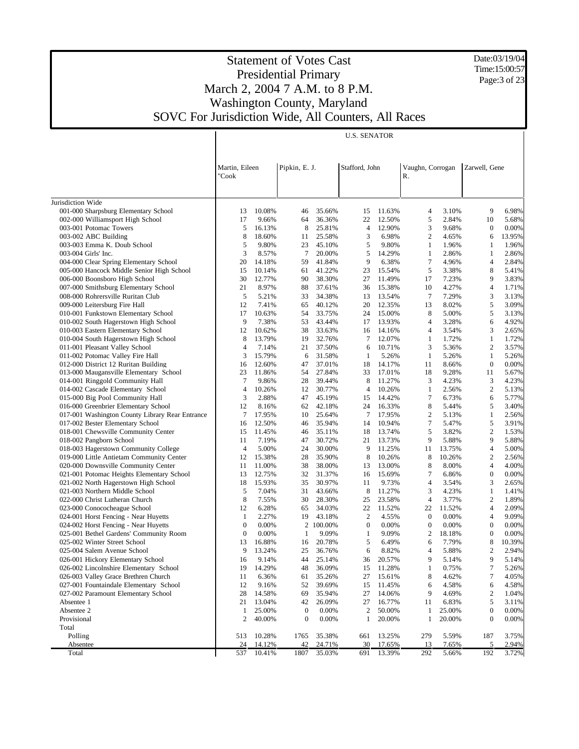Date:03/19/04 Time:15:00:57 Page:3 of 23

|                                                                                         |                         |                 |                  |                  | <b>U.S. SENATOR</b> |                  |                        |                |                  |                |
|-----------------------------------------------------------------------------------------|-------------------------|-----------------|------------------|------------------|---------------------|------------------|------------------------|----------------|------------------|----------------|
|                                                                                         |                         |                 |                  |                  |                     |                  |                        |                |                  |                |
|                                                                                         |                         |                 |                  |                  |                     |                  |                        |                |                  |                |
|                                                                                         | Martin, Eileen<br>"Cook |                 | Pipkin, E. J.    |                  | Stafford, John      |                  | Vaughn, Corrogan<br>R. |                | Zarwell, Gene    |                |
|                                                                                         |                         |                 |                  |                  |                     |                  |                        |                |                  |                |
|                                                                                         |                         |                 |                  |                  |                     |                  |                        |                |                  |                |
| Jurisdiction Wide                                                                       |                         |                 |                  |                  |                     |                  |                        |                |                  |                |
| 001-000 Sharpsburg Elementary School                                                    | 13                      | 10.08%          | 46               | 35.66%           | 15                  | 11.63%           | $\overline{4}$         | 3.10%          | 9                | 6.98%          |
| 002-000 Williamsport High School                                                        | 17                      | 9.66%           | 64               | 36.36%           | 22                  | 12.50%           | 5                      | 2.84%          | 10               | 5.68%          |
| 003-001 Potomac Towers                                                                  | 5                       | 16.13%          | 8                | 25.81%           | 4                   | 12.90%           | 3                      | 9.68%          | $\boldsymbol{0}$ | 0.00%          |
| 003-002 ABC Building                                                                    | 8                       | 18.60%          | 11               | 25.58%           | 3                   | 6.98%            | $\overline{c}$         | 4.65%          | 6                | 13.95%         |
| 003-003 Emma K. Doub School<br>003-004 Girls' Inc.                                      | 5<br>3                  | 9.80%<br>8.57%  | 23<br>7          | 45.10%<br>20.00% | 5<br>5              | 9.80%<br>14.29%  | $\mathbf{1}$<br>1      | 1.96%<br>2.86% | 1<br>1           | 1.96%<br>2.86% |
| 004-000 Clear Spring Elementary School                                                  | 20                      | 14.18%          | 59               | 41.84%           | 9                   | 6.38%            | $\tau$                 | 4.96%          | 4                | 2.84%          |
| 005-000 Hancock Middle Senior High School                                               | 15                      | 10.14%          | 61               | 41.22%           | 23                  | 15.54%           | 5                      | 3.38%          | 8                | 5.41%          |
| 006-000 Boonsboro High School                                                           | 30                      | 12.77%          | 90               | 38.30%           | 27                  | 11.49%           | 17                     | 7.23%          | 9                | 3.83%          |
| 007-000 Smithsburg Elementary School                                                    | 21                      | 8.97%           | 88               | 37.61%           | 36                  | 15.38%           | 10                     | 4.27%          | 4                | 1.71%          |
| 008-000 Rohrersville Ruritan Club                                                       | 5                       | 5.21%           | 33               | 34.38%           | 13                  | 13.54%           | $7\phantom{.0}$        | 7.29%          | 3                | 3.13%          |
| 009-000 Leitersburg Fire Hall                                                           | 12                      | 7.41%           | 65               | 40.12%           | 20                  | 12.35%           | 13                     | 8.02%          | 5                | 3.09%          |
| 010-001 Funkstown Elementary School                                                     | 17                      | 10.63%          | 54               | 33.75%           | 24                  | 15.00%           | 8                      | 5.00%          | 5                | 3.13%          |
| 010-002 South Hagerstown High School                                                    | 9                       | 7.38%           | 53               | 43.44%           | 17                  | 13.93%           | 4                      | 3.28%          | 6                | 4.92%          |
| 010-003 Eastern Elementary School                                                       | 12                      | 10.62%          | 38               | 33.63%           | 16                  | 14.16%           | 4                      | 3.54%          | 3                | 2.65%          |
| 010-004 South Hagerstown High School                                                    | 8                       | 13.79%          | 19               | 32.76%           | $\tau$              | 12.07%           | 1                      | 1.72%          | 1                | 1.72%          |
| 011-001 Pleasant Valley School                                                          | $\overline{4}$          | 7.14%           | 21               | 37.50%           | 6                   | 10.71%           | 3                      | 5.36%          | $\overline{c}$   | 3.57%          |
| 011-002 Potomac Valley Fire Hall                                                        | 3                       | 15.79%          | 6                | 31.58%           | 1                   | 5.26%            | 1                      | 5.26%          | 1                | 5.26%          |
| 012-000 District 12 Ruritan Building                                                    | 16                      | 12.60%          | 47               | 37.01%           | 18                  | 14.17%           | 11                     | 8.66%          | $\mathbf{0}$     | 0.00%          |
| 013-000 Maugansville Elementary School                                                  | 23                      | 11.86%          | 54               | 27.84%           | 33                  | 17.01%           | 18                     | 9.28%          | 11               | 5.67%          |
| 014-001 Ringgold Community Hall                                                         | $\tau$                  | 9.86%           | 28               | 39.44%           | 8                   | 11.27%           | 3                      | 4.23%          | 3                | 4.23%          |
| 014-002 Cascade Elementary School                                                       | $\overline{4}$          | 10.26%          | 12               | 30.77%           | 4                   | 10.26%           | $\mathbf{1}$           | 2.56%          | $\overline{c}$   | 5.13%          |
| 015-000 Big Pool Community Hall                                                         | 3                       | 2.88%           | 47               | 45.19%           | 15                  | 14.42%           | 7                      | 6.73%          | 6                | 5.77%          |
| 016-000 Greenbrier Elementary School<br>017-001 Washington County Library Rear Entrance | 12<br>7                 | 8.16%<br>17.95% | 62<br>10         | 42.18%<br>25.64% | 24<br>7             | 16.33%<br>17.95% | 8<br>2                 | 5.44%<br>5.13% | 5<br>1           | 3.40%<br>2.56% |
| 017-002 Bester Elementary School                                                        | 16                      | 12.50%          | 46               | 35.94%           | 14                  | 10.94%           | 7                      | 5.47%          | 5                | 3.91%          |
| 018-001 Chewsville Community Center                                                     | 15                      | 11.45%          | 46               | 35.11%           | 18                  | 13.74%           | 5                      | 3.82%          | $\overline{c}$   | 1.53%          |
| 018-002 Pangborn School                                                                 | 11                      | 7.19%           | 47               | 30.72%           | 21                  | 13.73%           | 9                      | 5.88%          | 9                | 5.88%          |
| 018-003 Hagerstown Community College                                                    | 4                       | 5.00%           | 24               | 30.00%           | 9                   | 11.25%           | 11                     | 13.75%         | 4                | 5.00%          |
| 019-000 Little Antietam Community Center                                                | 12                      | 15.38%          | 28               | 35.90%           | 8                   | 10.26%           | 8                      | 10.26%         | $\boldsymbol{2}$ | 2.56%          |
| 020-000 Downsville Community Center                                                     | 11                      | 11.00%          | 38               | 38.00%           | 13                  | 13.00%           | 8                      | 8.00%          | 4                | 4.00%          |
| 021-001 Potomac Heights Elementary School                                               | 13                      | 12.75%          | 32               | 31.37%           | 16                  | 15.69%           | 7                      | 6.86%          | $\boldsymbol{0}$ | 0.00%          |
| 021-002 North Hagerstown High School                                                    | 18                      | 15.93%          | 35               | 30.97%           | 11                  | 9.73%            | $\overline{4}$         | 3.54%          | 3                | 2.65%          |
| 021-003 Northern Middle School                                                          | 5                       | 7.04%           | 31               | 43.66%           | 8                   | 11.27%           | 3                      | 4.23%          | 1                | 1.41%          |
| 022-000 Christ Lutheran Church                                                          | 8                       | 7.55%           | 30               | 28.30%           | 25                  | 23.58%           | $\overline{4}$         | 3.77%          | $\overline{c}$   | 1.89%          |
| 023-000 Conococheague School                                                            | 12                      | 6.28%           | 65               | 34.03%           | 22                  | 11.52%           | 22                     | 11.52%         | 4                | 2.09%          |
| 024-001 Horst Fencing - Near Huyetts                                                    | 1                       | 2.27%           | 19               | 43.18%           | $\overline{c}$      | 4.55%            | $\mathbf{0}$           | 0.00%          | 4                | 9.09%          |
| 024-002 Horst Fencing - Near Huyetts                                                    | $\boldsymbol{0}$        | 0.00%           |                  | 2 100.00%        | $\boldsymbol{0}$    | 0.00%            | $\boldsymbol{0}$       | 0.00%          | 0                | 0.00%          |
| 025-001 Bethel Gardens' Community Room                                                  | $\theta$                | 0.00%           | 1                | 9.09%            | 1                   | 9.09%            | 2                      | 18.18%         | $\overline{0}$   | 0.00%          |
| 025-002 Winter Street School                                                            | 13                      | 16.88%          | 16               | 20.78%           | 5                   | 6.49%            | 6                      | 7.79%          | 8                | 10.39%         |
| 025-004 Salem Avenue School                                                             | $\mathbf Q$             | 13.24%          |                  | 25 36.76%        | 6                   | 8.82%            | 4                      | 5.88%          | $\overline{c}$   | 2.94%          |
| 026-001 Hickory Elementary School<br>026-002 Lincolnshire Elementary School             | 16                      | 9.14%<br>14.29% | 44               | 25.14%<br>36.09% | 36                  | 20.57%<br>11.28% | 9                      | 5.14%<br>0.75% | 9<br>7           | 5.14%<br>5.26% |
| 026-003 Valley Grace Brethren Church                                                    | 19<br>11                | 6.36%           | 48<br>61         | 35.26%           | 15<br>27            | 15.61%           | 1<br>8                 | 4.62%          | 7                | 4.05%          |
| 027-001 Fountaindale Elementary School                                                  | 12                      | 9.16%           | 52               | 39.69%           | 15                  | 11.45%           | 6                      | 4.58%          | 6                | 4.58%          |
| 027-002 Paramount Elementary School                                                     | 28                      | 14.58%          | 69               | 35.94%           | 27                  | 14.06%           | 9                      | 4.69%          | $\overline{c}$   | 1.04%          |
| Absentee 1                                                                              | 21                      | 13.04%          | 42               | 26.09%           | 27                  | 16.77%           | 11                     | 6.83%          | 5                | 3.11%          |
| Absentee 2                                                                              | $\mathbf{1}$            | 25.00%          | $\boldsymbol{0}$ | 0.00%            | $\overline{2}$      | 50.00%           | 1                      | 25.00%         | $\boldsymbol{0}$ | 0.00%          |
| Provisional                                                                             | $\overline{c}$          | 40.00%          | $\boldsymbol{0}$ | 0.00%            | 1                   | 20.00%           | 1                      | 20.00%         | $\boldsymbol{0}$ | $0.00\%$       |
| Total                                                                                   |                         |                 |                  |                  |                     |                  |                        |                |                  |                |
| Polling                                                                                 | 513                     | 10.28%          | 1765             | 35.38%           | 661                 | 13.25%           | 279                    | 5.59%          | 187              | 3.75%          |
| Absentee                                                                                | 24                      | 14.12%          | 42               | 24.71%           | 30                  | 17.65%           | 13                     | 7.65%          | 5                | 2.94%          |
| Total                                                                                   | 537                     | 10.41%          | 1807             | 35.03%           | 691                 | 13.39%           | 292                    | 5.66%          | 192              | 3.72%          |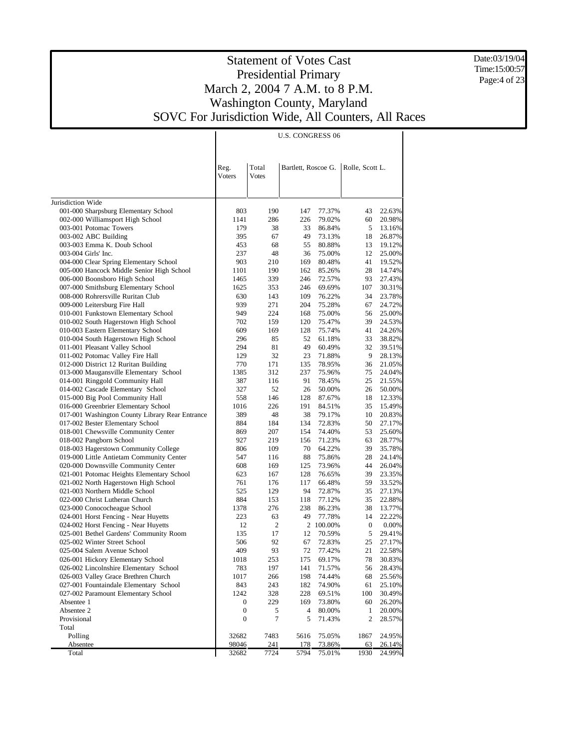Date:03/19/04 Time:15:00:57 Page:4 of 23

|                                                                                  |                |                       | <b>U.S. CONGRESS 06</b> |                  |                 |                  |
|----------------------------------------------------------------------------------|----------------|-----------------------|-------------------------|------------------|-----------------|------------------|
|                                                                                  | Reg.<br>Voters | Total<br><b>Votes</b> | Bartlett, Roscoe G.     |                  | Rolle, Scott L. |                  |
|                                                                                  |                |                       |                         |                  |                 |                  |
| Jurisdiction Wide                                                                |                |                       |                         |                  |                 |                  |
| 001-000 Sharpsburg Elementary School                                             | 803            | 190                   | 147                     | 77.37%           | 43              | 22.63%           |
| 002-000 Williamsport High School                                                 | 1141           | 286                   | 226                     | 79.02%           | 60              | 20.98%           |
| 003-001 Potomac Towers                                                           | 179            | 38                    | 33                      | 86.84%           | 5               | 13.16%           |
| 003-002 ABC Building                                                             | 395            | 67                    | 49                      | 73.13%           | 18              | 26.87%           |
| 003-003 Emma K. Doub School                                                      | 453            | 68                    | 55                      | 80.88%           | 13              | 19.12%           |
| 003-004 Girls' Inc.                                                              | 237            | 48                    | 36                      | 75.00%           | 12              | 25.00%           |
| 004-000 Clear Spring Elementary School                                           | 903            | 210                   | 169                     | 80.48%           | 41              | 19.52%           |
| 005-000 Hancock Middle Senior High School                                        | 1101           | 190                   | 162                     | 85.26%           | 28              | 14.74%           |
| 006-000 Boonsboro High School                                                    | 1465           | 339                   | 246                     | 72.57%           | 93              | 27.43%           |
| 007-000 Smithsburg Elementary School                                             | 1625           | 353                   | 246                     | 69.69%           | 107             | 30.31%           |
| 008-000 Rohrersville Ruritan Club                                                | 630            | 143                   | 109                     | 76.22%           | 34              | 23.78%           |
| 009-000 Leitersburg Fire Hall                                                    | 939            | 271                   | 204                     | 75.28%           | 67              | 24.72%           |
| 010-001 Funkstown Elementary School                                              | 949            | 224                   | 168                     | 75.00%           | 56              | 25.00%           |
| 010-002 South Hagerstown High School                                             | 702            | 159                   | 120                     | 75.47%           | 39              | 24.53%           |
| 010-003 Eastern Elementary School                                                | 609            | 169                   | 128                     | 75.74%           | 41              | 24.26%           |
| 010-004 South Hagerstown High School                                             | 296            | 85                    | 52                      | 61.18%           | 33              | 38.82%           |
| 011-001 Pleasant Valley School                                                   | 294            | 81                    | 49                      | 60.49%           | 32              | 39.51%           |
| 011-002 Potomac Valley Fire Hall                                                 | 129            | 32                    | 23                      | 71.88%           | 9               | 28.13%           |
| 012-000 District 12 Ruritan Building                                             | 770            | 171                   | 135                     | 78.95%           | 36              | 21.05%           |
| 013-000 Maugansville Elementary School                                           | 1385           | 312                   | 237                     | 75.96%           | 75              | 24.04%           |
| 014-001 Ringgold Community Hall                                                  | 387            | 116                   | 91                      | 78.45%           | 25              | 21.55%           |
| 014-002 Cascade Elementary School                                                | 327            | 52                    | 26                      | 50.00%           | 26              | 50.00%           |
| 015-000 Big Pool Community Hall                                                  | 558            | 146                   | 128                     | 87.67%           | 18              | 12.33%           |
| 016-000 Greenbrier Elementary School                                             | 1016           | 226                   | 191                     | 84.51%           | 35              | 15.49%           |
| 017-001 Washington County Library Rear Entrance                                  | 389            | 48                    | 38                      | 79.17%           | 10              | 20.83%           |
| 017-002 Bester Elementary School                                                 | 884            | 184                   | 134                     | 72.83%           | 50              | 27.17%           |
| 018-001 Chewsville Community Center                                              | 869            | 207                   | 154                     | 74.40%           | 53              | 25.60%           |
| 018-002 Pangborn School                                                          | 927            | 219                   | 156                     | 71.23%           | 63              | 28.77%           |
| 018-003 Hagerstown Community College                                             | 806            | 109                   | 70<br>88                | 64.22%           | 39              | 35.78%           |
| 019-000 Little Antietam Community Center                                         | 547            | 116                   |                         | 75.86%<br>73.96% | 28              | 24.14%           |
| 020-000 Downsville Community Center<br>021-001 Potomac Heights Elementary School | 608            | 169<br>167            | 125<br>128              | 76.65%           | 44<br>39        | 26.04%<br>23.35% |
| 021-002 North Hagerstown High School                                             | 623<br>761     | 176                   | 117                     | 66.48%           | 59              | 33.52%           |
| 021-003 Northern Middle School                                                   | 525            | 129                   | 94                      | 72.87%           | 35              | 27.13%           |
| 022-000 Christ Lutheran Church                                                   | 884            | 153                   | 118                     | 77.12%           | 35              | 22.88%           |
| 023-000 Conococheague School                                                     | 1378           | 276                   | 238                     | 86.23%           | 38              | 13.77%           |
| 024-001 Horst Fencing - Near Huyetts                                             | 223            | 63                    | 49                      | 77.78%           | 14              | 22.22%           |
| 024-002 Horst Fencing - Near Huyetts                                             | 12             | $\mathfrak{2}$        |                         | 2 100.00%        | $\mathbf{0}$    | 0.00%            |
| 025-001 Bethel Gardens' Community Room                                           | 135            | 17                    | 12                      | 70.59%           | 5               | 29.41%           |
| 025-002 Winter Street School                                                     | 506            | 92                    | 67                      | 72.83%           | 25              | 27.17%           |
| 025-004 Salem Avenue School                                                      | 409            | 93                    | 72                      | 77.42%           | 21              | 22.58%           |
| 026-001 Hickory Elementary School                                                | 1018           | 253                   | 175                     | 69.17%           | 78              | 30.83%           |
| 026-002 Lincolnshire Elementary School                                           | 783            | 197                   | 141                     | 71.57%           | 56              | 28.43%           |
| 026-003 Valley Grace Brethren Church                                             | 1017           | 266                   | 198                     | 74.44%           | 68              | 25.56%           |
| 027-001 Fountaindale Elementary School                                           | 843            | 243                   | 182                     | 74.90%           | 61              | 25.10%           |
| 027-002 Paramount Elementary School                                              | 1242           | 328                   | 228                     | 69.51%           | 100             | 30.49%           |
| Absentee 1                                                                       | 0              | 229                   | 169                     | 73.80%           | 60              | 26.20%           |
| Absentee 2                                                                       | 0              | 5                     | 4                       | 80.00%           | 1               | 20.00%           |
| Provisional                                                                      | 0              | 7                     | 5                       | 71.43%           | $\mathfrak{2}$  | 28.57%           |
| Total                                                                            |                |                       |                         |                  |                 |                  |
| Polling                                                                          | 32682          | 7483                  | 5616                    | 75.05%           | 1867            | 24.95%           |
| <u>Absentee</u>                                                                  | 98046          | 241                   | 178                     | 73.86%           | 63              | 26.14%           |
| Total                                                                            | 32682          | 7724                  | 5794                    | 75.01%           | 1930            | 24.99%           |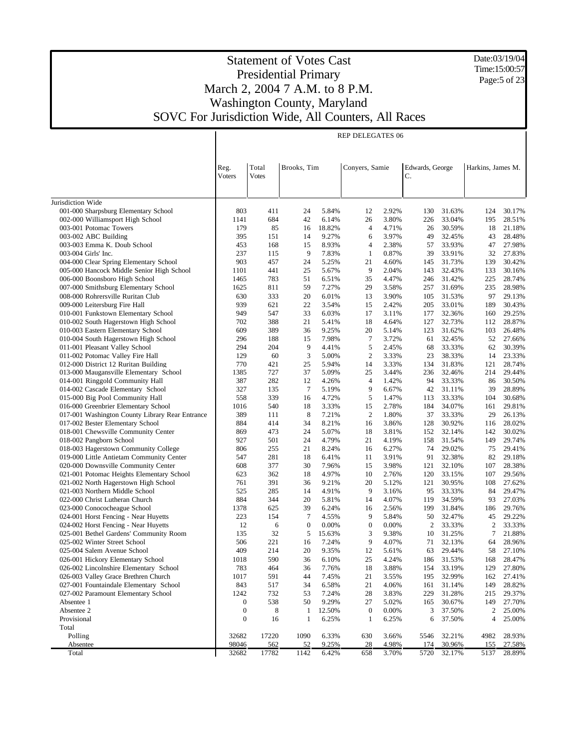Date:03/19/04 Time:15:00:57 Page:5 of 23

|                                                                           |                  |              |              |                | <b>REP DELEGATES 06</b>     |                 |                  |                   |                  |
|---------------------------------------------------------------------------|------------------|--------------|--------------|----------------|-----------------------------|-----------------|------------------|-------------------|------------------|
|                                                                           |                  |              |              |                |                             |                 |                  |                   |                  |
|                                                                           |                  |              |              |                |                             |                 |                  |                   |                  |
|                                                                           | Reg.             | Total        | Brooks, Tim  |                | Conyers, Samie              | Edwards, George |                  | Harkins, James M. |                  |
|                                                                           | Voters           | Votes        |              |                |                             | C.              |                  |                   |                  |
|                                                                           |                  |              |              |                |                             |                 |                  |                   |                  |
|                                                                           |                  |              |              |                |                             |                 |                  |                   |                  |
| Jurisdiction Wide<br>001-000 Sharpsburg Elementary School                 | 803              | 411          | 24           | 5.84%          | 2.92%<br>12                 | 130             | 31.63%           | 124               | 30.17%           |
| 002-000 Williamsport High School                                          | 1141             | 684          | 42           | 6.14%          | 3.80%<br>26                 | 226             | 33.04%           | 195               | 28.51%           |
| 003-001 Potomac Towers                                                    | 179              | 85           | 16           | 18.82%         | $\overline{4}$<br>4.71%     | 26              | 30.59%           | 18                | 21.18%           |
| 003-002 ABC Building                                                      | 395              | 151          | 14           | 9.27%          | 3.97%<br>6                  | 49              | 32.45%           | 43                | 28.48%           |
| 003-003 Emma K. Doub School                                               | 453              | 168          | 15           | 8.93%          | $\overline{4}$<br>2.38%     | 57              | 33.93%           | 47                | 27.98%           |
| 003-004 Girls' Inc.                                                       | 237              | 115          | 9            | 7.83%          | -1<br>0.87%                 | 39              | 33.91%           | 32                | 27.83%           |
| 004-000 Clear Spring Elementary School                                    | 903              | 457          | 24           | 5.25%          | 21<br>4.60%                 | 145             | 31.73%           | 139               | 30.42%           |
| 005-000 Hancock Middle Senior High School                                 | 1101             | 441          | 25           | 5.67%          | 9<br>2.04%                  | 143             | 32.43%           | 133               | 30.16%           |
| 006-000 Boonsboro High School                                             | 1465             | 783          | 51           | 6.51%          | 35<br>4.47%                 | 246             | 31.42%           | 225               | 28.74%           |
| 007-000 Smithsburg Elementary School                                      | 1625             | 811          | 59           | 7.27%          | 29<br>3.58%                 | 257             | 31.69%           | 235               | 28.98%           |
| 008-000 Rohrersville Ruritan Club                                         | 630              | 333          | 20           | 6.01%          | 13<br>3.90%                 | 105             | 31.53%           | 97                | 29.13%           |
| 009-000 Leitersburg Fire Hall                                             | 939              | 621          | 22           | 3.54%          | 15<br>2.42%                 | 205             | 33.01%           | 189               | 30.43%           |
| 010-001 Funkstown Elementary School                                       | 949              | 547          | 33           | 6.03%          | 17<br>3.11%<br>4.64%        | 177             | 32.36%           | 160               | 29.25%           |
| 010-002 South Hagerstown High School                                      | 702<br>609       | 388<br>389   | 21<br>36     | 5.41%<br>9.25% | 18<br>20<br>5.14%           | 127<br>123      | 32.73%<br>31.62% | 112<br>103        | 28.87%<br>26.48% |
| 010-003 Eastern Elementary School<br>010-004 South Hagerstown High School | 296              | 188          | 15           | 7.98%          | $\tau$<br>3.72%             | 61              | 32.45%           | 52                | 27.66%           |
| 011-001 Pleasant Valley School                                            | 294              | 204          | 9            | 4.41%          | 5<br>2.45%                  | 68              | 33.33%           | 62                | 30.39%           |
| 011-002 Potomac Valley Fire Hall                                          | 129              | 60           | 3            | 5.00%          | $\overline{2}$<br>3.33%     | 23              | 38.33%           | 14                | 23.33%           |
| 012-000 District 12 Ruritan Building                                      | 770              | 421          | 25           | 5.94%          | 14<br>3.33%                 | 134             | 31.83%           | 121               | 28.74%           |
| 013-000 Maugansville Elementary School                                    | 1385             | 727          | 37           | 5.09%          | 25<br>3.44%                 | 236             | 32.46%           | 214               | 29.44%           |
| 014-001 Ringgold Community Hall                                           | 387              | 282          | 12           | 4.26%          | $\overline{4}$<br>1.42%     | 94              | 33.33%           | 86                | 30.50%           |
| 014-002 Cascade Elementary School                                         | 327              | 135          | $\tau$       | 5.19%          | 9<br>6.67%                  | 42              | 31.11%           | 39                | 28.89%           |
| 015-000 Big Pool Community Hall                                           | 558              | 339          | 16           | 4.72%          | 5<br>1.47%                  | 113             | 33.33%           | 104               | 30.68%           |
| 016-000 Greenbrier Elementary School                                      | 1016             | 540          | 18           | 3.33%          | 15<br>2.78%                 | 184             | 34.07%           | 161               | 29.81%           |
| 017-001 Washington County Library Rear Entrance                           | 389              | 111          | 8            | 7.21%          | $\overline{2}$<br>1.80%     | 37              | 33.33%           | 29                | 26.13%           |
| 017-002 Bester Elementary School                                          | 884              | 414          | 34           | 8.21%          | 3.86%<br>16                 | 128             | 30.92%           | 116               | 28.02%           |
| 018-001 Chewsville Community Center                                       | 869              | 473          | 24           | 5.07%          | 18<br>3.81%                 | 152             | 32.14%           | 142               | 30.02%           |
| 018-002 Pangborn School                                                   | 927              | 501          | 24           | 4.79%          | 21<br>4.19%                 | 158             | 31.54%           | 149               | 29.74%           |
| 018-003 Hagerstown Community College                                      | 806              | 255          | 21           | 8.24%          | 6.27%<br>16                 | 74              | 29.02%           | 75                | 29.41%           |
| 019-000 Little Antietam Community Center                                  | 547              | 281          | 18           | 6.41%          | 11<br>3.91%                 | 91              | 32.38%           | 82                | 29.18%           |
| 020-000 Downsville Community Center                                       | 608              | 377          | 30           | 7.96%          | 3.98%<br>15                 | 121             | 32.10%           | 107               | 28.38%           |
| 021-001 Potomac Heights Elementary School                                 | 623              | 362<br>391   | 18           | 4.97%          | 10<br>2.76%                 | 120             | 33.15%           | 107               | 29.56%           |
| 021-002 North Hagerstown High School<br>021-003 Northern Middle School    | 761<br>525       | 285          | 36<br>14     | 9.21%<br>4.91% | 20<br>5.12%<br>9<br>3.16%   | 121<br>95       | 30.95%<br>33.33% | 108<br>84         | 27.62%<br>29.47% |
| 022-000 Christ Lutheran Church                                            | 884              | 344          | 20           | 5.81%          | 14<br>4.07%                 | 119             | 34.59%           | 93                | 27.03%           |
| 023-000 Conococheague School                                              | 1378             | 625          | 39           | 6.24%          | 2.56%<br>16                 | 199             | 31.84%           | 186               | 29.76%           |
| 024-001 Horst Fencing - Near Huyetts                                      | 223              | 154          | 7            | 4.55%          | 9<br>5.84%                  | 50              | 32.47%           | 45                | 29.22%           |
| 024-002 Horst Fencing - Near Huyetts                                      | 12               | 6            | $\mathbf{0}$ | 0.00%          | $\boldsymbol{0}$<br>0.00%   | 2               | 33.33%           | $\overline{c}$    | 33.33%           |
| 025-001 Bethel Gardens' Community Room                                    | 135              | 32           | 5            | 15.63%         | 3<br>9.38%                  | 10              | 31.25%           | 7                 | 21.88%           |
| 025-002 Winter Street School                                              | 506              | 221          | 16           | 7.24%          | 9<br>4.07%                  | 71              | 32.13%           | 64                | 28.96%           |
| 025-004 Salem Avenue School                                               | 409              | 214          | 20           | 9.35%          | 12<br>5.61%                 | 63              | 29.44%           |                   | 58 27.10%        |
| 026-001 Hickory Elementary School                                         | 1018             | 590          | 36           | 6.10%          | 4.24%<br>25                 | 186             | 31.53%           | 168               | 28.47%           |
| 026-002 Lincolnshire Elementary School                                    | 783              | 464          | 36           | 7.76%          | 3.88%<br>18                 | 154             | 33.19%           | 129               | 27.80%           |
| 026-003 Valley Grace Brethren Church                                      | 1017             | 591          | 44           | 7.45%          | 21<br>3.55%                 | 195             | 32.99%           | 162               | 27.41%           |
| 027-001 Fountaindale Elementary School                                    | 843              | 517          | 34           | 6.58%          | 21<br>4.06%                 | 161             | 31.14%           | 149               | 28.82%           |
| 027-002 Paramount Elementary School                                       | 1242             | 732          | 53           | 7.24%          | 28<br>3.83%                 | 229             | 31.28%           | 215               | 29.37%           |
| Absentee 1                                                                | $\boldsymbol{0}$ | 538          | 50           | 9.29%          | 27<br>5.02%                 | 165             | 30.67%           | 149               | 27.70%           |
| Absentee 2                                                                | $\boldsymbol{0}$ | 8            | $\mathbf{1}$ | 12.50%         | $\boldsymbol{0}$<br>0.00%   | 3               | 37.50%           | 2                 | 25.00%           |
| Provisional                                                               | $\boldsymbol{0}$ | 16           | $\mathbf{1}$ | 6.25%          | $\mathbf{1}$<br>6.25%       | 6               | 37.50%           | 4                 | 25.00%           |
| Total                                                                     |                  |              |              |                |                             |                 |                  |                   |                  |
| Polling                                                                   | 32682<br>98046   | 17220        | 1090         | 6.33%          | 630<br>3.66%                | 5546<br>174     | 32.21%           | 4982              | 28.93%<br>27.58% |
| Absentee<br>Total                                                         | 32682            | 562<br>17782 | 52<br>1142   | 9.25%<br>6.42% | 28<br>4.98%<br>658<br>3.70% | 5720            | 30.96%<br>32.17% | 155<br>5137       | 28.89%           |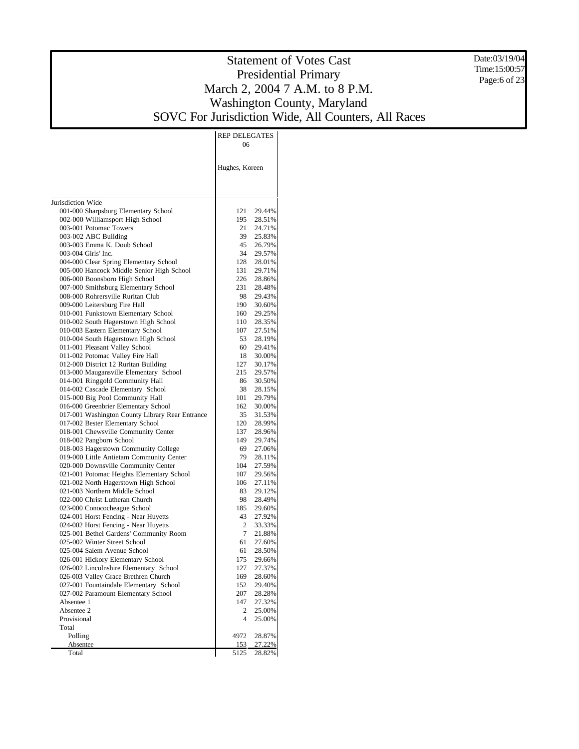Date:03/19/04 Time:15:00:57 Page:6 of 23

|                                                                              | <b>REP DELEGATES</b>            |  |
|------------------------------------------------------------------------------|---------------------------------|--|
|                                                                              | 06                              |  |
|                                                                              |                                 |  |
|                                                                              | Hughes, Koreen                  |  |
|                                                                              |                                 |  |
|                                                                              |                                 |  |
| Jurisdiction Wide                                                            |                                 |  |
| 001-000 Sharpsburg Elementary School                                         | 29.44%<br>121                   |  |
| 002-000 Williamsport High School                                             | 195<br>28.51%                   |  |
| 003-001 Potomac Towers                                                       | 21<br>24.71%                    |  |
| 003-002 ABC Building                                                         | 39<br>25.83%                    |  |
| 003-003 Emma K. Doub School                                                  | 45<br>26.79%                    |  |
| 003-004 Girls' Inc.                                                          | 34<br>29.57%                    |  |
| 004-000 Clear Spring Elementary School                                       | 128<br>28.01%                   |  |
| 005-000 Hancock Middle Senior High School<br>006-000 Boonsboro High School   | 131<br>29.71%<br>226<br>28.86%  |  |
| 007-000 Smithsburg Elementary School                                         | 231<br>28.48%                   |  |
| 008-000 Rohrersville Ruritan Club                                            | 98<br>29.43%                    |  |
| 009-000 Leitersburg Fire Hall                                                | 190<br>30.60%                   |  |
| 010-001 Funkstown Elementary School                                          | 160<br>29.25%                   |  |
| 010-002 South Hagerstown High School                                         | 110<br>28.35%                   |  |
| 010-003 Eastern Elementary School                                            | 107<br>27.51%                   |  |
| 010-004 South Hagerstown High School                                         | 53<br>28.19%                    |  |
| 011-001 Pleasant Valley School                                               | 60<br>29.41%                    |  |
| 011-002 Potomac Valley Fire Hall                                             | 18<br>30.00%                    |  |
| 012-000 District 12 Ruritan Building                                         | 127<br>30.17%                   |  |
| 013-000 Maugansville Elementary School                                       | 215<br>29.57%                   |  |
| 014-001 Ringgold Community Hall                                              | 30.50%<br>86                    |  |
| 014-002 Cascade Elementary School<br>015-000 Big Pool Community Hall         | 38<br>28.15%                    |  |
| 016-000 Greenbrier Elementary School                                         | 29.79%<br>101<br>30.00%<br>162  |  |
| 017-001 Washington County Library Rear Entrance                              | 35<br>31.53%                    |  |
| 017-002 Bester Elementary School                                             | 120<br>28.99%                   |  |
| 018-001 Chewsville Community Center                                          | 28.96%<br>137                   |  |
| 018-002 Pangborn School                                                      | 29.74%<br>149                   |  |
| 018-003 Hagerstown Community College                                         | 27.06%<br>69                    |  |
| 019-000 Little Antietam Community Center                                     | 79<br>28.11%                    |  |
| 020-000 Downsville Community Center                                          | 27.59%<br>104                   |  |
| 021-001 Potomac Heights Elementary School                                    | 107<br>29.56%                   |  |
| 021-002 North Hagerstown High School                                         | 106<br>27.11%                   |  |
| 021-003 Northern Middle School                                               | 83<br>29.12%                    |  |
| 022-000 Christ Lutheran Church                                               | 98<br>28.49%                    |  |
| 023-000 Conococheague School                                                 | 185<br>29.60%<br>43             |  |
| 024-001 Horst Fencing - Near Huyetts<br>024-002 Horst Fencing - Near Huyetts | 27.92%<br>33.33%<br>2           |  |
| 025-001 Bethel Gardens' Community Room                                       | 7<br>21.88%                     |  |
| 025-002 Winter Street School                                                 | 61<br>27.60%                    |  |
| 025-004 Salem Avenue School                                                  | 61<br>28.50%                    |  |
| 026-001 Hickory Elementary School                                            | 29.66%<br>175                   |  |
| 026-002 Lincolnshire Elementary School                                       | 27.37%<br>127                   |  |
| 026-003 Valley Grace Brethren Church                                         | 169<br>28.60%                   |  |
| 027-001 Fountaindale Elementary School                                       | 29.40%<br>152                   |  |
| 027-002 Paramount Elementary School                                          | 28.28%<br>207                   |  |
| Absentee 1                                                                   | 147<br>27.32%                   |  |
| Absentee 2                                                                   | 25.00%<br>2                     |  |
| Provisional                                                                  | $\overline{4}$<br>25.00%        |  |
| Total                                                                        |                                 |  |
| Polling<br>Absentee                                                          | 4972<br>28.87%<br>27.22%<br>153 |  |
| Total                                                                        | 5125<br>28.82%                  |  |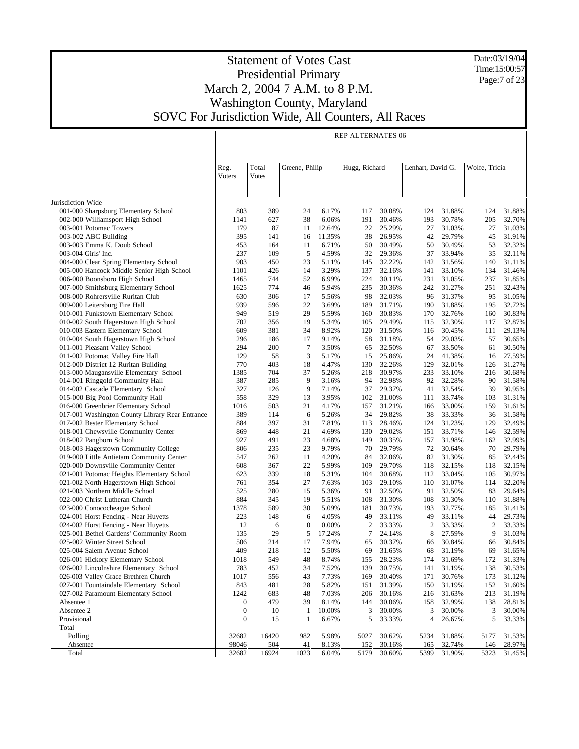Date:03/19/04 Time:15:00:57 Page:7 of 23

|                                                                             |                  |              |                |                | <b>REP ALTERNATES 06</b> |                  |                   |                  |               |                  |
|-----------------------------------------------------------------------------|------------------|--------------|----------------|----------------|--------------------------|------------------|-------------------|------------------|---------------|------------------|
|                                                                             |                  |              |                |                |                          |                  |                   |                  |               |                  |
|                                                                             |                  |              |                |                |                          |                  |                   |                  |               |                  |
|                                                                             | Reg.             | Total        | Greene, Philip |                | Hugg, Richard            |                  | Lenhart, David G. |                  | Wolfe, Tricia |                  |
|                                                                             | Voters           | <b>Votes</b> |                |                |                          |                  |                   |                  |               |                  |
|                                                                             |                  |              |                |                |                          |                  |                   |                  |               |                  |
| Jurisdiction Wide                                                           |                  |              |                |                |                          |                  |                   |                  |               |                  |
| 001-000 Sharpsburg Elementary School                                        | 803              | 389          | 24             | 6.17%          | 117                      | 30.08%           | 124               | 31.88%           | 124           | 31.88%           |
| 002-000 Williamsport High School                                            | 1141             | 627          | 38             | 6.06%          | 191                      | 30.46%           | 193               | 30.78%           | 205           | 32.70%           |
| 003-001 Potomac Towers                                                      | 179              | 87           | 11             | 12.64%         | 22                       | 25.29%           | 27                | 31.03%           | 27            | 31.03%           |
| 003-002 ABC Building                                                        | 395              | 141          | 16             | 11.35%         | 38                       | 26.95%           | 42                | 29.79%           | 45            | 31.91%           |
| 003-003 Emma K. Doub School                                                 | 453              | 164          | 11             | 6.71%          | 50                       | 30.49%           | 50                | 30.49%           | 53            | 32.32%           |
| 003-004 Girls' Inc.                                                         | 237              | 109          | 5              | 4.59%          | 32                       | 29.36%           | 37                | 33.94%           | 35            | 32.11%           |
| 004-000 Clear Spring Elementary School                                      | 903              | 450          | 23             | 5.11%          | 145                      | 32.22%           | 142               | 31.56%           | 140           | 31.11%           |
| 005-000 Hancock Middle Senior High School                                   | 1101             | 426          | 14             | 3.29%          | 137                      | 32.16%           | 141               | 33.10%           | 134           | 31.46%           |
| 006-000 Boonsboro High School                                               | 1465             | 744          | 52             | 6.99%          | 224                      | 30.11%           | 231               | 31.05%           | 237           | 31.85%           |
| 007-000 Smithsburg Elementary School<br>008-000 Rohrersville Ruritan Club   | 1625<br>630      | 774<br>306   | 46<br>17       | 5.94%<br>5.56% | 235<br>98                | 30.36%<br>32.03% | 242<br>96         | 31.27%<br>31.37% | 251<br>95     | 32.43%<br>31.05% |
| 009-000 Leitersburg Fire Hall                                               | 939              | 596          | 22             | 3.69%          | 189                      | 31.71%           | 190               | 31.88%           | 195           | 32.72%           |
| 010-001 Funkstown Elementary School                                         | 949              | 519          | 29             | 5.59%          | 160                      | 30.83%           | 170               | 32.76%           | 160           | 30.83%           |
| 010-002 South Hagerstown High School                                        | 702              | 356          | 19             | 5.34%          | 105                      | 29.49%           | 115               | 32.30%           | 117           | 32.87%           |
| 010-003 Eastern Elementary School                                           | 609              | 381          | 34             | 8.92%          | 120                      | 31.50%           | 116               | 30.45%           | 111           | 29.13%           |
| 010-004 South Hagerstown High School                                        | 296              | 186          | 17             | 9.14%          | 58                       | 31.18%           | 54                | 29.03%           | 57            | 30.65%           |
| 011-001 Pleasant Valley School                                              | 294              | 200          | $\tau$         | 3.50%          | 65                       | 32.50%           | 67                | 33.50%           | 61            | 30.50%           |
| 011-002 Potomac Valley Fire Hall                                            | 129              | 58           | 3              | 5.17%          | 15                       | 25.86%           | 24                | 41.38%           | 16            | 27.59%           |
| 012-000 District 12 Ruritan Building                                        | 770              | 403          | 18             | 4.47%          | 130                      | 32.26%           | 129               | 32.01%           | 126           | 31.27%           |
| 013-000 Maugansville Elementary School                                      | 1385             | 704          | 37             | 5.26%          | 218                      | 30.97%           | 233               | 33.10%           | 216           | 30.68%           |
| 014-001 Ringgold Community Hall                                             | 387              | 285          | 9              | 3.16%          | 94                       | 32.98%           | 92                | 32.28%           | 90            | 31.58%           |
| 014-002 Cascade Elementary School                                           | 327              | 126          | 9              | 7.14%          | 37                       | 29.37%           | 41                | 32.54%           | 39            | 30.95%           |
| 015-000 Big Pool Community Hall                                             | 558              | 329          | 13             | 3.95%          | 102                      | 31.00%           | 111               | 33.74%           | 103           | 31.31%           |
| 016-000 Greenbrier Elementary School                                        | 1016             | 503          | 21             | 4.17%          | 157                      | 31.21%           | 166               | 33.00%           | 159           | 31.61%           |
| 017-001 Washington County Library Rear Entrance                             | 389              | 114          | 6              | 5.26%          | 34                       | 29.82%           | 38                | 33.33%           | 36            | 31.58%           |
| 017-002 Bester Elementary School<br>018-001 Chewsville Community Center     | 884<br>869       | 397<br>448   | 31<br>21       | 7.81%<br>4.69% | 113<br>130               | 28.46%<br>29.02% | 124<br>151        | 31.23%<br>33.71% | 129<br>146    | 32.49%<br>32.59% |
| 018-002 Pangborn School                                                     | 927              | 491          | 23             | 4.68%          | 149                      | 30.35%           | 157               | 31.98%           | 162           | 32.99%           |
| 018-003 Hagerstown Community College                                        | 806              | 235          | 23             | 9.79%          | 70                       | 29.79%           | 72                | 30.64%           | 70            | 29.79%           |
| 019-000 Little Antietam Community Center                                    | 547              | 262          | 11             | 4.20%          | 84                       | 32.06%           | 82                | 31.30%           | 85            | 32.44%           |
| 020-000 Downsville Community Center                                         | 608              | 367          | 22             | 5.99%          | 109                      | 29.70%           | 118               | 32.15%           | 118           | 32.15%           |
| 021-001 Potomac Heights Elementary School                                   | 623              | 339          | 18             | 5.31%          | 104                      | 30.68%           | 112               | 33.04%           | 105           | 30.97%           |
| 021-002 North Hagerstown High School                                        | 761              | 354          | 27             | 7.63%          | 103                      | 29.10%           | 110               | 31.07%           | 114           | 32.20%           |
| 021-003 Northern Middle School                                              | 525              | 280          | 15             | 5.36%          | 91                       | 32.50%           | 91                | 32.50%           | 83            | 29.64%           |
| 022-000 Christ Lutheran Church                                              | 884              | 345          | 19             | 5.51%          | 108                      | 31.30%           | 108               | 31.30%           | 110           | 31.88%           |
| 023-000 Conococheague School                                                | 1378             | 589          | 30             | 5.09%          | 181                      | 30.73%           | 193               | 32.77%           | 185           | 31.41%           |
| 024-001 Horst Fencing - Near Huyetts                                        | 223              | 148          | 6              | 4.05%          | 49                       | 33.11%           | 49                | 33.11%           | 44            | 29.73%           |
| 024-002 Horst Fencing - Near Huyetts                                        | 12               | 6            | $\mathbf{0}$   | 0.00%          | 2                        | 33.33%           | 2                 | 33.33%           | 2             | 33.33%           |
| 025-001 Bethel Gardens' Community Room                                      | 135              | 29           | 5              | 17.24%         | 7                        | 24.14%           | 8                 | 27.59%           | 9             | 31.03%           |
| 025-002 Winter Street School                                                | 506              | 214          | 17             | 7.94%          | 65                       | 30.37%           | 66                | 30.84%           | 66            | 30.84%           |
| 025-004 Salem Avenue School                                                 | 409              | 218          | 12             | 5.50%          | 69                       | 31.65%           | 68                | 31.19%           | 69            | 31.65%           |
| 026-001 Hickory Elementary School<br>026-002 Lincolnshire Elementary School | 1018             | 549          | 48             | 8.74%          | 155                      | 28.23%<br>30.75% | 174               | 31.69%<br>31.19% | 172<br>138    | 31.33%<br>30.53% |
| 026-003 Valley Grace Brethren Church                                        | 783<br>1017      | 452<br>556   | 34<br>43       | 7.52%<br>7.73% | 139<br>169               | 30.40%           | 141<br>171        | 30.76%           | 173           | 31.12%           |
| 027-001 Fountaindale Elementary School                                      | 843              | 481          | 28             | 5.82%          | 151                      | 31.39%           | 150               | 31.19%           | 152           | 31.60%           |
| 027-002 Paramount Elementary School                                         | 1242             | 683          | 48             | 7.03%          | 206                      | 30.16%           | 216               | 31.63%           | 213           | 31.19%           |
| Absentee 1                                                                  | 0                | 479          | 39             | 8.14%          | 144                      | 30.06%           | 158               | 32.99%           | 138           | 28.81%           |
| Absentee 2                                                                  | $\boldsymbol{0}$ | 10           | $\mathbf{1}$   | 10.00%         | 3                        | 30.00%           | 3                 | 30.00%           | 3             | 30.00%           |
| Provisional                                                                 | $\boldsymbol{0}$ | 15           | 1              | 6.67%          | 5                        | 33.33%           | 4                 | 26.67%           | 5             | 33.33%           |
| Total                                                                       |                  |              |                |                |                          |                  |                   |                  |               |                  |
| Polling                                                                     | 32682            | 16420        | 982            | 5.98%          | 5027                     | 30.62%           | 5234              | 31.88%           | 5177          | 31.53%           |
| Absentee                                                                    | 98046            | 504          | 41             | 8.13%          | 152                      | 30.16%           | 165               | 32.74%           | 146           | 28.97%           |
| Total                                                                       | 32682            | 16924        | 1023           | 6.04%          | 5179                     | 30.60%           | 5399              | 31.90%           | 5323          | 31.45%           |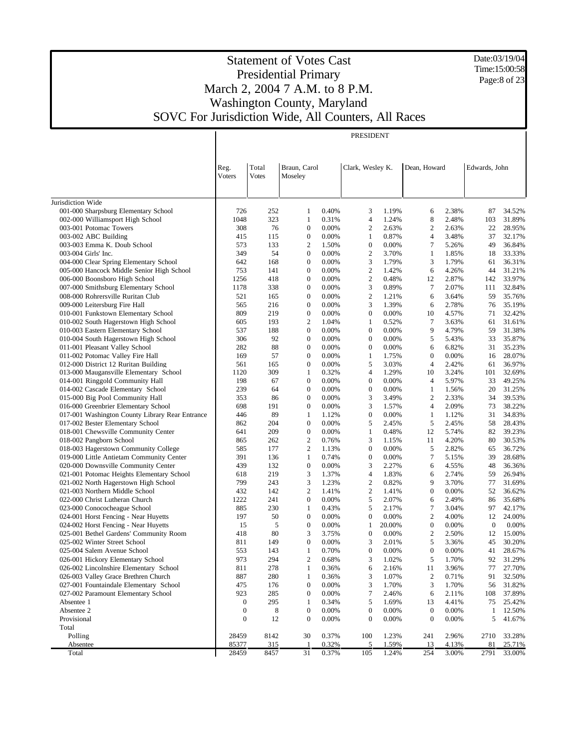Date:03/19/04 Time:15:00:58 Page:8 of 23

|                                                                                         |                  |              |                                      |                | PRESIDENT             |                |                                |                |               |                  |
|-----------------------------------------------------------------------------------------|------------------|--------------|--------------------------------------|----------------|-----------------------|----------------|--------------------------------|----------------|---------------|------------------|
|                                                                                         |                  |              |                                      |                |                       |                |                                |                |               |                  |
|                                                                                         |                  |              |                                      |                |                       |                |                                |                |               |                  |
|                                                                                         | Reg.             | Total        | Braun, Carol                         |                | Clark, Wesley K.      |                | Dean, Howard                   |                | Edwards, John |                  |
|                                                                                         | Voters           | <b>Votes</b> | Moseley                              |                |                       |                |                                |                |               |                  |
|                                                                                         |                  |              |                                      |                |                       |                |                                |                |               |                  |
|                                                                                         |                  |              |                                      |                |                       |                |                                |                |               |                  |
| Jurisdiction Wide                                                                       |                  |              |                                      |                |                       |                |                                |                |               |                  |
| 001-000 Sharpsburg Elementary School                                                    | 726              | 252          | 1                                    | 0.40%          | 3                     | 1.19%          | 6                              | 2.38%          | 87            | 34.52%           |
| 002-000 Williamsport High School                                                        | 1048             | 323          | 1                                    | 0.31%          | 4                     | 1.24%          | 8                              | 2.48%          | 103           | 31.89%           |
| 003-001 Potomac Towers                                                                  | 308              | 76           | $\boldsymbol{0}$                     | 0.00%          | $\overline{2}$        | 2.63%          | $\overline{2}$                 | 2.63%          | 22            | 28.95%           |
| 003-002 ABC Building                                                                    | 415              | 115          | $\boldsymbol{0}$                     | 0.00%          | 1                     | 0.87%          | $\overline{4}$                 | 3.48%          | 37            | 32.17%           |
| 003-003 Emma K. Doub School                                                             | 573              | 133          | 2                                    | 1.50%          | $\boldsymbol{0}$      | 0.00%          | 7                              | 5.26%          | 49            | 36.84%           |
| 003-004 Girls' Inc.                                                                     | 349              | 54           | $\boldsymbol{0}$                     | 0.00%          | $\overline{2}$        | 3.70%          | $\mathbf{1}$                   | 1.85%          | 18            | 33.33%           |
| 004-000 Clear Spring Elementary School                                                  | 642              | 168          | $\boldsymbol{0}$                     | 0.00%          | 3                     | 1.79%          | 3                              | 1.79%          | 61            | 36.31%           |
| 005-000 Hancock Middle Senior High School                                               | 753              | 141          | $\boldsymbol{0}$                     | 0.00%          | $\overline{2}$        | 1.42%          | 6                              | 4.26%          | 44            | 31.21%           |
| 006-000 Boonsboro High School                                                           | 1256             | 418          | $\boldsymbol{0}$                     | 0.00%          | $\overline{2}$        | 0.48%          | 12                             | 2.87%          | 142           | 33.97%           |
| 007-000 Smithsburg Elementary School                                                    | 1178             | 338          | $\boldsymbol{0}$                     | 0.00%          | 3                     | 0.89%          | 7                              | 2.07%          | 111           | 32.84%           |
| 008-000 Rohrersville Ruritan Club                                                       | 521              | 165          | $\boldsymbol{0}$                     | 0.00%          | $\overline{2}$        | 1.21%          | 6                              | 3.64%          | 59            | 35.76%           |
| 009-000 Leitersburg Fire Hall                                                           | 565              | 216          | $\boldsymbol{0}$                     | 0.00%          | 3                     | 1.39%          | 6                              | 2.78%          | 76            | 35.19%           |
| 010-001 Funkstown Elementary School                                                     | 809              | 219          | $\boldsymbol{0}$                     | 0.00%          | $\mathbf{0}$          | 0.00%          | 10                             | 4.57%          | 71            | 32.42%           |
| 010-002 South Hagerstown High School                                                    | 605              | 193          | $\mathfrak{2}$                       | 1.04%          | 1                     | 0.52%          | 7                              | 3.63%          | 61            | 31.61%           |
| 010-003 Eastern Elementary School                                                       | 537              | 188          | $\boldsymbol{0}$                     | 0.00%          | $\mathbf{0}$          | 0.00%          | 9                              | 4.79%          | 59            | 31.38%           |
| 010-004 South Hagerstown High School                                                    | 306              | 92           | $\boldsymbol{0}$                     | 0.00%          | $\boldsymbol{0}$      | 0.00%          | 5                              | 5.43%          | 33            | 35.87%           |
| 011-001 Pleasant Valley School                                                          | 282              | 88           | $\boldsymbol{0}$                     | 0.00%          | $\boldsymbol{0}$      | 0.00%          | 6                              | 6.82%          | 31            | 35.23%           |
| 011-002 Potomac Valley Fire Hall                                                        | 169              | 57           | $\boldsymbol{0}$                     | 0.00%          | $\mathbf{1}$          | 1.75%          | $\boldsymbol{0}$               | 0.00%          | 16            | 28.07%           |
| 012-000 District 12 Ruritan Building                                                    | 561              | 165          | $\boldsymbol{0}$                     | 0.00%          | 5                     | 3.03%          | $\overline{4}$                 | 2.42%          | 61            | 36.97%           |
| 013-000 Maugansville Elementary School                                                  | 1120             | 309          | 1                                    | 0.32%          | 4                     | 1.29%          | 10                             | 3.24%          | 101           | 32.69%           |
| 014-001 Ringgold Community Hall<br>014-002 Cascade Elementary School                    | 198              | 67           | $\boldsymbol{0}$<br>$\boldsymbol{0}$ | 0.00%          | $\boldsymbol{0}$      | 0.00%          | $\overline{4}$                 | 5.97%          | 33            | 49.25%           |
|                                                                                         | 239              | 64           | $\boldsymbol{0}$                     | 0.00%<br>0.00% | $\mathbf{0}$<br>3     | 0.00%          | $\mathbf{1}$<br>$\overline{2}$ | 1.56%          | 20            | 31.25%           |
| 015-000 Big Pool Community Hall                                                         | 353              | 86           | $\boldsymbol{0}$                     |                |                       | 3.49%          | $\overline{4}$                 | 2.33%          | 34            | 39.53%<br>38.22% |
| 016-000 Greenbrier Elementary School<br>017-001 Washington County Library Rear Entrance | 698<br>446       | 191<br>89    | 1                                    | 0.00%<br>1.12% | 3<br>$\boldsymbol{0}$ | 1.57%          | $\mathbf{1}$                   | 2.09%<br>1.12% | 73<br>31      | 34.83%           |
| 017-002 Bester Elementary School                                                        | 862              | 204          | $\boldsymbol{0}$                     | 0.00%          | 5                     | 0.00%<br>2.45% | 5                              | 2.45%          | 58            | 28.43%           |
| 018-001 Chewsville Community Center                                                     | 641              | 209          | $\boldsymbol{0}$                     | 0.00%          | 1                     | 0.48%          | 12                             | 5.74%          | 82            | 39.23%           |
| 018-002 Pangborn School                                                                 | 865              | 262          | $\mathbf{2}$                         | 0.76%          | 3                     | 1.15%          | 11                             | 4.20%          | 80            | 30.53%           |
| 018-003 Hagerstown Community College                                                    | 585              | 177          | 2                                    | 1.13%          | $\boldsymbol{0}$      | 0.00%          | 5                              | 2.82%          | 65            | 36.72%           |
| 019-000 Little Antietam Community Center                                                | 391              | 136          | 1                                    | 0.74%          | $\mathbf{0}$          | 0.00%          | 7                              | 5.15%          | 39            | 28.68%           |
| 020-000 Downsville Community Center                                                     | 439              | 132          | $\boldsymbol{0}$                     | 0.00%          | 3                     | 2.27%          | 6                              | 4.55%          | 48            | 36.36%           |
| 021-001 Potomac Heights Elementary School                                               | 618              | 219          | 3                                    | 1.37%          | 4                     | 1.83%          | 6                              | 2.74%          | 59            | 26.94%           |
| 021-002 North Hagerstown High School                                                    | 799              | 243          | 3                                    | 1.23%          | $\overline{2}$        | 0.82%          | 9                              | 3.70%          | 77            | 31.69%           |
| 021-003 Northern Middle School                                                          | 432              | 142          | 2                                    | 1.41%          | $\overline{2}$        | 1.41%          | $\boldsymbol{0}$               | 0.00%          | 52            | 36.62%           |
| 022-000 Christ Lutheran Church                                                          | 1222             | 241          | $\boldsymbol{0}$                     | 0.00%          | 5                     | 2.07%          | 6                              | 2.49%          | 86            | 35.68%           |
| 023-000 Conococheague School                                                            | 885              | 230          | 1                                    | 0.43%          | 5                     | 2.17%          | 7                              | 3.04%          | 97            | 42.17%           |
| 024-001 Horst Fencing - Near Huyetts                                                    | 197              | 50           | $\boldsymbol{0}$                     | 0.00%          | $\boldsymbol{0}$      | 0.00%          | 2                              | 4.00%          | 12            | 24.00%           |
| 024-002 Horst Fencing - Near Huyetts                                                    | 15               | 5            | $\boldsymbol{0}$                     | 0.00%          | 1                     | 20.00%         | $\boldsymbol{0}$               | 0.00%          | $\mathbf{0}$  | 0.00%            |
| 025-001 Bethel Gardens' Community Room                                                  | 418              | 80           | 3                                    | 3.75%          | $\boldsymbol{0}$      | 0.00%          | 2                              | 2.50%          | 12            | 15.00%           |
| 025-002 Winter Street School                                                            | 811              | 149          | $\overline{0}$                       | 0.00%          | 3                     | 2.01%          | 5                              | 3.36%          | 45            | 30.20%           |
| 025-004 Salem Avenue School                                                             | 553              | 143          |                                      | 0.70%          | $\Omega$              | 0.00%          | $\mathbf{0}$                   | 0.00%          | 41            | 28.67%           |
| 026-001 Hickory Elementary School                                                       | 973              | 294          | $\mathbf{2}$                         | 0.68%          | 3                     | 1.02%          | 5                              | 1.70%          | 92            | 31.29%           |
| 026-002 Lincolnshire Elementary School                                                  | 811              | 278          | 1                                    | 0.36%          | 6                     | 2.16%          | 11                             | 3.96%          | 77            | 27.70%           |
| 026-003 Valley Grace Brethren Church                                                    | 887              | 280          | 1                                    | 0.36%          | 3                     | 1.07%          | $\boldsymbol{2}$               | 0.71%          | 91            | 32.50%           |
| 027-001 Fountaindale Elementary School                                                  | 475              | 176          | $\boldsymbol{0}$                     | 0.00%          | 3                     | 1.70%          | 3                              | 1.70%          | 56            | 31.82%           |
| 027-002 Paramount Elementary School                                                     | 923              | 285          | $\boldsymbol{0}$                     | 0.00%          | $\boldsymbol{7}$      | 2.46%          | 6                              | 2.11%          | 108           | 37.89%           |
| Absentee 1                                                                              | $\boldsymbol{0}$ | 295          | 1                                    | 0.34%          | 5                     | 1.69%          | 13                             | 4.41%          | 75            | 25.42%           |
| Absentee 2                                                                              | $\boldsymbol{0}$ | 8            | $\boldsymbol{0}$                     | 0.00%          | $\boldsymbol{0}$      | 0.00%          | $\boldsymbol{0}$               | 0.00%          | $\mathbf{1}$  | 12.50%           |
| Provisional                                                                             | $\boldsymbol{0}$ | 12           | $\boldsymbol{0}$                     | 0.00%          | $\boldsymbol{0}$      | 0.00%          | $\boldsymbol{0}$               | 0.00%          | 5             | 41.67%           |
| Total                                                                                   |                  |              |                                      |                |                       |                |                                |                |               |                  |
| Polling                                                                                 | 28459            | 8142         | 30                                   | 0.37%          | 100                   | 1.23%          | 241                            | 2.96%          | 2710          | 33.28%           |
| Absentee                                                                                | 85377            | 315          | -1                                   | 0.32%          | 5                     | 1.59%          | 13                             | 4.13%          | 81            | 25.71%           |
| Total                                                                                   | 28459            | 8457         | 31                                   | 0.37%          | 105                   | 1.24%          | 254                            | 3.00%          | 2791          | 33.00%           |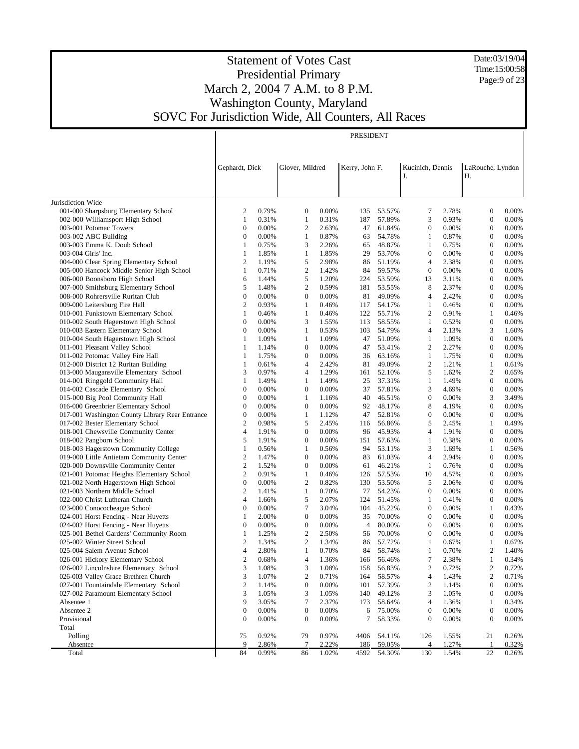Date:03/19/04 Time:15:00:58 Page:9 of 23

## Statement of Votes Cast Presidential Primary March 2, 2004 7 A.M. to 8 P.M. Washington County, Maryland SOVC For Jurisdiction Wide, All Counters, All Races

 $\overline{\mathsf{I}}$ 

PRESIDENT

|                                                                                | Gephardt, Dick   |                | Glover, Mildred     |                | Kerry, John F. |                  | Kucinich, Dennis    |                | LaRouche, Lyndon               |                |
|--------------------------------------------------------------------------------|------------------|----------------|---------------------|----------------|----------------|------------------|---------------------|----------------|--------------------------------|----------------|
|                                                                                |                  |                |                     |                |                |                  | J.                  |                | Η.                             |                |
|                                                                                |                  |                |                     |                |                |                  |                     |                |                                |                |
| Jurisdiction Wide                                                              |                  |                |                     |                |                |                  |                     |                |                                |                |
| 001-000 Sharpsburg Elementary School                                           | $\overline{2}$   | 0.79%          | $\boldsymbol{0}$    | 0.00%          | 135            | 53.57%           | 7                   | 2.78%          | $\boldsymbol{0}$               | 0.00%          |
| 002-000 Williamsport High School                                               | 1                | 0.31%          | $\mathbf{1}$        | 0.31%          | 187            | 57.89%           | 3                   | 0.93%          | $\boldsymbol{0}$               | 0.00%          |
| 003-001 Potomac Towers                                                         | $\mathbf{0}$     | 0.00%          | $\mathfrak{2}$      | 2.63%          | 47             | 61.84%           | $\boldsymbol{0}$    | 0.00%          | $\mathbf{0}$                   | 0.00%          |
| 003-002 ABC Building                                                           | $\boldsymbol{0}$ | 0.00%          | $\mathbf{1}$        | 0.87%          | 63             | 54.78%           | $\mathbf{1}$        | 0.87%          | $\boldsymbol{0}$               | 0.00%          |
| 003-003 Emma K. Doub School                                                    | 1                | 0.75%          | 3                   | 2.26%          | 65             | 48.87%           | $\mathbf{1}$        | 0.75%          | $\boldsymbol{0}$               | 0.00%          |
| 003-004 Girls' Inc.                                                            | 1                | 1.85%          | $\mathbf{1}$        | 1.85%          | 29             | 53.70%           | $\boldsymbol{0}$    | 0.00%          | $\boldsymbol{0}$               | 0.00%          |
| 004-000 Clear Spring Elementary School                                         | $\overline{2}$   | 1.19%          | 5                   | 2.98%          | 86             | 51.19%           | $\overline{4}$      | 2.38%          | $\mathbf{0}$                   | 0.00%          |
| 005-000 Hancock Middle Senior High School                                      | 1                | 0.71%          | $\mathfrak{2}$      | 1.42%          | 84             | 59.57%           | $\boldsymbol{0}$    | 0.00%          | $\boldsymbol{0}$               | 0.00%          |
| 006-000 Boonsboro High School                                                  | 6                | 1.44%          | 5                   | 1.20%          | 224            | 53.59%           | 13                  | 3.11%          | $\mathbf{0}$                   | 0.00%          |
| 007-000 Smithsburg Elementary School                                           | 5                | 1.48%          | $\mathfrak{2}$      | 0.59%          | 181            | 53.55%           | 8                   | 2.37%          | $\boldsymbol{0}$               | 0.00%          |
| 008-000 Rohrersville Ruritan Club                                              | $\boldsymbol{0}$ | 0.00%          | $\boldsymbol{0}$    | 0.00%          | 81             | 49.09%           | $\overline{4}$      | 2.42%          | $\mathbf{0}$                   | 0.00%          |
| 009-000 Leitersburg Fire Hall                                                  | $\sqrt{2}$       | 0.93%          | $\mathbf{1}$        | 0.46%          | 117            | 54.17%           | 1                   | 0.46%          | $\boldsymbol{0}$               | 0.00%          |
| 010-001 Funkstown Elementary School                                            | 1                | 0.46%          | 1                   | 0.46%          | 122            | 55.71%           | $\mathfrak{2}$      | 0.91%          | $\mathbf{1}$                   | 0.46%          |
| 010-002 South Hagerstown High School                                           | $\boldsymbol{0}$ | 0.00%          | 3                   | 1.55%          | 113            | 58.55%           | $\mathbf{1}$        | 0.52%          | $\boldsymbol{0}$               | 0.00%          |
| 010-003 Eastern Elementary School                                              | $\boldsymbol{0}$ | 0.00%          | 1                   | 0.53%          | 103            | 54.79%           | $\overline{4}$      | 2.13%          | 3                              | 1.60%          |
| 010-004 South Hagerstown High School                                           | 1                | 1.09%          | $\mathbf{1}$        | 1.09%          | 47             | 51.09%           | 1                   | 1.09%          | $\boldsymbol{0}$               | 0.00%          |
| 011-001 Pleasant Valley School                                                 | 1                | 1.14%          | $\boldsymbol{0}$    | 0.00%          | 47             | 53.41%           | $\mathfrak{2}$      | 2.27%          | $\mathbf{0}$                   | 0.00%          |
| 011-002 Potomac Valley Fire Hall                                               | 1                | 1.75%          | $\boldsymbol{0}$    | 0.00%          | 36             | 63.16%           | 1                   | 1.75%          | $\boldsymbol{0}$               | 0.00%          |
| 012-000 District 12 Ruritan Building<br>013-000 Maugansville Elementary School | 1<br>3           | 0.61%<br>0.97% | $\overline{4}$<br>4 | 2.42%<br>1.29% | 81<br>161      | 49.09%<br>52.10% | $\mathfrak{2}$<br>5 | 1.21%<br>1.62% | $\mathbf{1}$<br>$\overline{c}$ | 0.61%<br>0.65% |
| 014-001 Ringgold Community Hall                                                | 1                | 1.49%          | $\mathbf{1}$        | 1.49%          | 25             | 37.31%           | $\mathbf{1}$        | 1.49%          | $\mathbf{0}$                   | 0.00%          |
| 014-002 Cascade Elementary School                                              | $\boldsymbol{0}$ | 0.00%          | $\mathbf{0}$        | 0.00%          | 37             | 57.81%           | 3                   | 4.69%          | $\mathbf{0}$                   | 0.00%          |
| 015-000 Big Pool Community Hall                                                | $\mathbf{0}$     | 0.00%          | $\mathbf{1}$        | 1.16%          | 40             | 46.51%           | $\mathbf{0}$        | 0.00%          | 3                              | 3.49%          |
| 016-000 Greenbrier Elementary School                                           | $\mathbf{0}$     | 0.00%          | $\mathbf{0}$        | 0.00%          | 92             | 48.17%           | 8                   | 4.19%          | $\mathbf{0}$                   | 0.00%          |
| 017-001 Washington County Library Rear Entrance                                | $\boldsymbol{0}$ | 0.00%          | $\mathbf{1}$        | 1.12%          | 47             | 52.81%           | $\mathbf{0}$        | 0.00%          | $\mathbf{0}$                   | 0.00%          |
| 017-002 Bester Elementary School                                               | $\overline{2}$   | 0.98%          | 5                   | 2.45%          | 116            | 56.86%           | 5                   | 2.45%          | $\mathbf{1}$                   | 0.49%          |
| 018-001 Chewsville Community Center                                            | $\overline{4}$   | 1.91%          | $\mathbf{0}$        | 0.00%          | 96             | 45.93%           | $\overline{4}$      | 1.91%          | $\mathbf{0}$                   | 0.00%          |
| 018-002 Pangborn School                                                        | 5                | 1.91%          | $\mathbf{0}$        | 0.00%          | 151            | 57.63%           | $\mathbf{1}$        | 0.38%          | $\mathbf{0}$                   | 0.00%          |
| 018-003 Hagerstown Community College                                           | $\mathbf{1}$     | 0.56%          | $\mathbf{1}$        | 0.56%          | 94             | 53.11%           | 3                   | 1.69%          | $\mathbf{1}$                   | 0.56%          |
| 019-000 Little Antietam Community Center                                       | $\overline{2}$   | 1.47%          | $\mathbf{0}$        | 0.00%          | 83             | 61.03%           | $\overline{4}$      | 2.94%          | $\mathbf{0}$                   | 0.00%          |
| 020-000 Downsville Community Center                                            | $\sqrt{2}$       | 1.52%          | $\mathbf{0}$        | 0.00%          | 61             | 46.21%           | $\mathbf{1}$        | 0.76%          | $\mathbf{0}$                   | 0.00%          |
| 021-001 Potomac Heights Elementary School                                      | $\mathbf{2}$     | 0.91%          | $\mathbf{1}$        | 0.46%          | 126            | 57.53%           | 10                  | 4.57%          | $\mathbf{0}$                   | 0.00%          |
| 021-002 North Hagerstown High School                                           | $\boldsymbol{0}$ | 0.00%          | $\mathfrak{2}$      | 0.82%          | 130            | 53.50%           | 5                   | 2.06%          | $\mathbf{0}$                   | 0.00%          |
| 021-003 Northern Middle School                                                 | $\overline{2}$   | 1.41%          | $\mathbf{1}$        | 0.70%          | 77             | 54.23%           | $\mathbf{0}$        | 0.00%          | $\mathbf{0}$                   | 0.00%          |
| 022-000 Christ Lutheran Church                                                 | $\overline{4}$   | 1.66%          | 5                   | 2.07%          | 124            | 51.45%           | 1                   | 0.41%          | $\mathbf{0}$                   | 0.00%          |
| 023-000 Conococheague School                                                   | $\boldsymbol{0}$ | 0.00%          | 7                   | 3.04%          | 104            | 45.22%           | $\boldsymbol{0}$    | 0.00%          | $\mathbf{1}$                   | 0.43%          |
| 024-001 Horst Fencing - Near Huyetts                                           | 1                | 2.00%          | $\boldsymbol{0}$    | 0.00%          | 35             | 70.00%           | $\mathbf{0}$        | 0.00%          | $\mathbf{0}$                   | 0.00%          |
| 024-002 Horst Fencing - Near Huyetts                                           | $\boldsymbol{0}$ | 0.00%          | $\boldsymbol{0}$    | 0.00%          | $\overline{4}$ | 80.00%           | $\mathbf{0}$        | 0.00%          | $\mathbf{0}$                   | 0.00%          |
| 025-001 Bethel Gardens' Community Room                                         | 1                | 1.25%          | $\mathfrak{2}$      | 2.50%          | 56             | 70.00%           | $\mathbf{0}$        | 0.00%          | $\mathbf{0}$                   | 0.00%          |
| 025-002 Winter Street School                                                   | $\overline{2}$   | 1.34%          | $\overline{2}$      | 1.34%          | 86             | 57.72%           | $\mathbf{1}$        | 0.67%          | $\mathbf{1}$                   | 0.67%          |
| 025-004 Salem Avenue School                                                    | $\overline{4}$   | 2.80%          | $\mathbf{1}$        | 0.70%          | 84             | 58.74%           | $\mathbf{1}$        | 0.70%          | $\overline{c}$                 | 1.40%          |
| 026-001 Hickory Elementary School                                              | $\overline{2}$   | 0.68%          | $\overline{4}$      | 1.36%          | 166            | 56.46%           | $\overline{7}$      | 2.38%          | $\mathbf{1}$                   | 0.34%          |
| 026-002 Lincolnshire Elementary School                                         | 3                | 1.08%          | 3                   | 1.08%          | 158            | 56.83%           | 2                   | 0.72%          | $\boldsymbol{2}$               | 0.72%          |
| 026-003 Valley Grace Brethren Church                                           | $\mathfrak{Z}$   | 1.07%          | $\sqrt{2}$          | 0.71%          | 164            | 58.57%           | $\overline{4}$      | 1.43%          | $\boldsymbol{2}$               | 0.71%          |
| 027-001 Fountaindale Elementary School                                         | $\boldsymbol{2}$ | 1.14%          | $\boldsymbol{0}$    | 0.00%          | 101            | 57.39%           | $\boldsymbol{2}$    | 1.14%          | $\boldsymbol{0}$               | 0.00%          |
| 027-002 Paramount Elementary School                                            | 3                | 1.05%          | 3                   | 1.05%          | 140            | 49.12%           | 3                   | 1.05%          | $\boldsymbol{0}$               | 0.00%          |
| Absentee 1                                                                     | 9                | 3.05%          | 7                   | 2.37%          | 173            | 58.64%           | 4                   | 1.36%          | 1                              | 0.34%          |
| Absentee 2                                                                     | $\boldsymbol{0}$ | 0.00%          | $\boldsymbol{0}$    | 0.00%          | 6              | 75.00%           | $\boldsymbol{0}$    | 0.00%          | $\boldsymbol{0}$               | 0.00%          |
| Provisional                                                                    | $\mathbf{0}$     | 0.00%          | $\boldsymbol{0}$    | 0.00%          | 7              | 58.33%           | $\boldsymbol{0}$    | 0.00%          | $\mathbf{0}$                   | 0.00%          |
| Total                                                                          |                  |                |                     |                |                |                  |                     |                |                                |                |
| Polling                                                                        | 75               | 0.92%          | 79                  | 0.97%          | 4406           | 54.11%           | 126                 | 1.55%          | 21                             | 0.26%          |
| Absentee                                                                       | 9                | 2.86%          | $\tau$              | 2.22%          | 186            | 59.05%           | $\overline{4}$      | 1.27%          | -1                             | 0.32%          |
| Total                                                                          | 84               | 0.99%          | 86                  | 1.02%          | 4592           | 54.30%           | 130                 | 1.54%          | 22                             | 0.26%          |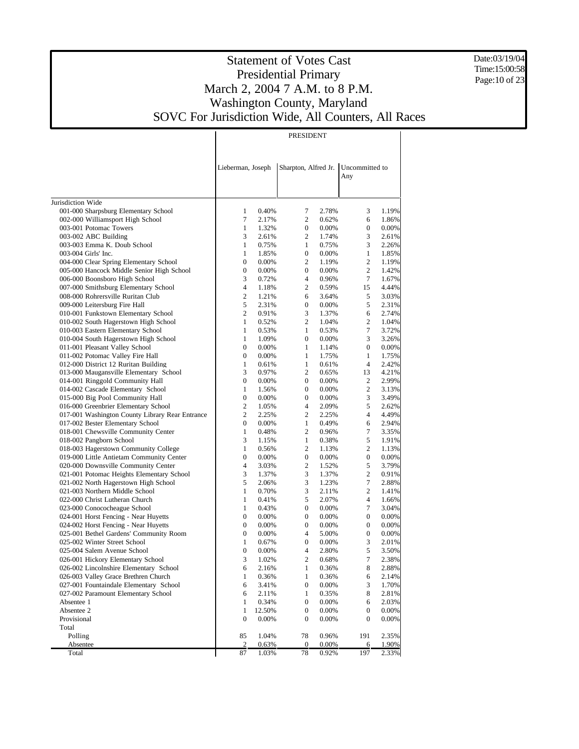Date:03/19/04 Time:15:00:58 Page:10 of 23

#### Statement of Votes Cast Presidential Primary March 2, 2004 7 A.M. to 8 P.M. Washington County, Maryland SOVC For Jurisdiction Wide, All Counters, All Races

PRESIDENT

Jurisdiction Wide 001-000 Sharpsburg Elementary School 002-000 Williamsport High School 003-001 Potomac Towers 003-002 ABC Building 003-003 Emma K. Doub School 003-004 Girls' Inc. 004-000 Clear Spring Elementary School 005-000 Hancock Middle Senior High School 006-000 Boonsboro High School 007-000 Smithsburg Elementary School 008-000 Rohrersville Ruritan Club 009-000 Leitersburg Fire Hall 010-001 Funkstown Elementary School 010-002 South Hagerstown High School 010-003 Eastern Elementary School 010-004 South Hagerstown High School 011-001 Pleasant Valley School 011-002 Potomac Valley Fire Hall 012-000 District 12 Ruritan Building 013-000 Maugansville Elementary School 014-001 Ringgold Community Hall 014-002 Cascade Elementary School 015-000 Big Pool Community Hall 016-000 Greenbrier Elementary School 017-001 Washington County Library Rear Entrance 017-002 Bester Elementary School 018-001 Chewsville Community Center 018-002 Pangborn School 018-003 Hagerstown Community College 019-000 Little Antietam Community Center 020-000 Downsville Community Center 021-001 Potomac Heights Elementary School 021-002 North Hagerstown High School 021-003 Northern Middle School 022-000 Christ Lutheran Church 023-000 Conococheague School 024-001 Horst Fencing - Near Huyetts 024-002 Horst Fencing - Near Huyetts 025-001 Bethel Gardens' Community Room 025-002 Winter Street School 025-004 Salem Avenue School 026-001 Hickory Elementary School 026-002 Lincolnshire Elementary School 026-003 Valley Grace Brethren Church 027-001 Fountaindale Elementary School 027-002 Paramount Elementary School Absentee 1 Absentee 2 Provisional Total Polling **Absentee**  Total Lieberman, Joseph Sharpton, Alfred Jr. Uncommitted to Any 1 0.40% 7 2.78% 3 1.19% 7 2.17% 2 0.62% 6 1.86% 1 1.32% 0 0.00% 0 0.00% 3 2.61% 2 1.74% 3 2.61% 1 0.75% 1 0.75% 3 2.26% 1 1.85% 0 0.00% 1 1.85%  $\begin{array}{ccccccccc}\n0 & 0.00\% & & 2 & 1.19\% & & 2 & 1.19\% \\
0 & 0.00\% & & 0 & 0.00\% & & 2 & 1.42\% \end{array}$ 0 0.00% 0 0.00% 2 1.42% 3 0.72% 4 0.96% 7 1.67% 4 1.18% 2 0.59% 15 4.44% 2 1.21% 6 3.64% 5 3.03% 5 2.31% 0 0.00% 5 2.31% 2 0.91% 3 1.37% 6 2.74% 1 0.52% 2 1.04% 2 1.04%<br>1 0.53% 1 0.53% 7 3.72% 1 0.53% 1 0.53% 7 3.72% 1 1.09% 0 0.00% 3 3.26% 0 0.00% 1 1.14% 0 0.00% 0 0.00% 1 1.75% 1 1.75% 1 0.61% 1 0.61% 4 2.42% 3 0.97% 2 0.65% 13 4.21% 0 0.00% 0 0.00% 2 2.99% 1 1.56% 0 0.00% 2 3.13% 0 0.00% 0 0.00% 3 3.49% 2 1.05% 4 2.09% 5 2.62% 2 2.25% 2 2.25% 4 4.49% 0 0.00% 1 0.49% 6 2.94% 1 0.48% 2 0.96% 7 3.35% 3 1.15% 1 0.38% 5 1.91% 1 0.56% 2 1.13% 2 1.13% 0 0.00% 0 0.00% 0 0.00% 4 3.03% 2 1.52% 5 3.79% 3 1.37% 3 1.37% 2 0.91% 5 2.06% 3 1 0.70% 3 2.11% 2 1.41% 1 0.41% 5 2.07% 4 1.66% 1 0.43% 0 0.00% 7 3.04%  $\begin{array}{ccccccc}\n0 & 0.00\% & & 0 & 0.00\% & & 0 & 0.00\% \\
0 & 0.00\% & & 0 & 0.00\% & & 0 & 0.00\% \end{array}$ 0 0.00% 0 0.00% 0 0.00% 0 0.00% 4 5.00% 0 0.00% 1 0.67% 0 0.00% 3 2.01% 0 0.00% 4 2.80% 5 3.50% 3 1.02% 2 0.68% 7 2.38% 6 2.16% 1 0.36% 8 2.88% 1 0.36% 1 0.36% 6 2.14% 6 3.41% 0 0.00% 3 1.70% 6 2.11% 1 0.35% 8 2.81% 1 0.34% 0 0.00% 6 2.03% 1 12.50% 0 0.00% 0 0.00% 0 0.00% 0 0.00% 0 0.00% 85 1.04% 78 0.96% 191 2.35% 2 0.63% 0 0.00% 6 1.90% 87 1.03% 78 0.92% 197 2.33%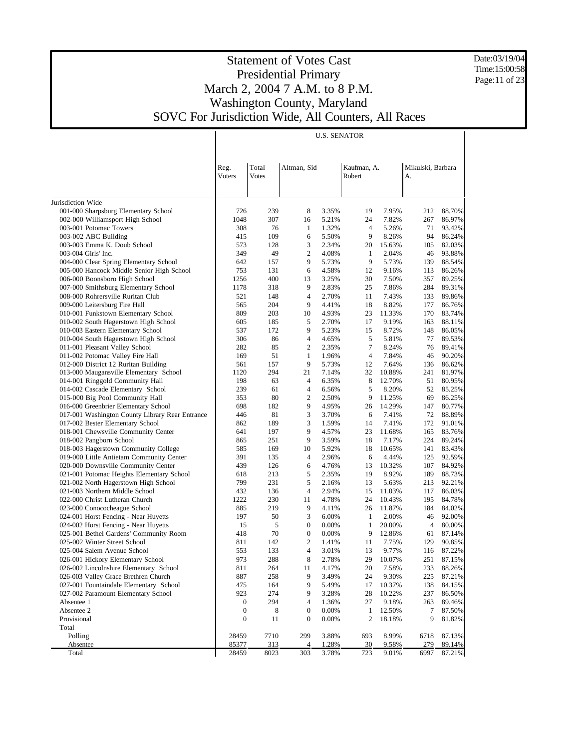Date:03/19/04 Time:15:00:58 Page:11 of 23

# Statement of Votes Cast Presidential Primary March 2, 2004 7 A.M. to 8 P.M. Washington County, Maryland SOVC For Jurisdiction Wide, All Counters, All Races

|                                                                                     |                                      |                       |                                      | <b>U.S. SENATOR</b> |                       |                  |                         |                  |
|-------------------------------------------------------------------------------------|--------------------------------------|-----------------------|--------------------------------------|---------------------|-----------------------|------------------|-------------------------|------------------|
|                                                                                     | Reg.<br>Voters                       | Total<br><b>Votes</b> | Altman, Sid                          |                     | Kaufman, A.<br>Robert |                  | Mikulski, Barbara<br>А. |                  |
| Jurisdiction Wide                                                                   |                                      |                       |                                      |                     |                       |                  |                         |                  |
| 001-000 Sharpsburg Elementary School                                                | 726                                  | 239                   | 8                                    | 3.35%               | 19                    | 7.95%            | 212                     | 88.70%           |
| 002-000 Williamsport High School                                                    | 1048                                 | 307                   | 16                                   | 5.21%               | 24                    | 7.82%            | 267                     | 86.97%           |
| 003-001 Potomac Towers                                                              | 308                                  | 76                    | $\mathbf{1}$                         | 1.32%               | $\overline{4}$        | 5.26%            | 71                      | 93.42%           |
| 003-002 ABC Building                                                                | 415                                  | 109                   | 6                                    | 5.50%               | 9                     | 8.26%            | 94                      | 86.24%           |
| 003-003 Emma K. Doub School                                                         | 573                                  | 128                   | 3                                    | 2.34%               | 20                    | 15.63%           | 105                     | 82.03%           |
| 003-004 Girls' Inc.                                                                 | 349                                  | 49                    | 2                                    | 4.08%               | 1                     | 2.04%            | 46                      | 93.88%           |
| 004-000 Clear Spring Elementary School<br>005-000 Hancock Middle Senior High School | 642                                  | 157<br>131            | 9<br>6                               | 5.73%<br>4.58%      | 9<br>12               | 5.73%            | 139<br>113              | 88.54%<br>86.26% |
| 006-000 Boonsboro High School                                                       | 753<br>1256                          | 400                   | 13                                   | 3.25%               | 30                    | 9.16%<br>7.50%   | 357                     | 89.25%           |
| 007-000 Smithsburg Elementary School                                                | 1178                                 | 318                   | 9                                    | 2.83%               | 25                    | 7.86%            | 284                     | 89.31%           |
| 008-000 Rohrersville Ruritan Club                                                   | 521                                  | 148                   | $\overline{4}$                       | 2.70%               | 11                    | 7.43%            | 133                     | 89.86%           |
| 009-000 Leitersburg Fire Hall                                                       | 565                                  | 204                   | 9                                    | 4.41%               | 18                    | 8.82%            | 177                     | 86.76%           |
| 010-001 Funkstown Elementary School                                                 | 809                                  | 203                   | 10                                   | 4.93%               | 23                    | 11.33%           | 170                     | 83.74%           |
| 010-002 South Hagerstown High School                                                | 605                                  | 185                   | 5                                    | 2.70%               | 17                    | 9.19%            | 163                     | 88.11%           |
| 010-003 Eastern Elementary School                                                   | 537                                  | 172                   | 9                                    | 5.23%               | 15                    | 8.72%            | 148                     | 86.05%           |
| 010-004 South Hagerstown High School                                                | 306                                  | 86                    | 4                                    | 4.65%               | 5                     | 5.81%            | 77                      | 89.53%           |
| 011-001 Pleasant Valley School                                                      | 282                                  | 85                    | 2                                    | 2.35%               | 7                     | 8.24%            | 76                      | 89.41%           |
| 011-002 Potomac Valley Fire Hall                                                    | 169                                  | 51                    | $\mathbf{1}$                         | 1.96%               | $\overline{4}$        | 7.84%            | 46                      | 90.20%           |
| 012-000 District 12 Ruritan Building                                                | 561                                  | 157                   | 9                                    | 5.73%               | 12                    | 7.64%            | 136                     | 86.62%           |
| 013-000 Maugansville Elementary School                                              | 1120                                 | 294<br>63             | 21<br>4                              | 7.14%<br>6.35%      | 32<br>8               | 10.88%           | 241                     | 81.97%           |
| 014-001 Ringgold Community Hall<br>014-002 Cascade Elementary School                | 198<br>239                           | 61                    | $\overline{4}$                       | 6.56%               | 5                     | 12.70%<br>8.20%  | 51<br>52                | 80.95%<br>85.25% |
| 015-000 Big Pool Community Hall                                                     | 353                                  | 80                    | 2                                    | 2.50%               | 9                     | 11.25%           | 69                      | 86.25%           |
| 016-000 Greenbrier Elementary School                                                | 698                                  | 182                   | 9                                    | 4.95%               | 26                    | 14.29%           | 147                     | 80.77%           |
| 017-001 Washington County Library Rear Entrance                                     | 446                                  | 81                    | 3                                    | 3.70%               | 6                     | 7.41%            | 72                      | 88.89%           |
| 017-002 Bester Elementary School                                                    | 862                                  | 189                   | 3                                    | 1.59%               | 14                    | 7.41%            | 172                     | 91.01%           |
| 018-001 Chewsville Community Center                                                 | 641                                  | 197                   | 9                                    | 4.57%               | 23                    | 11.68%           | 165                     | 83.76%           |
| 018-002 Pangborn School                                                             | 865                                  | 251                   | 9                                    | 3.59%               | 18                    | 7.17%            | 224                     | 89.24%           |
| 018-003 Hagerstown Community College                                                | 585                                  | 169                   | 10                                   | 5.92%               | 18                    | 10.65%           | 141                     | 83.43%           |
| 019-000 Little Antietam Community Center                                            | 391                                  | 135                   | $\overline{4}$                       | 2.96%               | 6                     | 4.44%            | 125                     | 92.59%           |
| 020-000 Downsville Community Center                                                 | 439                                  | 126                   | 6                                    | 4.76%               | 13                    | 10.32%           | 107                     | 84.92%           |
| 021-001 Potomac Heights Elementary School                                           | 618                                  | 213                   | 5                                    | 2.35%               | 19                    | 8.92%            | 189                     | 88.73%           |
| 021-002 North Hagerstown High School                                                | 799                                  | 231                   | 5                                    | 2.16%               | 13                    | 5.63%            | 213                     | 92.21%           |
| 021-003 Northern Middle School<br>022-000 Christ Lutheran Church                    | 432<br>1222                          | 136<br>230            | $\overline{4}$<br>11                 | 2.94%<br>4.78%      | 15<br>24              | 11.03%<br>10.43% | 117<br>195              | 86.03%<br>84.78% |
| 023-000 Conococheague School                                                        | 885                                  | 219                   | 9                                    | 4.11%               | 26                    | 11.87%           | 184                     | 84.02%           |
| 024-001 Horst Fencing - Near Huyetts                                                | 197                                  | 50                    | 3                                    | 6.00%               | 1                     | 2.00%            | 46                      | 92.00%           |
| 024-002 Horst Fencing - Near Huyetts                                                | 15                                   | 5                     | $\boldsymbol{0}$                     | 0.00%               | $\mathbf{1}$          | 20.00%           | 4                       | 80.00%           |
| 025-001 Bethel Gardens' Community Room                                              | 418                                  | 70                    | $\boldsymbol{0}$                     | 0.00%               | 9                     | 12.86%           | 61                      | 87.14%           |
| 025-002 Winter Street School                                                        | 811                                  | 142                   | $\overline{c}$                       | 1.41%               | 11                    | 7.75%            | 129                     | 90.85%           |
| 025-004 Salem Avenue School                                                         | 553                                  | 133                   | 4                                    | 3.01%               | 13                    | 9.77%            | 116                     | 87.22%           |
| 026-001 Hickory Elementary School                                                   | 973                                  | 288                   | 8                                    | 2.78%               | 29                    | 10.07%           | 251                     | 87.15%           |
| 026-002 Lincolnshire Elementary School                                              | 811                                  | 264                   | 11                                   | 4.17%               | 20                    | 7.58%            | 233                     | 88.26%           |
| 026-003 Valley Grace Brethren Church                                                | 887                                  | 258                   | 9                                    | 3.49%               | 24                    | 9.30%            | 225                     | 87.21%           |
| 027-001 Fountaindale Elementary School                                              | 475                                  | 164                   | 9                                    | 5.49%               | 17                    | 10.37%           | 138                     | 84.15%           |
| 027-002 Paramount Elementary School                                                 | 923                                  | 274                   | 9                                    | 3.28%               | 28                    | 10.22%           | 237                     | 86.50%           |
| Absentee 1                                                                          | $\boldsymbol{0}$                     | 294                   | 4                                    | 1.36%               | 27                    | 9.18%            | 263                     | 89.46%           |
| Absentee 2<br>Provisional                                                           | $\boldsymbol{0}$<br>$\boldsymbol{0}$ | 8<br>11               | $\boldsymbol{0}$<br>$\boldsymbol{0}$ | 0.00%<br>0.00%      | $\mathbf{1}$<br>2     | 12.50%<br>18.18% | 7<br>9                  | 87.50%<br>81.82% |
| Total                                                                               |                                      |                       |                                      |                     |                       |                  |                         |                  |
| Polling                                                                             | 28459                                | 7710                  | 299                                  | 3.88%               | 693                   | 8.99%            | 6718                    | 87.13%           |
| Absentee                                                                            | 85377                                | 313                   | $\overline{4}$                       | 1.28%               | 30                    | 9.58%            | 279                     | 89.14%           |
| Total                                                                               | 28459                                | 8023                  | 303                                  | 3.78%               | 723                   | 9.01%            | 6997                    | 87.21%           |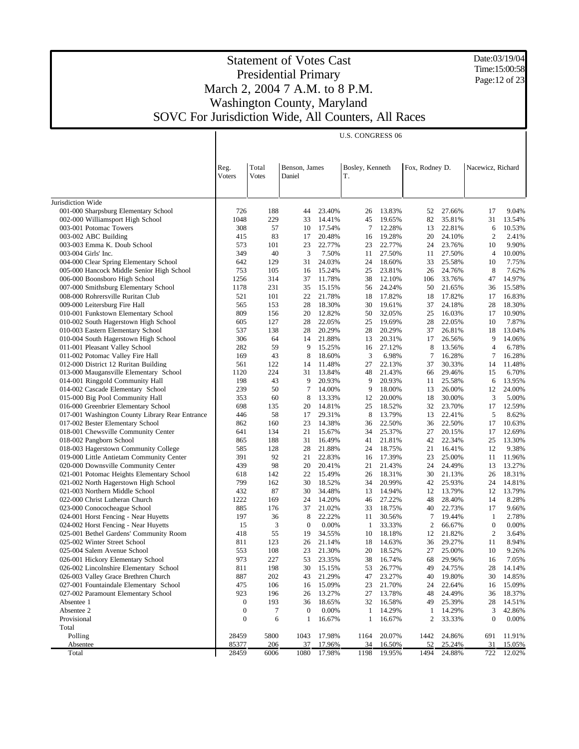Date:03/19/04 Time:15:00:58 Page:12 of 23

|                                                                                         |                  |              |                  |                  | <b>U.S. CONGRESS 06</b> |                  |                |                  |                   |                  |
|-----------------------------------------------------------------------------------------|------------------|--------------|------------------|------------------|-------------------------|------------------|----------------|------------------|-------------------|------------------|
|                                                                                         |                  |              |                  |                  |                         |                  |                |                  |                   |                  |
|                                                                                         |                  |              |                  |                  |                         |                  |                |                  |                   |                  |
|                                                                                         | Reg.             | Total        | Benson, James    |                  | Bosley, Kenneth         |                  | Fox, Rodney D. |                  | Nacewicz, Richard |                  |
|                                                                                         | Voters           | <b>Votes</b> | Daniel           |                  | T.                      |                  |                |                  |                   |                  |
|                                                                                         |                  |              |                  |                  |                         |                  |                |                  |                   |                  |
|                                                                                         |                  |              |                  |                  |                         |                  |                |                  |                   |                  |
| Jurisdiction Wide                                                                       |                  |              |                  |                  |                         |                  |                |                  |                   |                  |
| 001-000 Sharpsburg Elementary School<br>002-000 Williamsport High School                | 726<br>1048      | 188<br>229   | 44<br>33         | 23.40%<br>14.41% | 26<br>45                | 13.83%<br>19.65% | 52<br>82       | 27.66%<br>35.81% | 17<br>31          | 9.04%<br>13.54%  |
| 003-001 Potomac Towers                                                                  | 308              | 57           | 10               | 17.54%           | 7                       | 12.28%           | 13             | 22.81%           | 6                 | 10.53%           |
| 003-002 ABC Building                                                                    | 415              | 83           | 17               | 20.48%           | 16                      | 19.28%           | 20             | 24.10%           | $\overline{2}$    | 2.41%            |
| 003-003 Emma K. Doub School                                                             | 573              | 101          | 23               | 22.77%           | 23                      | 22.77%           | 24             | 23.76%           | 10                | 9.90%            |
| 003-004 Girls' Inc.                                                                     | 349              | 40           | 3                | 7.50%            | 11                      | 27.50%           | 11             | 27.50%           | 4                 | 10.00%           |
| 004-000 Clear Spring Elementary School                                                  | 642              | 129          | 31               | 24.03%           | 24                      | 18.60%           | 33             | 25.58%           | 10                | 7.75%            |
| 005-000 Hancock Middle Senior High School                                               | 753              | 105          | 16               | 15.24%           | 25                      | 23.81%           | 26             | 24.76%           | 8                 | 7.62%            |
| 006-000 Boonsboro High School                                                           | 1256             | 314          | 37               | 11.78%           | 38                      | 12.10%           | 106            | 33.76%           | 47                | 14.97%           |
| 007-000 Smithsburg Elementary School                                                    | 1178             | 231          | 35               | 15.15%           | 56                      | 24.24%           | 50             | 21.65%           | 36                | 15.58%           |
| 008-000 Rohrersville Ruritan Club                                                       | 521              | 101          | 22               | 21.78%           | 18                      | 17.82%           | 18             | 17.82%           | 17                | 16.83%           |
| 009-000 Leitersburg Fire Hall                                                           | 565              | 153          | 28               | 18.30%           | 30                      | 19.61%           | 37             | 24.18%           | 28                | 18.30%           |
| 010-001 Funkstown Elementary School                                                     | 809              | 156          | 20               | 12.82%           | 50                      | 32.05%           | 25             | 16.03%           | 17                | 10.90%           |
| 010-002 South Hagerstown High School                                                    | 605              | 127          | 28               | 22.05%           | 25                      | 19.69%           | 28             | 22.05%           | 10                | 7.87%            |
| 010-003 Eastern Elementary School                                                       | 537              | 138          | 28               | 20.29%           | 28                      | 20.29%           | 37             | 26.81%           | 18                | 13.04%           |
| 010-004 South Hagerstown High School                                                    | 306              | 64           | 14               | 21.88%           | 13                      | 20.31%           | 17             | 26.56%           | 9                 | 14.06%           |
| 011-001 Pleasant Valley School                                                          | 282              | 59           | 9                | 15.25%           | 16                      | 27.12%           | 8              | 13.56%           | $\overline{4}$    | 6.78%            |
| 011-002 Potomac Valley Fire Hall                                                        | 169              | 43           | 8                | 18.60%           | 3                       | 6.98%            | 7              | 16.28%           | 7                 | 16.28%           |
| 012-000 District 12 Ruritan Building                                                    | 561              | 122          | 14               | 11.48%           | 27                      | 22.13%           | 37             | 30.33%           | 14                | 11.48%           |
| 013-000 Maugansville Elementary School                                                  | 1120             | 224          | 31               | 13.84%           | 48                      | 21.43%           | 66             | 29.46%           | 15                | 6.70%            |
| 014-001 Ringgold Community Hall                                                         | 198              | 43           | 9                | 20.93%           | 9                       | 20.93%           | 11             | 25.58%           | 6                 | 13.95%           |
| 014-002 Cascade Elementary School                                                       | 239              | 50           | 7                | 14.00%           | 9                       | 18.00%           | 13             | 26.00%           | 12                | 24.00%           |
| 015-000 Big Pool Community Hall                                                         | 353              | 60           | 8                | 13.33%<br>14.81% | 12                      | 20.00%           | 18             | 30.00%           | 3                 | 5.00%            |
| 016-000 Greenbrier Elementary School<br>017-001 Washington County Library Rear Entrance | 698<br>446       | 135<br>58    | 20<br>17         | 29.31%           | 25<br>8                 | 18.52%<br>13.79% | 32<br>13       | 23.70%<br>22.41% | 17<br>5           | 12.59%<br>8.62%  |
| 017-002 Bester Elementary School                                                        | 862              | 160          | 23               | 14.38%           | 36                      | 22.50%           | 36             | 22.50%           | 17                | 10.63%           |
| 018-001 Chewsville Community Center                                                     | 641              | 134          | 21               | 15.67%           | 34                      | 25.37%           | 27             | 20.15%           | 17                | 12.69%           |
| 018-002 Pangborn School                                                                 | 865              | 188          | 31               | 16.49%           | 41                      | 21.81%           | 42             | 22.34%           | 25                | 13.30%           |
| 018-003 Hagerstown Community College                                                    | 585              | 128          | 28               | 21.88%           | 24                      | 18.75%           | 21             | 16.41%           | 12                | 9.38%            |
| 019-000 Little Antietam Community Center                                                | 391              | 92           | 21               | 22.83%           | 16                      | 17.39%           | 23             | 25.00%           | 11                | 11.96%           |
| 020-000 Downsville Community Center                                                     | 439              | 98           | 20               | 20.41%           | 21                      | 21.43%           | 24             | 24.49%           | 13                | 13.27%           |
| 021-001 Potomac Heights Elementary School                                               | 618              | 142          | 22               | 15.49%           | 26                      | 18.31%           | 30             | 21.13%           | 26                | 18.31%           |
| 021-002 North Hagerstown High School                                                    | 799              | 162          | 30               | 18.52%           | 34                      | 20.99%           | 42             | 25.93%           | 24                | 14.81%           |
| 021-003 Northern Middle School                                                          | 432              | 87           | 30               | 34.48%           | 13                      | 14.94%           | 12             | 13.79%           | 12                | 13.79%           |
| 022-000 Christ Lutheran Church                                                          | 1222             | 169          | 24               | 14.20%           | 46                      | 27.22%           | 48             | 28.40%           | 14                | 8.28%            |
| 023-000 Conococheague School                                                            | 885              | 176          | 37               | 21.02%           | 33                      | 18.75%           | 40             | 22.73%           | 17                | 9.66%            |
| 024-001 Horst Fencing - Near Huyetts                                                    | 197              | 36           | 8                | 22.22%           | 11                      | 30.56%           | 7              | 19.44%           | 1                 | 2.78%            |
| 024-002 Horst Fencing - Near Huyetts                                                    | 15               | 3            | $\mathbf{0}$     | 0.00%            | -1                      | 33.33%           | 2              | 66.67%           | $\boldsymbol{0}$  | 0.00%            |
| 025-001 Bethel Gardens' Community Room                                                  | 418              | 55           | 19               | 34.55%           | 10                      | 18.18%           | 12             | 21.82%           | $\overline{c}$    | 3.64%            |
| 025-002 Winter Street School                                                            | 811              | 123          | 26               | 21.14%           | 18                      | 14.63%           | 36             | 29.27%           | 11                | 8.94%            |
| 025-004 Salem Avenue School                                                             | 553              | 108          | 23               | 21.30%           |                         | 20 18.52%        | 27             | 25.00%           | 10                | 9.26%            |
| 026-001 Hickory Elementary School                                                       | 973              | 227          | 53               | 23.35%           | 38                      | 16.74%           | 68             | 29.96%           | 16                | 7.05%            |
| 026-002 Lincolnshire Elementary School                                                  | 811              | 198          | 30               | 15.15%           | 53                      | 26.77%           | 49             | 24.75%           | 28                | 14.14%           |
| 026-003 Valley Grace Brethren Church                                                    | 887              | 202          | 43               | 21.29%           | 47                      | 23.27%           | 40             | 19.80%           | 30                | 14.85%           |
| 027-001 Fountaindale Elementary School                                                  | 475              | 106          | 16               | 15.09%           | 23                      | 21.70%           | 24             | 22.64%           | 16                | 15.09%           |
| 027-002 Paramount Elementary School                                                     | 923              | 196          | 26               | 13.27%           | 27                      | 13.78%           | 48             | 24.49%           | 36                | 18.37%           |
| Absentee 1                                                                              | $\boldsymbol{0}$ | 193          | 36               | 18.65%           | 32                      | 16.58%           | 49             | 25.39%           | 28                | 14.51%           |
| Absentee 2                                                                              | $\boldsymbol{0}$ | 7            | $\boldsymbol{0}$ | 0.00%            | $\mathbf{1}$            | 14.29%           | 1              | 14.29%           | 3                 | 42.86%           |
| Provisional                                                                             | $\boldsymbol{0}$ | 6            | $\mathbf{1}$     | 16.67%           | 1                       | 16.67%           | 2              | 33.33%           | $\boldsymbol{0}$  | 0.00%            |
| Total                                                                                   |                  |              |                  |                  |                         |                  |                |                  |                   |                  |
| Polling                                                                                 | 28459            | 5800         | 1043             | 17.98%           | 1164                    | 20.07%           | 1442           | 24.86%           | 691               | 11.91%           |
| Absentee<br>Total                                                                       | 85377<br>28459   | 206<br>6006  | 37<br>1080       | 17.96%<br>17.98% | 34<br>1198              | 16.50%<br>19.95% | 52<br>1494     | 25.24%<br>24.88% | 31<br>722         | 15.05%<br>12.02% |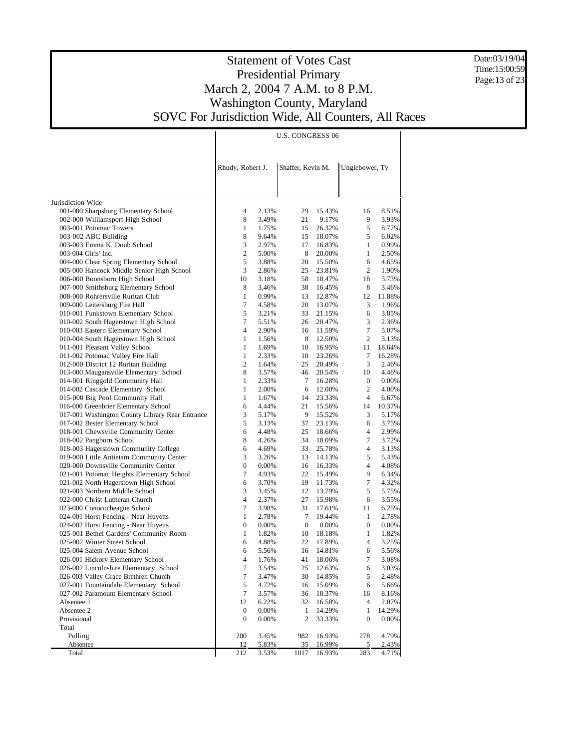Date:03/19/04 Time:15:00:59 Page:13 of 23

|                                                 |                  |                  |       | <b>U.S. CONGRESS 06</b> |           |                |        |
|-------------------------------------------------|------------------|------------------|-------|-------------------------|-----------|----------------|--------|
|                                                 |                  |                  |       |                         |           |                |        |
|                                                 |                  |                  |       |                         |           |                |        |
|                                                 | Rhudy, Robert J. |                  |       | Shaffer, Kevin M.       |           | Unglebower, Ty |        |
|                                                 |                  |                  |       |                         |           |                |        |
|                                                 |                  |                  |       |                         |           |                |        |
|                                                 |                  |                  |       |                         |           |                |        |
| Jurisdiction Wide                               |                  |                  |       |                         |           |                |        |
| 001-000 Sharpsburg Elementary School            |                  | 4                | 2.13% | 29                      | 15.43%    | 16             | 8.51%  |
| 002-000 Williamsport High School                |                  | 8                | 3.49% | 21                      | 9.17%     | 9              | 3.93%  |
| 003-001 Potomac Towers                          |                  | 1                | 1.75% | 15                      | 26.32%    | 5              | 8.77%  |
| 003-002 ABC Building                            |                  | 8                | 9.64% | 15                      | 18.07%    | 5              | 6.02%  |
| 003-003 Emma K. Doub School                     |                  | 3                | 2.97% | 17                      | 16.83%    | $\mathbf{1}$   | 0.99%  |
| 003-004 Girls' Inc.                             |                  | $\mathbf{2}$     | 5.00% | 8                       | 20.00%    | $\mathbf{1}$   | 2.50%  |
| 004-000 Clear Spring Elementary School          |                  | 5                | 3.88% | 20                      | 15.50%    | 6              | 4.65%  |
| 005-000 Hancock Middle Senior High School       |                  | 3                | 2.86% | 25                      | 23.81%    | $\overline{c}$ | 1.90%  |
| 006-000 Boonsboro High School                   |                  | 10               | 3.18% | 58                      | 18.47%    | 18             | 5.73%  |
| 007-000 Smithsburg Elementary School            |                  | 8                | 3.46% | 38                      | 16.45%    | 8              | 3.46%  |
| 008-000 Rohrersville Ruritan Club               |                  | $\mathbf{1}$     | 0.99% | 13                      | 12.87%    | 12             | 11.88% |
| 009-000 Leitersburg Fire Hall                   |                  | 7                | 4.58% | 20                      | 13.07%    | 3              | 1.96%  |
| 010-001 Funkstown Elementary School             |                  | 5                | 3.21% | 33                      | 21.15%    | 6              | 3.85%  |
| 010-002 South Hagerstown High School            |                  | 7                | 5.51% | 26                      | 20.47%    | 3              | 2.36%  |
| 010-003 Eastern Elementary School               |                  | $\overline{4}$   | 2.90% | 16                      | 11.59%    | 7              | 5.07%  |
| 010-004 South Hagerstown High School            |                  | 1                | 1.56% | 8                       | 12.50%    | $\overline{c}$ | 3.13%  |
| 011-001 Pleasant Valley School                  |                  | $\mathbf{1}$     | 1.69% | 10                      | 16.95%    | 11             | 18.64% |
| 011-002 Potomac Valley Fire Hall                |                  | $\mathbf{1}$     | 2.33% | 10                      | 23.26%    | 7              | 16.28% |
| 012-000 District 12 Ruritan Building            |                  | 2                | 1.64% | 25                      | 20.49%    | 3              | 2.46%  |
| 013-000 Maugansville Elementary School          |                  | 8                | 3.57% | 46                      | 20.54%    | 10             | 4.46%  |
| 014-001 Ringgold Community Hall                 |                  | 1                | 2.33% | 7                       | 16.28%    | 0              | 0.00%  |
| 014-002 Cascade Elementary School               |                  | 1                | 2.00% | 6                       | 12.00%    | 2              | 4.00%  |
| 015-000 Big Pool Community Hall                 |                  | 1                | 1.67% | 14                      | 23.33%    | 4              | 6.67%  |
| 016-000 Greenbrier Elementary School            |                  | 6                | 4.44% | 21                      | 15.56%    | 14             | 10.37% |
| 017-001 Washington County Library Rear Entrance |                  | 3                | 5.17% | 9                       | 15.52%    | 3              | 5.17%  |
| 017-002 Bester Elementary School                |                  | 5                | 3.13% | 37                      | 23.13%    | 6              | 3.75%  |
| 018-001 Chewsville Community Center             |                  | 6                | 4.48% | 25                      | 18.66%    | 4              | 2.99%  |
| 018-002 Pangborn School                         |                  | 8                | 4.26% | 34                      | 18.09%    | 7              | 3.72%  |
| 018-003 Hagerstown Community College            |                  | 6                | 4.69% | 33                      | 25.78%    | 4              | 3.13%  |
| 019-000 Little Antietam Community Center        |                  | 3                | 3.26% | 13                      | 14.13%    | 5              | 5.43%  |
| 020-000 Downsville Community Center             |                  | 0                | 0.00% | 16                      | 16.33%    | 4              | 4.08%  |
| 021-001 Potomac Heights Elementary School       |                  | 7                | 4.93% | 22                      | 15.49%    | 9              | 6.34%  |
| 021-002 North Hagerstown High School            |                  | 6                | 3.70% | 19                      | 11.73%    | 7              | 4.32%  |
| 021-003 Northern Middle School                  |                  | 3                | 3.45% | 12                      | 13.79%    | 5              | 5.75%  |
| 022-000 Christ Lutheran Church                  |                  | 4                | 2.37% | 27                      | 15.98%    | 6              | 3.55%  |
| 023-000 Conococheague School                    |                  | 7                | 3.98% | 31                      | 17.61%    | 11             | 6.25%  |
| 024-001 Horst Fencing - Near Huyetts            |                  | $\mathbf{1}$     | 2.78% | 7                       | 19.44%    | $\mathbf{1}$   | 2.78%  |
| 024-002 Horst Fencing - Near Huyetts            |                  | 0                | 0.00% | $\mathbf{0}$            | 0.00%     | 0              | 0.00%  |
| 025-001 Bethel Gardens' Community Room          |                  | 1                | 1.82% | 10                      | 18.18%    | $\mathbf{1}$   | 1.82%  |
| 025-002 Winter Street School                    |                  | 6                | 4.88% | 22                      | 17.89%    | 4              | 3.25%  |
| 025-004 Salem Avenue School                     |                  | 6                | 5.56% |                         | 16 14.81% | 6              | 5.56%  |
| 026-001 Hickory Elementary School               |                  | 4                | 1.76% | 41                      | 18.06%    | 7              | 3.08%  |
| 026-002 Lincolnshire Elementary School          |                  | 7                | 3.54% | 25                      | 12.63%    | 6              | 3.03%  |
| 026-003 Valley Grace Brethren Church            |                  | 7                | 3.47% | 30                      | 14.85%    | 5              | 2.48%  |
| 027-001 Fountaindale Elementary School          |                  | 5                | 4.72% | 16                      | 15.09%    | 6              | 5.66%  |
| 027-002 Paramount Elementary School             |                  | 7                | 3.57% | 36                      | 18.37%    | 16             | 8.16%  |
| Absentee 1                                      |                  | 12               | 6.22% | 32                      | 16.58%    | 4              | 2.07%  |
| Absentee 2                                      |                  | $\boldsymbol{0}$ | 0.00% | 1                       | 14.29%    | 1              | 14.29% |
| Provisional                                     |                  | $\boldsymbol{0}$ | 0.00% | $\overline{c}$          | 33.33%    | 0              | 0.00%  |
| Total                                           |                  |                  |       |                         |           |                |        |
| Polling                                         | 200              |                  | 3.45% | 982                     | 16.93%    | 278            | 4.79%  |
| Absentee                                        |                  | 12               | 5.83% | 35                      | 16.99%    | 5              | 2.43%  |
| Total                                           | 212              |                  | 3.53% | 1017                    | 16.93%    | 283            | 4.71%  |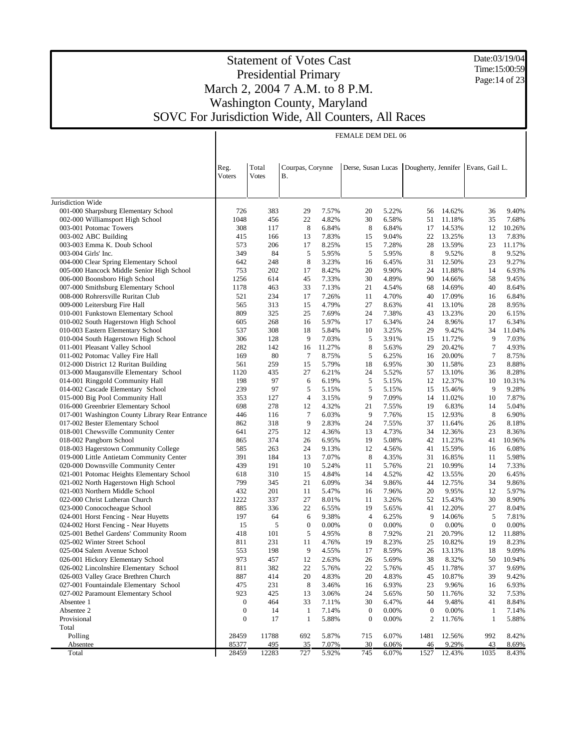Date:03/19/04 Time:15:00:59 Page: 14 of 23

## Statement of Votes Cast Presidential Primary March 2, 2004 7 A.M. to 8 P.M. Washington County, Maryland SOVC For Jurisdiction Wide, All Counters, All Races

|                                                                                   | FEMALE DEM DEL 06                    |              |                               |                 |                        |                |                        |                  |                                      |                 |
|-----------------------------------------------------------------------------------|--------------------------------------|--------------|-------------------------------|-----------------|------------------------|----------------|------------------------|------------------|--------------------------------------|-----------------|
|                                                                                   |                                      |              |                               |                 |                        |                |                        |                  |                                      |                 |
|                                                                                   |                                      |              |                               |                 |                        |                |                        |                  |                                      |                 |
|                                                                                   | Reg.                                 | Total        | Courpas, Corynne<br><b>B.</b> |                 | Derse, Susan Lucas     |                |                        |                  | Dougherty, Jennifer   Evans, Gail L. |                 |
|                                                                                   | Voters                               | <b>Votes</b> |                               |                 |                        |                |                        |                  |                                      |                 |
|                                                                                   |                                      |              |                               |                 |                        |                |                        |                  |                                      |                 |
| Jurisdiction Wide                                                                 |                                      |              |                               |                 |                        |                |                        |                  |                                      |                 |
| 001-000 Sharpsburg Elementary School                                              | 726                                  | 383          | 29                            | 7.57%           | 20                     | 5.22%          | 56                     | 14.62%           | 36                                   | 9.40%           |
| 002-000 Williamsport High School                                                  | 1048                                 | 456          | 22                            | 4.82%           | 30                     | 6.58%          | 51                     | 11.18%           | 35                                   | 7.68%           |
| 003-001 Potomac Towers                                                            | 308                                  | 117          | 8                             | 6.84%           | 8                      | 6.84%          | 17                     | 14.53%           | 12                                   | 10.26%          |
| 003-002 ABC Building<br>003-003 Emma K. Doub School                               | 415<br>573                           | 166<br>206   | 13<br>17                      | 7.83%<br>8.25%  | 15<br>15               | 9.04%<br>7.28% | 22<br>28               | 13.25%<br>13.59% | 13<br>23                             | 7.83%<br>11.17% |
| 003-004 Girls' Inc.                                                               | 349                                  | 84           | 5                             | 5.95%           | 5                      | 5.95%          | 8                      | 9.52%            | 8                                    | 9.52%           |
| 004-000 Clear Spring Elementary School                                            | 642                                  | 248          | 8                             | 3.23%           | 16                     | 6.45%          | 31                     | 12.50%           | 23                                   | 9.27%           |
| 005-000 Hancock Middle Senior High School                                         | 753                                  | 202          | 17                            | 8.42%           | 20                     | 9.90%          | 24                     | 11.88%           | 14                                   | 6.93%           |
| 006-000 Boonsboro High School                                                     | 1256                                 | 614          | 45                            | 7.33%           | 30                     | 4.89%          | 90                     | 14.66%           | 58                                   | 9.45%           |
| 007-000 Smithsburg Elementary School                                              | 1178                                 | 463          | 33                            | 7.13%           | 21                     | 4.54%          | 68                     | 14.69%           | 40                                   | 8.64%           |
| 008-000 Rohrersville Ruritan Club                                                 | 521                                  | 234          | 17                            | 7.26%           | 11                     | 4.70%          | 40                     | 17.09%           | 16                                   | 6.84%           |
| 009-000 Leitersburg Fire Hall                                                     | 565                                  | 313          | 15                            | 4.79%           | 27                     | 8.63%          | 41                     | 13.10%           | 28                                   | 8.95%           |
| 010-001 Funkstown Elementary School                                               | 809                                  | 325          | 25                            | 7.69%           | 24                     | 7.38%          | 43                     | 13.23%           | 20                                   | 6.15%           |
| 010-002 South Hagerstown High School                                              | 605                                  | 268          | 16                            | 5.97%           | 17                     | 6.34%          | 24                     | 8.96%            | 17                                   | 6.34%           |
| 010-003 Eastern Elementary School                                                 | 537                                  | 308          | 18                            | 5.84%           | 10                     | 3.25%          | 29                     | 9.42%            | 34                                   | 11.04%          |
| 010-004 South Hagerstown High School                                              | 306                                  | 128          | 9                             | 7.03%           | 5                      | 3.91%          | 15                     | 11.72%           | 9                                    | 7.03%           |
| 011-001 Pleasant Valley School<br>011-002 Potomac Valley Fire Hall                | 282<br>169                           | 142<br>80    | 16<br>$\tau$                  | 11.27%<br>8.75% | 8<br>5                 | 5.63%          | 29                     | 20.42%<br>20.00% | $\tau$<br>$\tau$                     | 4.93%<br>8.75%  |
| 012-000 District 12 Ruritan Building                                              | 561                                  | 259          | 15                            | 5.79%           | 18                     | 6.25%<br>6.95% | 16<br>30               | 11.58%           | 23                                   | 8.88%           |
| 013-000 Maugansville Elementary School                                            | 1120                                 | 435          | 27                            | 6.21%           | 24                     | 5.52%          | 57                     | 13.10%           | 36                                   | 8.28%           |
| 014-001 Ringgold Community Hall                                                   | 198                                  | 97           | 6                             | 6.19%           | 5                      | 5.15%          | 12                     | 12.37%           | 10                                   | 10.31%          |
| 014-002 Cascade Elementary School                                                 | 239                                  | 97           | 5                             | 5.15%           | 5                      | 5.15%          | 15                     | 15.46%           | 9                                    | 9.28%           |
| 015-000 Big Pool Community Hall                                                   | 353                                  | 127          | 4                             | 3.15%           | 9                      | 7.09%          | 14                     | 11.02%           | 10                                   | 7.87%           |
| 016-000 Greenbrier Elementary School                                              | 698                                  | 278          | 12                            | 4.32%           | 21                     | 7.55%          | 19                     | 6.83%            | 14                                   | 5.04%           |
| 017-001 Washington County Library Rear Entrance                                   | 446                                  | 116          | 7                             | 6.03%           | 9                      | 7.76%          | 15                     | 12.93%           | 8                                    | 6.90%           |
| 017-002 Bester Elementary School                                                  | 862                                  | 318          | 9                             | 2.83%           | 24                     | 7.55%          | 37                     | 11.64%           | 26                                   | 8.18%           |
| 018-001 Chewsville Community Center                                               | 641                                  | 275          | 12                            | 4.36%           | 13                     | 4.73%          | 34                     | 12.36%           | 23                                   | 8.36%           |
| 018-002 Pangborn School                                                           | 865                                  | 374          | 26                            | 6.95%           | 19                     | 5.08%          | 42                     | 11.23%           | 41                                   | 10.96%          |
| 018-003 Hagerstown Community College                                              | 585                                  | 263          | 24                            | 9.13%           | 12                     | 4.56%          | 41                     | 15.59%           | 16                                   | 6.08%           |
| 019-000 Little Antietam Community Center                                          | 391                                  | 184          | 13                            | 7.07%           | 8                      | 4.35%          | 31                     | 16.85%           | 11                                   | 5.98%           |
| 020-000 Downsville Community Center                                               | 439<br>618                           | 191<br>310   | 10<br>15                      | 5.24%<br>4.84%  | 11<br>14               | 5.76%<br>4.52% | 21<br>42               | 10.99%<br>13.55% | 14<br>20                             | 7.33%<br>6.45%  |
| 021-001 Potomac Heights Elementary School<br>021-002 North Hagerstown High School | 799                                  | 345          | 21                            | 6.09%           | 34                     | 9.86%          | 44                     | 12.75%           | 34                                   | 9.86%           |
| 021-003 Northern Middle School                                                    | 432                                  | 201          | 11                            | 5.47%           | 16                     | 7.96%          | 20                     | 9.95%            | 12                                   | 5.97%           |
| 022-000 Christ Lutheran Church                                                    | 1222                                 | 337          | 27                            | 8.01%           | 11                     | 3.26%          | 52                     | 15.43%           | 30                                   | 8.90%           |
| 023-000 Conococheague School                                                      | 885                                  | 336          | 22                            | 6.55%           | 19                     | 5.65%          | 41                     | 12.20%           | 27                                   | 8.04%           |
| 024-001 Horst Fencing - Near Huyetts                                              | 197                                  | 64           | 6                             | 9.38%           | 4                      | 6.25%          | 9                      | 14.06%           | 5                                    | 7.81%           |
| 024-002 Horst Fencing - Near Huyetts                                              | 15                                   | 5            | $\mathbf{0}$                  | 0.00%           | $\boldsymbol{0}$       | 0.00%          | $\boldsymbol{0}$       | 0.00%            | $\boldsymbol{0}$                     | 0.00%           |
| 025-001 Bethel Gardens' Community Room                                            | 418                                  | 101          | 5                             | 4.95%           | 8                      | 7.92%          | 21                     | 20.79%           | 12                                   | 11.88%          |
| 025-002 Winter Street School                                                      | 811                                  | 231          | 11                            | 4.76%           | 19                     | 8.23%          | 25                     | 10.82%           | 19                                   | 8.23%           |
| 025-004 Salem Avenue School                                                       | 553                                  | 198          | 9                             | 4.55%           | 17                     | 8.59%          |                        | 26 13.13%        | 18                                   | 9.09%           |
| 026-001 Hickory Elementary School                                                 | 973                                  | 457          | 12                            | 2.63%           | 26                     | 5.69%          | 38                     | 8.32%            | 50                                   | 10.94%          |
| 026-002 Lincolnshire Elementary School                                            | 811                                  | 382          | 22                            | 5.76%           | 22                     | 5.76%          | 45                     | 11.78%           | 37                                   | 9.69%           |
| 026-003 Valley Grace Brethren Church                                              | 887                                  | 414          | 20                            | 4.83%           | 20                     | 4.83%          | 45                     | 10.87%           | 39                                   | 9.42%           |
| 027-001 Fountaindale Elementary School                                            | 475                                  | 231          | 8                             | 3.46%           | 16                     | 6.93%          | 23                     | 9.96%            | 16                                   | 6.93%           |
| 027-002 Paramount Elementary School                                               | 923                                  | 425          | 13                            | 3.06%           | 24                     | 5.65%          | 50                     | 11.76%           | 32                                   | 7.53%           |
| Absentee 1<br>Absentee 2                                                          | $\boldsymbol{0}$<br>$\boldsymbol{0}$ | 464<br>14    | 33<br>$\mathbf{1}$            | 7.11%<br>7.14%  | 30<br>$\boldsymbol{0}$ | 6.47%<br>0.00% | 44<br>$\boldsymbol{0}$ | 9.48%<br>0.00%   | 41                                   | 8.84%<br>7.14%  |
| Provisional                                                                       | $\boldsymbol{0}$                     | 17           | $\mathbf{1}$                  | 5.88%           | $\boldsymbol{0}$       | 0.00%          | 2                      | 11.76%           | 1<br>1                               | 5.88%           |
| Total                                                                             |                                      |              |                               |                 |                        |                |                        |                  |                                      |                 |
| Polling                                                                           | 28459                                | 11788        | 692                           | 5.87%           | 715                    | 6.07%          | 1481                   | 12.56%           | 992                                  | 8.42%           |
| Absentee                                                                          | 85377                                | 495          | 35                            | 7.07%           | 30                     | 6.06%          | 46                     | 9.29%            | 43                                   | 8.69%           |
| Total                                                                             | 28459                                | 12283        | 727                           | 5.92%           | 745                    | 6.07%          | 1527                   | 12.43%           | 1035                                 | 8.43%           |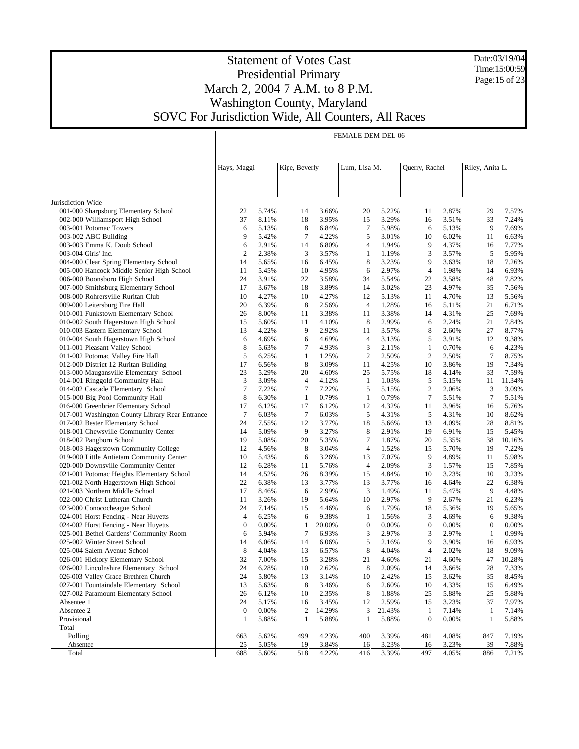Date:03/19/04 Time:15:00:59 Page:15 of 23

|                                                                                | FEMALE DEM DEL 06 |                |                  |                |                      |                |                  |                |                  |                |
|--------------------------------------------------------------------------------|-------------------|----------------|------------------|----------------|----------------------|----------------|------------------|----------------|------------------|----------------|
|                                                                                |                   |                |                  |                |                      |                |                  |                |                  |                |
|                                                                                |                   |                |                  |                |                      |                |                  |                |                  |                |
|                                                                                | Hays, Maggi       |                | Kipe, Beverly    |                | Lum, Lisa M.         |                | Querry, Rachel   |                | Riley, Anita L.  |                |
|                                                                                |                   |                |                  |                |                      |                |                  |                |                  |                |
|                                                                                |                   |                |                  |                |                      |                |                  |                |                  |                |
| Jurisdiction Wide                                                              |                   |                |                  |                |                      |                |                  |                |                  |                |
| 001-000 Sharpsburg Elementary School                                           | 22                | 5.74%          | 14               | 3.66%          | 20                   | 5.22%          | 11               | 2.87%          | 29               | 7.57%          |
| 002-000 Williamsport High School                                               | 37                | 8.11%          | 18               | 3.95%          | 15                   | 3.29%          | 16               | 3.51%          | 33               | 7.24%          |
| 003-001 Potomac Towers                                                         | 6                 | 5.13%          | 8                | 6.84%          | 7                    | 5.98%          | 6                | 5.13%          | 9                | 7.69%          |
| 003-002 ABC Building                                                           | 9                 | 5.42%          | $\tau$           | 4.22%          | 5                    | 3.01%          | 10               | 6.02%          | 11               | 6.63%          |
| 003-003 Emma K. Doub School                                                    | 6                 | 2.91%          | 14               | 6.80%          | $\overline{4}$       | 1.94%          | 9                | 4.37%          | 16               | 7.77%          |
| 003-004 Girls' Inc.                                                            | $\overline{c}$    | 2.38%          | 3                | 3.57%          | 1                    | 1.19%          | 3                | 3.57%          | 5                | 5.95%          |
| 004-000 Clear Spring Elementary School                                         | 14                | 5.65%          | 16               | 6.45%          | 8                    | 3.23%          | 9                | 3.63%          | 18               | 7.26%          |
| 005-000 Hancock Middle Senior High School                                      | 11                | 5.45%          | 10               | 4.95%          | 6                    | 2.97%          | $\overline{4}$   | 1.98%          | 14               | 6.93%          |
| 006-000 Boonsboro High School                                                  | 24                | 3.91%          | 22               | 3.58%          | 34                   | 5.54%          | 22               | 3.58%          | 48               | 7.82%          |
| 007-000 Smithsburg Elementary School                                           | 17                | 3.67%          | 18               | 3.89%          | 14                   | 3.02%          | 23               | 4.97%          | 35               | 7.56%          |
| 008-000 Rohrersville Ruritan Club                                              | 10                | 4.27%          | 10               | 4.27%          | 12                   | 5.13%          | 11               | 4.70%          | 13               | 5.56%          |
| 009-000 Leitersburg Fire Hall                                                  | 20                | 6.39%          | 8                | 2.56%          | $\overline{4}$       | 1.28%          | 16               | 5.11%          | 21               | 6.71%          |
| 010-001 Funkstown Elementary School                                            | 26                | 8.00%          | 11               | 3.38%          | 11                   | 3.38%          | 14               | 4.31%          | 25               | 7.69%          |
| 010-002 South Hagerstown High School                                           | 15                | 5.60%          | 11               | 4.10%          | 8                    | 2.99%          | 6                | 2.24%          | 21               | 7.84%          |
| 010-003 Eastern Elementary School<br>010-004 South Hagerstown High School      | 13<br>6           | 4.22%<br>4.69% | 9<br>6           | 2.92%<br>4.69% | 11<br>$\overline{4}$ | 3.57%          | 8<br>5           | 2.60%<br>3.91% | 27<br>12         | 8.77%<br>9.38% |
| 011-001 Pleasant Valley School                                                 | 8                 | 5.63%          | 7                | 4.93%          | 3                    | 3.13%<br>2.11% | $\mathbf{1}$     | 0.70%          | 6                | 4.23%          |
| 011-002 Potomac Valley Fire Hall                                               | 5                 | 6.25%          | $\mathbf{1}$     | 1.25%          | $\overline{2}$       | 2.50%          | $\overline{c}$   | 2.50%          | $\tau$           | 8.75%          |
| 012-000 District 12 Ruritan Building                                           | 17                | 6.56%          | 8                | 3.09%          | 11                   | 4.25%          | 10               | 3.86%          | 19               | 7.34%          |
| 013-000 Maugansville Elementary School                                         | 23                | 5.29%          | 20               | 4.60%          | 25                   | 5.75%          | 18               | 4.14%          | 33               | 7.59%          |
| 014-001 Ringgold Community Hall                                                | 3                 | 3.09%          | 4                | 4.12%          | 1                    | 1.03%          | 5                | 5.15%          | 11               | 11.34%         |
| 014-002 Cascade Elementary School                                              | $\tau$            | 7.22%          | $\tau$           | 7.22%          | 5                    | 5.15%          | $\boldsymbol{2}$ | 2.06%          | 3                | 3.09%          |
| 015-000 Big Pool Community Hall                                                | 8                 | 6.30%          | 1                | 0.79%          | $\mathbf{1}$         | 0.79%          | 7                | 5.51%          | $\tau$           | 5.51%          |
| 016-000 Greenbrier Elementary School                                           | 17                | 6.12%          | 17               | 6.12%          | 12                   | 4.32%          | 11               | 3.96%          | 16               | 5.76%          |
| 017-001 Washington County Library Rear Entrance                                | $\tau$            | 6.03%          | 7                | 6.03%          | 5                    | 4.31%          | 5                | 4.31%          | 10               | 8.62%          |
| 017-002 Bester Elementary School                                               | 24                | 7.55%          | 12               | 3.77%          | 18                   | 5.66%          | 13               | 4.09%          | 28               | 8.81%          |
| 018-001 Chewsville Community Center                                            | 14                | 5.09%          | 9                | 3.27%          | 8                    | 2.91%          | 19               | 6.91%          | 15               | 5.45%          |
| 018-002 Pangborn School                                                        | 19                | 5.08%          | 20               | 5.35%          | 7                    | 1.87%          | 20               | 5.35%          | 38               | 10.16%         |
| 018-003 Hagerstown Community College                                           | 12                | 4.56%          | 8                | 3.04%          | 4                    | 1.52%          | 15               | 5.70%          | 19               | 7.22%          |
| 019-000 Little Antietam Community Center                                       | 10                | 5.43%          | 6                | 3.26%          | 13                   | 7.07%          | 9                | 4.89%          | 11               | 5.98%          |
| 020-000 Downsville Community Center                                            | 12                | 6.28%          | 11               | 5.76%          | 4                    | 2.09%          | 3                | 1.57%          | 15               | 7.85%          |
| 021-001 Potomac Heights Elementary School                                      | 14                | 4.52%          | 26               | 8.39%          | 15                   | 4.84%          | 10               | 3.23%          | 10               | 3.23%          |
| 021-002 North Hagerstown High School                                           | 22                | 6.38%          | 13               | 3.77%          | 13                   | 3.77%          | 16               | 4.64%          | 22               | 6.38%          |
| 021-003 Northern Middle School                                                 | 17                | 8.46%          | 6                | 2.99%          | 3                    | 1.49%          | 11               | 5.47%          | 9                | 4.48%          |
| 022-000 Christ Lutheran Church                                                 | 11                | 3.26%          | 19               | 5.64%          | 10                   | 2.97%          | 9                | 2.67%          | 21               | 6.23%          |
| 023-000 Conococheague School                                                   | 24                | 7.14%          | 15               | 4.46%          | 6                    | 1.79%          | 18               | 5.36%          | 19               | 5.65%          |
| 024-001 Horst Fencing - Near Huyetts                                           | 4                 | 6.25%          | 6                | 9.38%          | $\mathbf{1}$         | 1.56%          | 3                | 4.69%          | 6                | 9.38%          |
| 024-002 Horst Fencing - Near Huyetts                                           | $\mathbf{0}$      | 0.00%          | $\mathbf{1}$     | 20.00%         | $\boldsymbol{0}$     | 0.00%          | $\boldsymbol{0}$ | 0.00%          | $\boldsymbol{0}$ | 0.00%          |
| 025-001 Bethel Gardens' Community Room                                         | 6                 | 5.94%          | 7                | 6.93%          | 3                    | 2.97%          | 3                | 2.97%          | 1                | 0.99%          |
| 025-002 Winter Street School                                                   | 14                | 6.06%          | 14               | 6.06%          | 5                    | 2.16%          | 9                | 3.90%          | 16               | 6.93%          |
| 025-004 Salem Avenue School                                                    | 8                 | 4.04%          | 13               | 6.57%          | 8                    | 4.04%          | 4                | 2.02%          | 18               | 9.09%          |
| 026-001 Hickory Elementary School                                              | 32                | 7.00%          | 15               | 3.28%          | 21                   | 4.60%          | 21               | 4.60%          | 47               | 10.28%         |
| 026-002 Lincolnshire Elementary School<br>026-003 Valley Grace Brethren Church | 24<br>24          | 6.28%<br>5.80% | 10<br>13         | 2.62%<br>3.14% | 8<br>10              | 2.09%<br>2.42% | 14<br>15         | 3.66%<br>3.62% | 28<br>35         | 7.33%<br>8.45% |
| 027-001 Fountaindale Elementary School                                         | 13                | 5.63%          | 8                | 3.46%          | 6                    | 2.60%          | 10               | 4.33%          |                  | 6.49%          |
| 027-002 Paramount Elementary School                                            | 26                | 6.12%          | 10               | 2.35%          | 8                    | 1.88%          | 25               | 5.88%          | 15<br>25         | 5.88%          |
| Absentee 1                                                                     | 24                | 5.17%          | 16               | 3.45%          | 12                   | 2.59%          | 15               | 3.23%          | 37               | 7.97%          |
| Absentee 2                                                                     | $\boldsymbol{0}$  | 0.00%          | $\boldsymbol{2}$ | 14.29%         | 3                    | 21.43%         | 1                | 7.14%          | -1               | 7.14%          |
| Provisional                                                                    | 1                 | 5.88%          | $\mathbf{1}$     | 5.88%          | 1                    | 5.88%          | $\boldsymbol{0}$ | 0.00%          | 1                | 5.88%          |
| Total                                                                          |                   |                |                  |                |                      |                |                  |                |                  |                |
| Polling                                                                        | 663               | 5.62%          | 499              | 4.23%          | 400                  | 3.39%          | 481              | 4.08%          | 847              | 7.19%          |
| Absentee                                                                       | 25                | 5.05%          | 19               | 3.84%          | 16                   | 3.23%          | 16               | 3.23%          | 39               | 7.88%          |
| Total                                                                          | 688               | 5.60%          | 518              | 4.22%          | 416                  | 3.39%          | 497              | 4.05%          | 886              | 7.21%          |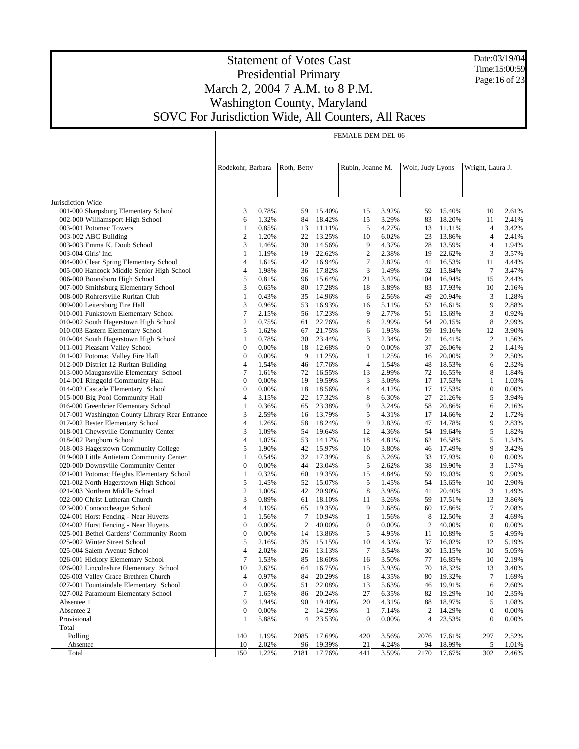Date:03/19/04 Time:15:00:59 Page:16 of 23

### Statement of Votes Cast Presidential Primary March 2, 2004 7 A.M. to 8 P.M. Washington County, Maryland SOVC For Jurisdiction Wide, All Counters, All Races

|                                                                    | FEMALE DEM DEL 06     |                |             |                  |                                  |                |                  |                  |                                      |                |
|--------------------------------------------------------------------|-----------------------|----------------|-------------|------------------|----------------------------------|----------------|------------------|------------------|--------------------------------------|----------------|
|                                                                    |                       |                |             |                  |                                  |                |                  |                  |                                      |                |
|                                                                    |                       |                |             |                  |                                  |                |                  |                  |                                      |                |
|                                                                    | Rodekohr, Barbara     |                | Roth, Betty |                  | Rubin, Joanne M.                 |                | Wolf, Judy Lyons |                  | Wright, Laura J.                     |                |
|                                                                    |                       |                |             |                  |                                  |                |                  |                  |                                      |                |
|                                                                    |                       |                |             |                  |                                  |                |                  |                  |                                      |                |
| Jurisdiction Wide                                                  |                       |                |             |                  |                                  |                |                  |                  |                                      |                |
| 001-000 Sharpsburg Elementary School                               | 3                     | 0.78%          | 59          | 15.40%           | 15                               | 3.92%          | 59               | 15.40%           | 10                                   | 2.61%          |
| 002-000 Williamsport High School                                   | 6                     | 1.32%          | 84          | 18.42%           | 15                               | 3.29%          | 83               | 18.20%           | 11                                   | 2.41%          |
| 003-001 Potomac Towers                                             | 1                     | 0.85%          | 13          | 11.11%           | 5                                | 4.27%          | 13               | 11.11%           | 4                                    | 3.42%          |
| 003-002 ABC Building                                               | $\overline{c}$        | 1.20%          | 22          | 13.25%           | 10                               | 6.02%          | 23               | 13.86%           | 4                                    | 2.41%          |
| 003-003 Emma K. Doub School                                        | 3                     | 1.46%          | 30          | 14.56%           | 9                                | 4.37%          | 28               | 13.59%           | 4                                    | 1.94%          |
| 003-004 Girls' Inc.                                                | 1                     | 1.19%          | 19          | 22.62%           | $\overline{2}$                   | 2.38%          | 19               | 22.62%           | 3                                    | 3.57%          |
| 004-000 Clear Spring Elementary School                             | 4                     | 1.61%          | 42          | 16.94%           | 7                                | 2.82%          | 41               | 16.53%           | 11                                   | 4.44%          |
| 005-000 Hancock Middle Senior High School                          | 4                     | 1.98%          | 36          | 17.82%           | 3                                | 1.49%          | 32               | 15.84%           | $\tau$                               | 3.47%          |
| 006-000 Boonsboro High School                                      | 5                     | 0.81%          | 96          | 15.64%           | 21                               | 3.42%          | 104              | 16.94%           | 15                                   | 2.44%          |
| 007-000 Smithsburg Elementary School                               | 3                     | 0.65%          | 80          | 17.28%           | 18                               | 3.89%          | 83               | 17.93%           | 10                                   | 2.16%          |
| 008-000 Rohrersville Ruritan Club                                  | $\mathbf{1}$          | 0.43%          | 35          | 14.96%           | 6                                | 2.56%          | 49               | 20.94%           | 3                                    | 1.28%          |
| 009-000 Leitersburg Fire Hall                                      | 3                     | 0.96%          | 53          | 16.93%           | 16                               | 5.11%          | 52               | 16.61%           | 9                                    | 2.88%          |
| 010-001 Funkstown Elementary School                                | 7                     | 2.15%          | 56          | 17.23%           | 9                                | 2.77%          | 51               | 15.69%           | 3                                    | 0.92%          |
| 010-002 South Hagerstown High School                               | $\boldsymbol{2}$      | 0.75%          | 61          | 22.76%           | 8                                | 2.99%          | 54               | 20.15%           | 8                                    | 2.99%          |
| 010-003 Eastern Elementary School                                  | 5                     | 1.62%          | 67          | 21.75%           | 6                                | 1.95%          | 59               | 19.16%           | 12                                   | 3.90%          |
| 010-004 South Hagerstown High School                               | 1                     | 0.78%          | 30          | 23.44%           | 3                                | 2.34%          | 21               | 16.41%           | $\boldsymbol{2}$                     | 1.56%          |
| 011-001 Pleasant Valley School<br>011-002 Potomac Valley Fire Hall | $\boldsymbol{0}$      | 0.00%          | 18          | 12.68%           | $\boldsymbol{0}$                 | 0.00%          | 37               | 26.06%           | $\overline{c}$                       | 1.41%          |
| 012-000 District 12 Ruritan Building                               | $\mathbf{0}$<br>4     | 0.00%<br>1.54% | 9<br>46     | 11.25%<br>17.76% | $\mathbf{1}$<br>$\overline{4}$   | 1.25%<br>1.54% | 16<br>48         | 20.00%<br>18.53% | $\overline{c}$<br>6                  | 2.50%<br>2.32% |
| 013-000 Maugansville Elementary School                             | 7                     | 1.61%          | 72          | 16.55%           | 13                               | 2.99%          | 72               | 16.55%           | 8                                    | 1.84%          |
| 014-001 Ringgold Community Hall                                    | 0                     | 0.00%          | 19          | 19.59%           | 3                                | 3.09%          | 17               | 17.53%           | 1                                    | 1.03%          |
| 014-002 Cascade Elementary School                                  | $\boldsymbol{0}$      | 0.00%          | 18          | 18.56%           | 4                                | 4.12%          | 17               | 17.53%           | $\mathbf{0}$                         | 0.00%          |
| 015-000 Big Pool Community Hall                                    | 4                     | 3.15%          | 22          | 17.32%           | 8                                | 6.30%          | 27               | 21.26%           | 5                                    | 3.94%          |
| 016-000 Greenbrier Elementary School                               | 1                     | 0.36%          | 65          | 23.38%           | 9                                | 3.24%          | 58               | 20.86%           | 6                                    | 2.16%          |
| 017-001 Washington County Library Rear Entrance                    | 3                     | 2.59%          | 16          | 13.79%           | 5                                | 4.31%          | 17               | 14.66%           | $\overline{c}$                       | 1.72%          |
| 017-002 Bester Elementary School                                   | 4                     | 1.26%          | 58          | 18.24%           | 9                                | 2.83%          | 47               | 14.78%           | 9                                    | 2.83%          |
| 018-001 Chewsville Community Center                                | 3                     | 1.09%          | 54          | 19.64%           | 12                               | 4.36%          | 54               | 19.64%           | 5                                    | 1.82%          |
| 018-002 Pangborn School                                            | 4                     | 1.07%          | 53          | 14.17%           | 18                               | 4.81%          | 62               | 16.58%           | 5                                    | 1.34%          |
| 018-003 Hagerstown Community College                               | 5                     | 1.90%          | 42          | 15.97%           | 10                               | 3.80%          | 46               | 17.49%           | 9                                    | 3.42%          |
| 019-000 Little Antietam Community Center                           | 1                     | 0.54%          | 32          | 17.39%           | 6                                | 3.26%          | 33               | 17.93%           | $\mathbf{0}$                         | 0.00%          |
| 020-000 Downsville Community Center                                | $\boldsymbol{0}$      | 0.00%          | 44          | 23.04%           | 5                                | 2.62%          | 38               | 19.90%           | 3                                    | 1.57%          |
| 021-001 Potomac Heights Elementary School                          | 1                     | 0.32%          | 60          | 19.35%           | 15                               | 4.84%          | 59               | 19.03%           | 9                                    | 2.90%          |
| 021-002 North Hagerstown High School                               | 5                     | 1.45%          | 52          | 15.07%           | 5                                | 1.45%          | 54               | 15.65%           | 10                                   | 2.90%          |
| 021-003 Northern Middle School                                     | $\boldsymbol{2}$      | 1.00%          | 42          | 20.90%           | 8                                | 3.98%          | 41               | 20.40%           | 3                                    | 1.49%          |
| 022-000 Christ Lutheran Church                                     | 3                     | 0.89%          | 61          | 18.10%           | 11                               | 3.26%          | 59               | 17.51%           | 13                                   | 3.86%          |
| 023-000 Conococheague School                                       | 4                     | 1.19%          | 65          | 19.35%           | 9                                | 2.68%          | 60               | 17.86%           | $\tau$                               | 2.08%          |
| 024-001 Horst Fencing - Near Huyetts                               | 1                     | 1.56%          | 7           | 10.94%           | 1                                | 1.56%          | 8                | 12.50%           | 3                                    | 4.69%          |
| 024-002 Horst Fencing - Near Huyetts                               | $\boldsymbol{0}$      | 0.00%          | 2           | 40.00%           | $\boldsymbol{0}$                 | 0.00%          | 2                | 40.00%           | $\boldsymbol{0}$                     | 0.00%          |
| 025-001 Bethel Gardens' Community Room                             | $\mathbf{0}$          | 0.00%          | 14          | 13.86%           | 5                                | 4.95%          | 11               | 10.89%           | 5                                    | 4.95%          |
| 025-002 Winter Street School                                       | 5                     | 2.16%          | 35          | 15.15%           | 10                               | 4.33%          | 37               | 16.02%           | 12                                   | 5.19%          |
| 025-004 Salem Avenue School                                        | 4                     | 2.02%          |             | 26 13.13%        | 7                                | 3.54%          | 30               | 15.15%           | 10                                   | 5.05%          |
| 026-001 Hickory Elementary School                                  | $\tau$                | 1.53%          | 85          | 18.60%           | 16                               | 3.50%          | 77               | 16.85%           | 10                                   | 2.19%          |
| 026-002 Lincolnshire Elementary School                             | 10                    | 2.62%          | 64          | 16.75%           | 15                               | 3.93%          | 70               | 18.32%           | 13                                   | 3.40%          |
| 026-003 Valley Grace Brethren Church                               | 4                     | 0.97%          | 84          | 20.29%           | 18                               | 4.35%          | 80               | 19.32%           | 7                                    | 1.69%          |
| 027-001 Fountaindale Elementary School                             | $\boldsymbol{0}$      | 0.00%          | 51          | 22.08%           | 13                               | 5.63%          | 46               | 19.91%           | 6                                    | 2.60%          |
| 027-002 Paramount Elementary School                                | $\boldsymbol{7}$      | 1.65%          | 86          | 20.24%           | 27                               | 6.35%          | 82               | 19.29%           | 10                                   | 2.35%          |
| Absentee 1                                                         | 9                     | 1.94%          | 90          | 19.40%           | 20                               | 4.31%          | 88               | 18.97%           | 5                                    | 1.08%          |
| Absentee 2<br>Provisional                                          | $\boldsymbol{0}$<br>1 | 0.00%          | 2<br>4      | 14.29%<br>23.53% | $\mathbf{1}$<br>$\boldsymbol{0}$ | 7.14%<br>0.00% | 2<br>4           | 14.29%           | $\boldsymbol{0}$<br>$\boldsymbol{0}$ | 0.00%          |
| Total                                                              |                       | 5.88%          |             |                  |                                  |                |                  | 23.53%           |                                      | 0.00%          |
| Polling                                                            | 140                   | 1.19%          | 2085        | 17.69%           | 420                              | 3.56%          | 2076             | 17.61%           | 297                                  | 2.52%          |
| Absentee                                                           | 10                    | 2.02%          | 96          | 19.39%           | 21                               | 4.24%          | 94               | 18.99%           | 5                                    | 1.01%          |
| Total                                                              | 150                   | 1.22%          | 2181        | 17.76%           | 441                              | 3.59%          | 2170             | 17.67%           | 302                                  | 2.46%          |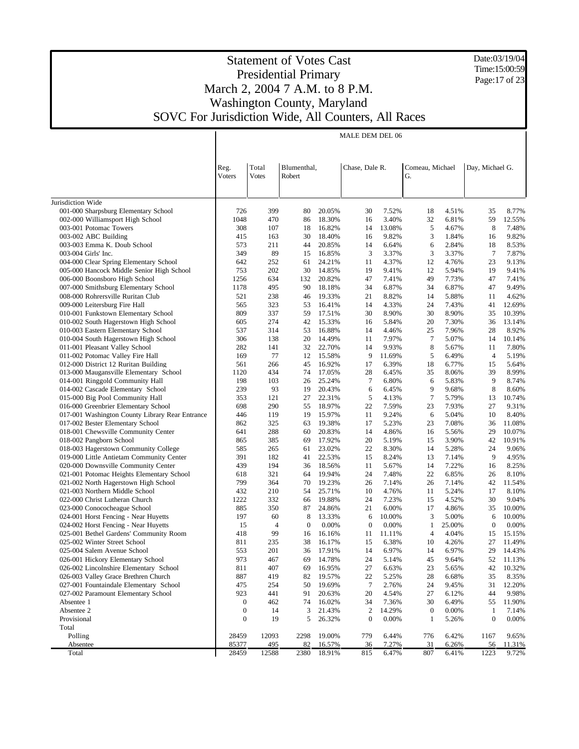Date:03/19/04 Time:15:00:59 Page: 17 of 23

|                                                                                | MALE DEM DEL 06  |              |                   |                  |                       |                 |                   |                 |                   |                 |
|--------------------------------------------------------------------------------|------------------|--------------|-------------------|------------------|-----------------------|-----------------|-------------------|-----------------|-------------------|-----------------|
|                                                                                |                  |              |                   |                  |                       |                 |                   |                 |                   |                 |
|                                                                                |                  |              |                   |                  |                       |                 |                   |                 |                   |                 |
|                                                                                | Reg.             | Total        | Blumenthal,       |                  | Chase, Dale R.        |                 | Comeau, Michael   |                 | Day, Michael G.   |                 |
|                                                                                | Voters           | <b>Votes</b> | Robert            |                  |                       |                 | G.                |                 |                   |                 |
|                                                                                |                  |              |                   |                  |                       |                 |                   |                 |                   |                 |
|                                                                                |                  |              |                   |                  |                       |                 |                   |                 |                   |                 |
| Jurisdiction Wide                                                              |                  |              |                   |                  |                       |                 |                   |                 |                   |                 |
| 001-000 Sharpsburg Elementary School<br>002-000 Williamsport High School       | 726<br>1048      | 399<br>470   | 80<br>86          | 20.05%<br>18.30% | 30<br>16              | 7.52%<br>3.40%  | 18<br>32          | 4.51%<br>6.81%  | 35<br>59          | 8.77%<br>12.55% |
| 003-001 Potomac Towers                                                         | 308              | 107          | 18                | 16.82%           | 14                    | 13.08%          | 5                 | 4.67%           | 8                 | 7.48%           |
| 003-002 ABC Building                                                           | 415              | 163          | 30                | 18.40%           | 16                    | 9.82%           | 3                 | 1.84%           | 16                | 9.82%           |
| 003-003 Emma K. Doub School                                                    | 573              | 211          | 44                | 20.85%           | 14                    | 6.64%           | 6                 | 2.84%           | 18                | 8.53%           |
| 003-004 Girls' Inc.                                                            | 349              | 89           | 15                | 16.85%           | 3                     | 3.37%           | 3                 | 3.37%           | $7\phantom{.0}$   | 7.87%           |
| 004-000 Clear Spring Elementary School                                         | 642              | 252          | 61                | 24.21%           | 11                    | 4.37%           | 12                | 4.76%           | 23                | 9.13%           |
| 005-000 Hancock Middle Senior High School                                      | 753              | 202          | 30                | 14.85%           | 19                    | 9.41%           | 12                | 5.94%           | 19                | 9.41%           |
| 006-000 Boonsboro High School                                                  | 1256             | 634          | 132               | 20.82%           | 47                    | 7.41%           | 49                | 7.73%           | 47                | 7.41%           |
| 007-000 Smithsburg Elementary School                                           | 1178             | 495          | 90                | 18.18%           | 34                    | 6.87%           | 34                | 6.87%           | 47                | 9.49%           |
| 008-000 Rohrersville Ruritan Club                                              | 521              | 238          | 46                | 19.33%           | 21                    | 8.82%           | 14                | 5.88%           | 11                | 4.62%           |
| 009-000 Leitersburg Fire Hall                                                  | 565              | 323          | 53                | 16.41%           | 14                    | 4.33%           | 24                | 7.43%           | 41                | 12.69%          |
| 010-001 Funkstown Elementary School                                            | 809              | 337          | 59                | 17.51%           | 30                    | 8.90%           | 30                | 8.90%           | 35                | 10.39%          |
| 010-002 South Hagerstown High School                                           | 605              | 274          | 42                | 15.33%           | 16                    | 5.84%           | 20                | 7.30%           | 36                | 13.14%          |
| 010-003 Eastern Elementary School                                              | 537              | 314          | 53                | 16.88%           | 14                    | 4.46%           | 25                | 7.96%           | 28                | 8.92%           |
| 010-004 South Hagerstown High School                                           | 306              | 138          | 20                | 14.49%           | 11                    | 7.97%           | $\tau$            | 5.07%           | 14                | 10.14%          |
| 011-001 Pleasant Valley School                                                 | 282              | 141          | 32                | 22.70%           | 14                    | 9.93%           | 8                 | 5.67%           | 11                | 7.80%           |
| 011-002 Potomac Valley Fire Hall                                               | 169              | 77           | 12                | 15.58%           | 9                     | 11.69%          | 5                 | 6.49%           | $\overline{4}$    | 5.19%           |
| 012-000 District 12 Ruritan Building<br>013-000 Maugansville Elementary School | 561<br>1120      | 266<br>434   | 45<br>74          | 16.92%<br>17.05% | 17<br>28              | 6.39%<br>6.45%  | 18<br>35          | 6.77%<br>8.06%  | 15<br>39          | 5.64%<br>8.99%  |
| 014-001 Ringgold Community Hall                                                | 198              | 103          | 26                | 25.24%           | $\tau$                | 6.80%           | 6                 | 5.83%           | 9                 | 8.74%           |
| 014-002 Cascade Elementary School                                              | 239              | 93           | 19                | 20.43%           | 6                     | 6.45%           | 9                 | 9.68%           | 8                 | 8.60%           |
| 015-000 Big Pool Community Hall                                                | 353              | 121          | 27                | 22.31%           | 5                     | 4.13%           | 7                 | 5.79%           | 13                | 10.74%          |
| 016-000 Greenbrier Elementary School                                           | 698              | 290          | 55                | 18.97%           | 22                    | 7.59%           | 23                | 7.93%           | 27                | 9.31%           |
| 017-001 Washington County Library Rear Entrance                                | 446              | 119          | 19                | 15.97%           | 11                    | 9.24%           | 6                 | 5.04%           | 10                | 8.40%           |
| 017-002 Bester Elementary School                                               | 862              | 325          | 63                | 19.38%           | 17                    | 5.23%           | 23                | 7.08%           | 36                | 11.08%          |
| 018-001 Chewsville Community Center                                            | 641              | 288          | 60                | 20.83%           | 14                    | 4.86%           | 16                | 5.56%           | 29                | 10.07%          |
| 018-002 Pangborn School                                                        | 865              | 385          | 69                | 17.92%           | 20                    | 5.19%           | 15                | 3.90%           | 42                | 10.91%          |
| 018-003 Hagerstown Community College                                           | 585              | 265          | 61                | 23.02%           | 22                    | 8.30%           | 14                | 5.28%           | 24                | 9.06%           |
| 019-000 Little Antietam Community Center                                       | 391              | 182          | 41                | 22.53%           | 15                    | 8.24%           | 13                | 7.14%           | 9                 | 4.95%           |
| 020-000 Downsville Community Center                                            | 439              | 194          | 36                | 18.56%           | 11                    | 5.67%           | 14                | 7.22%           | 16                | 8.25%           |
| 021-001 Potomac Heights Elementary School                                      | 618              | 321          | 64                | 19.94%           | 24                    | 7.48%           | 22                | 6.85%           | 26                | 8.10%           |
| 021-002 North Hagerstown High School                                           | 799              | 364          | 70                | 19.23%           | 26                    | 7.14%           | 26                | 7.14%           | 42                | 11.54%          |
| 021-003 Northern Middle School                                                 | 432              | 210          | 54                | 25.71%           | 10                    | 4.76%           | 11                | 5.24%           | 17                | 8.10%           |
| 022-000 Christ Lutheran Church                                                 | 1222             | 332          | 66                | 19.88%           | 24                    | 7.23%           | 15                | 4.52%           | 30                | 9.04%           |
| 023-000 Conococheague School                                                   | 885              | 350          | 87                | 24.86%           | 21                    | 6.00%           | 17                | 4.86%           | 35                | 10.00%          |
| 024-001 Horst Fencing - Near Huyetts<br>024-002 Horst Fencing - Near Huyetts   | 197<br>15        | 60<br>4      | 8<br>$\mathbf{0}$ | 13.33%<br>0.00%  | 6<br>$\boldsymbol{0}$ | 10.00%<br>0.00% | 3<br>$\mathbf{1}$ | 5.00%<br>25.00% | 6<br>$\mathbf{0}$ | 10.00%<br>0.00% |
| 025-001 Bethel Gardens' Community Room                                         | 418              | 99           | 16                | 16.16%           | 11                    | 11.11%          | $\overline{4}$    | 4.04%           | 15                | 15.15%          |
| 025-002 Winter Street School                                                   | 811              | 235          | 38                | 16.17%           | 15                    | 6.38%           | 10                | 4.26%           | 27                | 11.49%          |
| 025-004 Salem Avenue School                                                    | 553              | 201          |                   | 36 17.91%        | 14                    | 6.97%           | 14                | 6.97%           | 29                | 14.43%          |
| 026-001 Hickory Elementary School                                              | 973              | 467          | 69                | 14.78%           | 24                    | 5.14%           | 45                | 9.64%           | 52                | 11.13%          |
| 026-002 Lincolnshire Elementary School                                         | 811              | 407          | 69                | 16.95%           | 27                    | 6.63%           | 23                | 5.65%           | 42                | 10.32%          |
| 026-003 Valley Grace Brethren Church                                           | 887              | 419          | 82                | 19.57%           | 22                    | 5.25%           | 28                | 6.68%           | 35                | 8.35%           |
| 027-001 Fountaindale Elementary School                                         | 475              | 254          | 50                | 19.69%           | $\tau$                | 2.76%           | 24                | 9.45%           | 31                | 12.20%          |
| 027-002 Paramount Elementary School                                            | 923              | 441          | 91                | 20.63%           | 20                    | 4.54%           | 27                | 6.12%           | 44                | 9.98%           |
| Absentee 1                                                                     | $\boldsymbol{0}$ | 462          | 74                | 16.02%           | 34                    | 7.36%           | 30                | 6.49%           | 55                | 11.90%          |
| Absentee 2                                                                     | $\boldsymbol{0}$ | 14           | 3                 | 21.43%           | $\boldsymbol{2}$      | 14.29%          | $\boldsymbol{0}$  | 0.00%           | $\mathbf{1}$      | 7.14%           |
| Provisional                                                                    | $\boldsymbol{0}$ | 19           | 5                 | 26.32%           | $\boldsymbol{0}$      | 0.00%           | 1                 | 5.26%           | $\boldsymbol{0}$  | $0.00\%$        |
| Total                                                                          |                  |              |                   |                  |                       |                 |                   |                 |                   |                 |
| Polling                                                                        | 28459            | 12093        | 2298              | 19.00%           | 779                   | 6.44%           | 776               | 6.42%           | 1167              | 9.65%           |
| Absentee                                                                       | 85377            | 495          | 82                | 16.57%           | 36                    | 7.27%           | 31                | 6.26%           | 56                | 11.31%          |
| Total                                                                          | 28459            | 12588        | 2380              | 18.91%           | 815                   | 6.47%           | 807               | 6.41%           | 1223              | 9.72%           |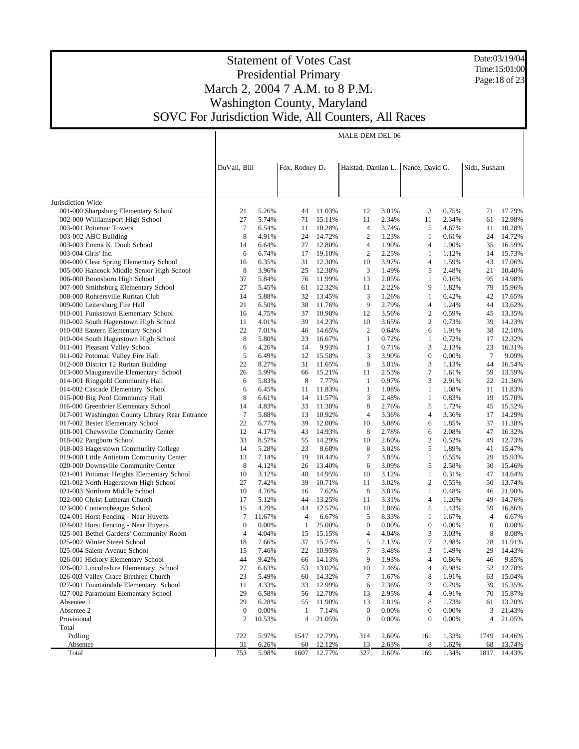Date:03/19/04 Time:15:01:00 Page:18 of 23

## Statement of Votes Cast Presidential Primary March 2, 2004 7 A.M. to 8 P.M. Washington County, Maryland SOVC For Jurisdiction Wide, All Counters, All Races

|                                                                                | MALE DEM DEL 06       |                |                |                  |                       |                |                       |                |                       |                 |  |  |
|--------------------------------------------------------------------------------|-----------------------|----------------|----------------|------------------|-----------------------|----------------|-----------------------|----------------|-----------------------|-----------------|--|--|
|                                                                                | DuVall, Bill          |                | Fox, Rodney D. |                  | Halstad, Damian L.    |                | Nance, David G.       |                | Sidh, Sushant         |                 |  |  |
|                                                                                |                       |                |                |                  |                       |                |                       |                |                       |                 |  |  |
| Jurisdiction Wide                                                              |                       |                |                |                  |                       |                |                       |                |                       |                 |  |  |
| 001-000 Sharpsburg Elementary School                                           | 21                    | 5.26%          | 44             | 11.03%           | 12                    | 3.01%          | 3                     | 0.75%          | 71                    | 17.79%          |  |  |
| 002-000 Williamsport High School                                               | 27                    | 5.74%          | 71             | 15.11%           | 11                    | 2.34%          | 11                    | 2.34%          | 61                    | 12.98%          |  |  |
| 003-001 Potomac Towers                                                         | $\tau$                | 6.54%          | 11             | 10.28%           | 4                     | 3.74%          | 5                     | 4.67%          | 11                    | 10.28%          |  |  |
| 003-002 ABC Building                                                           | 8                     | 4.91%          | 24             | 14.72%           | $\overline{c}$        | 1.23%          | 1                     | 0.61%          | 24                    | 14.72%          |  |  |
| 003-003 Emma K. Doub School                                                    | 14                    | 6.64%          | 27             | 12.80%           | 4                     | 1.90%          | $\overline{4}$        | 1.90%          | 35                    | 16.59%          |  |  |
| 003-004 Girls' Inc.                                                            | 6                     | 6.74%          | 17             | 19.10%           | $\overline{2}$        | 2.25%          | 1                     | 1.12%          | 14                    | 15.73%          |  |  |
| 004-000 Clear Spring Elementary School                                         | 16                    | 6.35%          | 31             | 12.30%           | 10                    | 3.97%          | $\overline{4}$        | 1.59%          | 43                    | 17.06%          |  |  |
| 005-000 Hancock Middle Senior High School                                      | 8                     | 3.96%          | 25             | 12.38%           | 3                     | 1.49%          | 5                     | 2.48%          | 21                    | 10.40%          |  |  |
| 006-000 Boonsboro High School                                                  | 37                    | 5.84%          | 76             | 11.99%           | 13                    | 2.05%          | $\mathbf{1}$          | 0.16%          | 95                    | 14.98%          |  |  |
| 007-000 Smithsburg Elementary School                                           | 27                    | 5.45%          | 61             | 12.32%           | 11                    | 2.22%          | 9                     | 1.82%          | 79                    | 15.96%          |  |  |
| 008-000 Rohrersville Ruritan Club                                              | 14                    | 5.88%          | 32             | 13.45%           | 3                     | 1.26%          | $\mathbf{1}$          | 0.42%          | 42                    | 17.65%          |  |  |
| 009-000 Leitersburg Fire Hall                                                  | 21                    | 6.50%          | 38             | 11.76%           | 9                     | 2.79%          | $\overline{4}$        | 1.24%          | 44                    | 13.62%          |  |  |
| 010-001 Funkstown Elementary School                                            | 16                    | 4.75%          | 37             | 10.98%           | 12                    | 3.56%          | $\mathfrak{2}$        | 0.59%          | 45                    | 13.35%          |  |  |
| 010-002 South Hagerstown High School                                           | 11                    | 4.01%          | 39             | 14.23%           | 10                    | 3.65%          | $\mathfrak{2}$        | 0.73%          | 39                    | 14.23%          |  |  |
| 010-003 Eastern Elementary School                                              | 22                    | 7.01%          | 46             | 14.65%           | $\overline{2}$        | 0.64%          | 6                     | 1.91%          | 38                    | 12.10%          |  |  |
| 010-004 South Hagerstown High School                                           | 8                     | 5.80%          | 23             | 16.67%           | 1                     | 0.72%          | 1                     | 0.72%          | 17<br>23              | 12.32%          |  |  |
| 011-001 Pleasant Valley School<br>011-002 Potomac Valley Fire Hall             | 6<br>5                | 4.26%<br>6.49% | 14<br>12       | 9.93%<br>15.58%  | $\mathbf{1}$<br>3     | 0.71%<br>3.90% | 3<br>$\theta$         | 2.13%<br>0.00% | $\tau$                | 16.31%<br>9.09% |  |  |
| 012-000 District 12 Ruritan Building                                           | 22                    | 8.27%          | 31             | 11.65%           | 8                     | 3.01%          | 3                     | 1.13%          | 44                    | 16.54%          |  |  |
| 013-000 Maugansville Elementary School                                         | 26                    | 5.99%          | 66             | 15.21%           | 11                    | 2.53%          | 7                     | 1.61%          | 59                    | 13.59%          |  |  |
| 014-001 Ringgold Community Hall                                                | 6                     | 5.83%          | 8              | 7.77%            | $\mathbf{1}$          | 0.97%          | 3                     | 2.91%          | 22                    | 21.36%          |  |  |
| 014-002 Cascade Elementary School                                              | 6                     | 6.45%          | 11             | 11.83%           | 1                     | 1.08%          | 1                     | 1.08%          | 11                    | 11.83%          |  |  |
| 015-000 Big Pool Community Hall                                                | 8                     | 6.61%          | 14             | 11.57%           | 3                     | 2.48%          | 1                     | 0.83%          | 19                    | 15.70%          |  |  |
| 016-000 Greenbrier Elementary School                                           | 14                    | 4.83%          | 33             | 11.38%           | 8                     | 2.76%          | 5                     | 1.72%          | 45                    | 15.52%          |  |  |
| 017-001 Washington County Library Rear Entrance                                | $\overline{7}$        | 5.88%          | 13             | 10.92%           | 4                     | 3.36%          | 4                     | 3.36%          | 17                    | 14.29%          |  |  |
| 017-002 Bester Elementary School                                               | 22                    | 6.77%          | 39             | 12.00%           | 10                    | 3.08%          | 6                     | 1.85%          | 37                    | 11.38%          |  |  |
| 018-001 Chewsville Community Center                                            | 12                    | 4.17%          | 43             | 14.93%           | 8                     | 2.78%          | 6                     | 2.08%          | 47                    | 16.32%          |  |  |
| 018-002 Pangborn School                                                        | 33                    | 8.57%          | 55             | 14.29%           | 10                    | 2.60%          | 2                     | 0.52%          | 49                    | 12.73%          |  |  |
| 018-003 Hagerstown Community College                                           | 14                    | 5.28%          | 23             | 8.68%            | 8                     | 3.02%          | 5                     | 1.89%          | 41                    | 15.47%          |  |  |
| 019-000 Little Antietam Community Center                                       | 13                    | 7.14%          | 19             | 10.44%           | 7                     | 3.85%          | 1                     | 0.55%          | 29                    | 15.93%          |  |  |
| 020-000 Downsville Community Center                                            | 8                     | 4.12%          | 26             | 13.40%           | 6                     | 3.09%          | 5                     | 2.58%          | 30                    | 15.46%          |  |  |
| 021-001 Potomac Heights Elementary School                                      | 10                    | 3.12%          | 48             | 14.95%           | 10                    | 3.12%          | 1                     | 0.31%          | 47                    | 14.64%          |  |  |
| 021-002 North Hagerstown High School                                           | 27                    | 7.42%          | 39             | 10.71%           | 11                    | 3.02%          | $\mathfrak{2}$        | 0.55%          | 50                    | 13.74%          |  |  |
| 021-003 Northern Middle School                                                 | 10                    | 4.76%          | 16             | 7.62%            | 8                     | 3.81%          | 1                     | 0.48%          | 46                    | 21.90%          |  |  |
| 022-000 Christ Lutheran Church                                                 | 17                    | 5.12%          | 44             | 13.25%           | 11                    | 3.31%          | 4                     | 1.20%          | 49                    | 14.76%          |  |  |
| 023-000 Conococheague School                                                   | 15                    | 4.29%          | 44             | 12.57%           | 10                    | 2.86%          | 5                     | 1.43%          | 59                    | 16.86%          |  |  |
| 024-001 Horst Fencing - Near Huyetts                                           | 7                     | 11.67%         | 4              | 6.67%            | 5                     | 8.33%          | 1                     | 1.67%          | 4                     | 6.67%           |  |  |
| 024-002 Horst Fencing - Near Huyetts<br>025-001 Bethel Gardens' Community Room | $\boldsymbol{0}$<br>4 | 0.00%<br>4.04% | 1<br>15        | 25.00%<br>15.15% | $\boldsymbol{0}$<br>4 | 0.00%<br>4.04% | $\boldsymbol{0}$<br>3 | 0.00%<br>3.03% | $\boldsymbol{0}$<br>8 | 0.00%<br>8.08%  |  |  |
| 025-002 Winter Street School                                                   | 18                    | 7.66%          | 37             | 15.74%           | 5                     | 2.13%          | 7                     | 2.98%          | 28                    | 11.91%          |  |  |
| 025-004 Salem Avenue School                                                    | 15                    | 7.46%          | 22             | 10.95%           | 7                     | 3.48%          | 3                     | 1.49%          |                       | 29 14.43%       |  |  |
| 026-001 Hickory Elementary School                                              | 44                    | 9.42%          | 66             | 14.13%           | 9                     | 1.93%          | 4                     | 0.86%          | 46                    | 9.85%           |  |  |
| 026-002 Lincolnshire Elementary School                                         | 27                    | 6.63%          | 53             | 13.02%           | 10                    | 2.46%          | 4                     | 0.98%          | 52                    | 12.78%          |  |  |
| 026-003 Valley Grace Brethren Church                                           | 23                    | 5.49%          | 60             | 14.32%           | 7                     | 1.67%          | 8                     | 1.91%          | 63                    | 15.04%          |  |  |
| 027-001 Fountaindale Elementary School                                         | 11                    | 4.33%          | 33             | 12.99%           | 6                     | 2.36%          | 2                     | 0.79%          | 39                    | 15.35%          |  |  |
| 027-002 Paramount Elementary School                                            | 29                    | 6.58%          | 56             | 12.70%           | 13                    | 2.95%          | 4                     | 0.91%          | 70                    | 15.87%          |  |  |
| Absentee 1                                                                     | 29                    | 6.28%          | 55             | 11.90%           | 13                    | 2.81%          | 8                     | 1.73%          | 61                    | 13.20%          |  |  |
| Absentee 2                                                                     | $\boldsymbol{0}$      | 0.00%          | 1              | 7.14%            | $\boldsymbol{0}$      | 0.00%          | 0                     | 0.00%          | 3                     | 21.43%          |  |  |
| Provisional                                                                    | 2                     | 10.53%         | 4              | 21.05%           | $\boldsymbol{0}$      | 0.00%          | $\mathbf{0}$          | 0.00%          | 4                     | 21.05%          |  |  |
| Total                                                                          |                       |                |                |                  |                       |                |                       |                |                       |                 |  |  |
| Polling                                                                        | 722                   | 5.97%          | 1547           | 12.79%           | 314                   | 2.60%          | 161                   | 1.33%          | 1749                  | 14.46%          |  |  |
| <b>Absentee</b>                                                                | 31                    | 6.26%          | <u>60</u>      | 12.12%           | <u>13</u>             | 2.63%          | 8                     | 1.62%          | 68                    | 13.74%          |  |  |
| Total                                                                          | 753                   | 5.98%          | 1607           | 12.77%           | 327                   | 2.60%          | 169                   | 1.34%          | 1817                  | 14.43%          |  |  |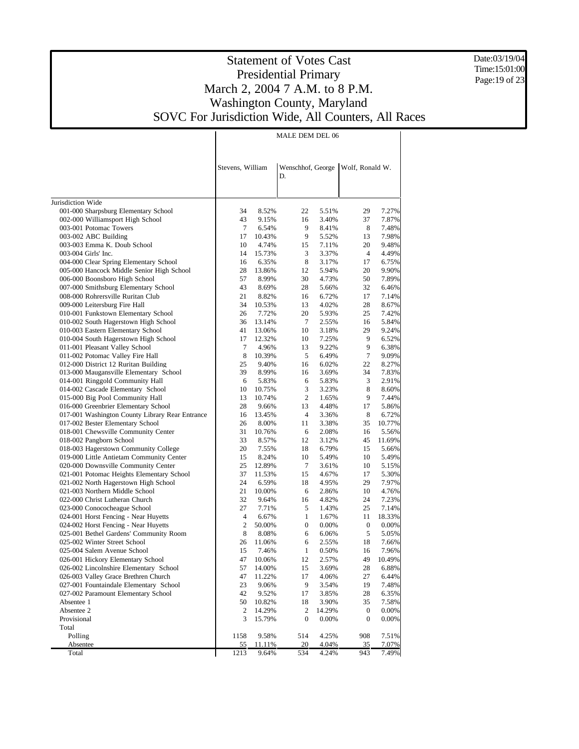Date:03/19/04 Time:15:01:00 Page: 19 of 23

### Statement of Votes Cast Presidential Primary March 2, 2004 7 A.M. to 8 P.M. Washington County, Maryland SOVC For Jurisdiction Wide, All Counters, All Races

|                                                                |                  |                 | MALE DEM DEL 06  |                |                                     |                 |
|----------------------------------------------------------------|------------------|-----------------|------------------|----------------|-------------------------------------|-----------------|
|                                                                |                  |                 |                  |                |                                     |                 |
|                                                                |                  |                 |                  |                |                                     |                 |
|                                                                | Stevens, William |                 | D.               |                | Wenschhof, George   Wolf, Ronald W. |                 |
|                                                                |                  |                 |                  |                |                                     |                 |
|                                                                |                  |                 |                  |                |                                     |                 |
| Jurisdiction Wide                                              |                  |                 |                  |                |                                     |                 |
| 001-000 Sharpsburg Elementary School                           | 34               | 8.52%           | 22               | 5.51%          | 29                                  | 7.27%           |
| 002-000 Williamsport High School<br>003-001 Potomac Towers     | 43<br>$\tau$     | 9.15%<br>6.54%  | 16<br>9          | 3.40%<br>8.41% | 37<br>8                             | 7.87%<br>7.48%  |
| 003-002 ABC Building                                           | 17               | 10.43%          | 9                | 5.52%          | 13                                  | 7.98%           |
| 003-003 Emma K. Doub School                                    | 10               | 4.74%           | 15               | 7.11%          | 20                                  | 9.48%           |
| 003-004 Girls' Inc.                                            | 14               | 15.73%          | 3                | 3.37%          | 4                                   | 4.49%           |
| 004-000 Clear Spring Elementary School                         | 16               | 6.35%           | 8                | 3.17%          | 17                                  | 6.75%           |
| 005-000 Hancock Middle Senior High School                      | 28               | 13.86%          | 12               | 5.94%          | 20                                  | 9.90%           |
| 006-000 Boonsboro High School                                  | 57               | 8.99%           | 30               | 4.73%          | 50                                  | 7.89%           |
| 007-000 Smithsburg Elementary School                           | 43               | 8.69%           | 28               | 5.66%          | 32                                  | 6.46%           |
| 008-000 Rohrersville Ruritan Club                              | 21               | 8.82%           | 16               | 6.72%          | 17                                  | 7.14%           |
| 009-000 Leitersburg Fire Hall                                  | 34               | 10.53%          | 13               | 4.02%          | 28                                  | 8.67%           |
| 010-001 Funkstown Elementary School                            | 26               | 7.72%           | 20               | 5.93%          | 25                                  | 7.42%           |
| 010-002 South Hagerstown High School                           | 36               | 13.14%          | 7                | 2.55%          | 16                                  | 5.84%           |
| 010-003 Eastern Elementary School                              | 41               | 13.06%          | 10               | 3.18%          | 29                                  | 9.24%           |
| 010-004 South Hagerstown High School                           | 17               | 12.32%          | 10               | 7.25%          | 9                                   | 6.52%           |
| 011-001 Pleasant Valley School                                 | $\tau$           | 4.96%           | 13               | 9.22%          | 9                                   | 6.38%           |
| 011-002 Potomac Valley Fire Hall                               | 8                | 10.39%          | 5                | 6.49%          | $\tau$                              | 9.09%           |
| 012-000 District 12 Ruritan Building                           | 25               | 9.40%           | 16               | 6.02%          | 22                                  | 8.27%           |
| 013-000 Maugansville Elementary School                         | 39               | 8.99%           | 16               | 3.69%          | 34                                  | 7.83%           |
| 014-001 Ringgold Community Hall                                | 6                | 5.83%           | 6                | 5.83%          | 3                                   | 2.91%           |
| 014-002 Cascade Elementary School                              | 10               | 10.75%          | 3                | 3.23%          | 8                                   | 8.60%           |
| 015-000 Big Pool Community Hall                                | 13               | 10.74%          | 2                | 1.65%          | 9                                   | 7.44%           |
| 016-000 Greenbrier Elementary School                           | 28               | 9.66%           | 13               | 4.48%          | 17                                  | 5.86%           |
| 017-001 Washington County Library Rear Entrance                | 16               | 13.45%          | 4                | 3.36%          | 8                                   | 6.72%           |
| 017-002 Bester Elementary School                               | 26<br>31         | 8.00%           | 11               | 3.38%          | 35                                  | 10.77%          |
| 018-001 Chewsville Community Center<br>018-002 Pangborn School | 33               | 10.76%<br>8.57% | 6<br>12          | 2.08%<br>3.12% | 16<br>45                            | 5.56%<br>11.69% |
| 018-003 Hagerstown Community College                           | 20               | 7.55%           | 18               | 6.79%          | 15                                  | 5.66%           |
| 019-000 Little Antietam Community Center                       | 15               | 8.24%           | 10               | 5.49%          | 10                                  | 5.49%           |
| 020-000 Downsville Community Center                            | 25               | 12.89%          | 7                | 3.61%          | 10                                  | 5.15%           |
| 021-001 Potomac Heights Elementary School                      | 37               | 11.53%          | 15               | 4.67%          | 17                                  | 5.30%           |
| 021-002 North Hagerstown High School                           | 24               | 6.59%           | 18               | 4.95%          | 29                                  | 7.97%           |
| 021-003 Northern Middle School                                 | 21               | 10.00%          | 6                | 2.86%          | 10                                  | 4.76%           |
| 022-000 Christ Lutheran Church                                 | 32               | 9.64%           | 16               | 4.82%          | 24                                  | 7.23%           |
| 023-000 Conococheague School                                   | 27               | 7.71%           | 5                | 1.43%          | 25                                  | 7.14%           |
| 024-001 Horst Fencing - Near Huyetts                           | 4                | 6.67%           | $\mathbf{1}$     | 1.67%          | 11                                  | 18.33%          |
| 024-002 Horst Fencing - Near Huyetts                           | 2                | 50.00%          | 0                | 0.00%          | $\boldsymbol{0}$                    | 0.00%           |
| 025-001 Bethel Gardens' Community Room                         | 8                | 8.08%           | 6                | 6.06%          | 5                                   | 5.05%           |
| 025-002 Winter Street School                                   | 26               | 11.06%          | 6                | 2.55%          | 18                                  | 7.66%           |
| 025-004 Salem Avenue School                                    | 15               | 7.46%           | $\mathbf{1}$     | 0.50%          | 16                                  | 7.96%           |
| 026-001 Hickory Elementary School                              | 47               | 10.06%          | 12               | 2.57%          | 49                                  | 10.49%          |
| 026-002 Lincolnshire Elementary School                         | 57               | 14.00%          | 15               | 3.69%          | 28                                  | 6.88%           |
| 026-003 Valley Grace Brethren Church                           | 47               | 11.22%          | 17               | 4.06%          | 27                                  | 6.44%           |
| 027-001 Fountaindale Elementary School                         | 23               | 9.06%           | 9                | 3.54%          | 19                                  | 7.48%           |
| 027-002 Paramount Elementary School                            | 42               | 9.52%           | 17               | 3.85%          | 28                                  | 6.35%           |
| Absentee 1                                                     | 50               | 10.82%          | 18               | 3.90%          | 35                                  | 7.58%           |
| Absentee 2                                                     | 2                | 14.29%          | 2                | 14.29%         | $\boldsymbol{0}$                    | 0.00%           |
| Provisional                                                    | 3                | 15.79%          | $\boldsymbol{0}$ | 0.00%          | $\boldsymbol{0}$                    | 0.00%           |
| Total                                                          |                  |                 |                  |                |                                     |                 |
| Polling                                                        | 1158             | 9.58%           | 514              | 4.25%          | 908                                 | 7.51%           |
| Absentee                                                       | 55               | 11.11%          | $\frac{20}{2}$   | 4.04%          | 35                                  | 7.07%           |
| Total                                                          | 1213             | 9.64%           | 534              | 4.24%          | 943                                 | 7.49%           |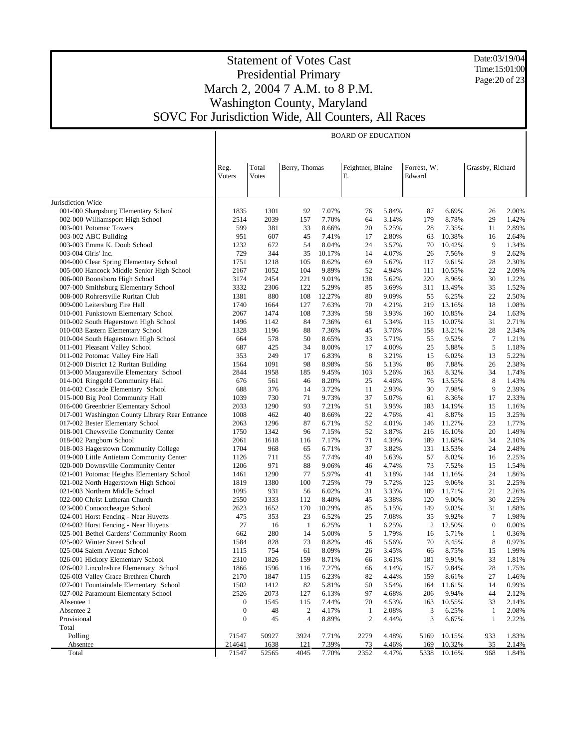Date:03/19/04 Time:15:01:00 Page: 20 of 23

|                                                                                     | <b>BOARD OF EDUCATION</b> |              |                  |                |                   |                |             |                  |                  |                |
|-------------------------------------------------------------------------------------|---------------------------|--------------|------------------|----------------|-------------------|----------------|-------------|------------------|------------------|----------------|
|                                                                                     |                           |              |                  |                |                   |                |             |                  |                  |                |
|                                                                                     |                           |              |                  |                |                   |                |             |                  |                  |                |
|                                                                                     | Reg.                      | Total        | Berry, Thomas    |                | Feightner, Blaine |                | Forrest, W. |                  | Grassby, Richard |                |
|                                                                                     | Voters                    | Votes        |                  |                | Ε.                |                | Edward      |                  |                  |                |
|                                                                                     |                           |              |                  |                |                   |                |             |                  |                  |                |
| Jurisdiction Wide                                                                   |                           |              |                  |                |                   |                |             |                  |                  |                |
| 001-000 Sharpsburg Elementary School                                                | 1835                      | 1301         | 92               | 7.07%          | 76                | 5.84%          | 87          | 6.69%            | 26               | 2.00%          |
| 002-000 Williamsport High School                                                    | 2514                      | 2039         | 157              | 7.70%          | 64                | 3.14%          | 179         | 8.78%            | 29               | 1.42%          |
| 003-001 Potomac Towers                                                              | 599                       | 381          | 33               | 8.66%          | 20                | 5.25%          | 28          | 7.35%            | 11               | 2.89%          |
| 003-002 ABC Building                                                                | 951                       | 607          | 45               | 7.41%          | 17                | 2.80%          | 63          | 10.38%           | 16               | 2.64%          |
| 003-003 Emma K. Doub School                                                         | 1232                      | 672          | 54               | 8.04%          | 24                | 3.57%          | 70          | 10.42%           | 9                | 1.34%          |
| 003-004 Girls' Inc.                                                                 | 729                       | 344          | 35               | 10.17%         | 14                | 4.07%          | 26          | 7.56%            | 9                | 2.62%          |
| 004-000 Clear Spring Elementary School                                              | 1751                      | 1218         | 105              | 8.62%          | 69                | 5.67%          | 117         | 9.61%            | 28               | 2.30%          |
| 005-000 Hancock Middle Senior High School                                           | 2167<br>3174              | 1052<br>2454 | 104              | 9.89%<br>9.01% | 52                | 4.94%          | 111<br>220  | 10.55%<br>8.96%  | 22<br>30         | 2.09%<br>1.22% |
| 006-000 Boonsboro High School<br>007-000 Smithsburg Elementary School               | 3332                      | 2306         | 221<br>122       | 5.29%          | 138<br>85         | 5.62%<br>3.69% | 311         | 13.49%           | 35               | 1.52%          |
| 008-000 Rohrersville Ruritan Club                                                   | 1381                      | 880          | 108              | 12.27%         | 80                | 9.09%          | 55          | 6.25%            | 22               | 2.50%          |
| 009-000 Leitersburg Fire Hall                                                       | 1740                      | 1664         | 127              | 7.63%          | 70                | 4.21%          | 219         | 13.16%           | 18               | 1.08%          |
| 010-001 Funkstown Elementary School                                                 | 2067                      | 1474         | 108              | 7.33%          | 58                | 3.93%          | 160         | 10.85%           | 24               | 1.63%          |
| 010-002 South Hagerstown High School                                                | 1496                      | 1142         | 84               | 7.36%          | 61                | 5.34%          | 115         | 10.07%           | 31               | 2.71%          |
| 010-003 Eastern Elementary School                                                   | 1328                      | 1196         | 88               | 7.36%          | 45                | 3.76%          | 158         | 13.21%           | 28               | 2.34%          |
| 010-004 South Hagerstown High School                                                | 664                       | 578          | 50               | 8.65%          | 33                | 5.71%          | 55          | 9.52%            | $\overline{7}$   | 1.21%          |
| 011-001 Pleasant Valley School                                                      | 687                       | 425          | 34               | 8.00%          | 17                | 4.00%          | 25          | 5.88%            | 5                | 1.18%          |
| 011-002 Potomac Valley Fire Hall                                                    | 353                       | 249          | 17               | 6.83%          | 8                 | 3.21%          | 15          | 6.02%            | 13               | 5.22%          |
| 012-000 District 12 Ruritan Building                                                | 1564                      | 1091         | 98               | 8.98%          | 56                | 5.13%          | 86          | 7.88%            | 26               | 2.38%          |
| 013-000 Maugansville Elementary School                                              | 2844                      | 1958         | 185              | 9.45%          | 103               | 5.26%          | 163         | 8.32%            | 34               | 1.74%          |
| 014-001 Ringgold Community Hall                                                     | 676                       | 561          | 46               | 8.20%          | 25                | 4.46%          | 76          | 13.55%           | 8                | 1.43%          |
| 014-002 Cascade Elementary School                                                   | 688                       | 376          | 14               | 3.72%          | 11                | 2.93%          | 30          | 7.98%            | 9                | 2.39%          |
| 015-000 Big Pool Community Hall                                                     | 1039                      | 730          | 71               | 9.73%          | 37                | 5.07%          | 61          | 8.36%            | 17               | 2.33%          |
| 016-000 Greenbrier Elementary School                                                | 2033                      | 1290         | 93               | 7.21%          | 51                | 3.95%          | 183         | 14.19%           | 15               | 1.16%          |
| 017-001 Washington County Library Rear Entrance<br>017-002 Bester Elementary School | 1008                      | 462<br>1296  | 40<br>87         | 8.66%          | 22<br>52          | 4.76%          | 41<br>146   | 8.87%            | 15<br>23         | 3.25%<br>1.77% |
| 018-001 Chewsville Community Center                                                 | 2063<br>1750              | 1342         | 96               | 6.71%<br>7.15% | 52                | 4.01%<br>3.87% | 216         | 11.27%<br>16.10% | 20               | 1.49%          |
| 018-002 Pangborn School                                                             | 2061                      | 1618         | 116              | 7.17%          | 71                | 4.39%          | 189         | 11.68%           | 34               | 2.10%          |
| 018-003 Hagerstown Community College                                                | 1704                      | 968          | 65               | 6.71%          | 37                | 3.82%          | 131         | 13.53%           | 24               | 2.48%          |
| 019-000 Little Antietam Community Center                                            | 1126                      | 711          | 55               | 7.74%          | 40                | 5.63%          | 57          | 8.02%            | 16               | 2.25%          |
| 020-000 Downsville Community Center                                                 | 1206                      | 971          | 88               | 9.06%          | 46                | 4.74%          | 73          | 7.52%            | 15               | 1.54%          |
| 021-001 Potomac Heights Elementary School                                           | 1461                      | 1290         | 77               | 5.97%          | 41                | 3.18%          | 144         | 11.16%           | 24               | 1.86%          |
| 021-002 North Hagerstown High School                                                | 1819                      | 1380         | 100              | 7.25%          | 79                | 5.72%          | 125         | 9.06%            | 31               | 2.25%          |
| 021-003 Northern Middle School                                                      | 1095                      | 931          | 56               | 6.02%          | 31                | 3.33%          | 109         | 11.71%           | 21               | 2.26%          |
| 022-000 Christ Lutheran Church                                                      | 2550                      | 1333         | 112              | 8.40%          | 45                | 3.38%          | 120         | 9.00%            | 30               | 2.25%          |
| 023-000 Conococheague School                                                        | 2623                      | 1652         | 170              | 10.29%         | 85                | 5.15%          | 149         | 9.02%            | 31               | 1.88%          |
| 024-001 Horst Fencing - Near Huyetts                                                | 475                       | 353          | 23               | 6.52%          | 25                | 7.08%          | 35          | 9.92%            | 7                | 1.98%          |
| 024-002 Horst Fencing - Near Huyetts                                                | 27                        | 16           | -1               | 6.25%          | $\mathbf{1}$      | 6.25%          | 2           | 12.50%           | $\boldsymbol{0}$ | 0.00%          |
| 025-001 Bethel Gardens' Community Room                                              | 662                       | 280          | 14               | 5.00%          | 5                 | 1.79%          | 16          | 5.71%            | 1                | 0.36%          |
| 025-002 Winter Street School                                                        | 1584                      | 828          | 73               | 8.82%          | 46                | 5.56%          | 70          | 8.45%            | 8                | 0.97%          |
| 025-004 Salem Avenue School                                                         | 1115                      | 754          | 61               | 8.09%          | 26                | 3.45%          | 66          | 8.75%            | 15               | 1.99%          |
| 026-001 Hickory Elementary School<br>026-002 Lincolnshire Elementary School         | 2310<br>1866              | 1826         | 159              | 8.71%<br>7.27% | 66                | 3.61%<br>4.14% | 181<br>157  | 9.91%<br>9.84%   | 33<br>$28\,$     | 1.81%          |
| 026-003 Valley Grace Brethren Church                                                | 2170                      | 1596<br>1847 | 116<br>115       | 6.23%          | 66<br>82          | 4.44%          | 159         | 8.61%            | 27               | 1.75%<br>1.46% |
| 027-001 Fountaindale Elementary School                                              | 1502                      | 1412         | 82               | 5.81%          | 50                | 3.54%          | 164         | 11.61%           | 14               | 0.99%          |
| 027-002 Paramount Elementary School                                                 | 2526                      | 2073         | 127              | 6.13%          | 97                | 4.68%          | 206         | 9.94%            | 44               | 2.12%          |
| Absentee 1                                                                          | 0                         | 1545         | 115              | 7.44%          | 70                | 4.53%          | 163         | 10.55%           | 33               | 2.14%          |
| Absentee 2                                                                          | $\boldsymbol{0}$          | 48           | $\boldsymbol{2}$ | 4.17%          | $\mathbf{1}$      | 2.08%          | 3           | 6.25%            | -1               | 2.08%          |
| Provisional                                                                         | $\mathbf{0}$              | 45           | 4                | 8.89%          | $\overline{c}$    | 4.44%          | 3           | 6.67%            | $\mathbf{1}$     | 2.22%          |
| Total                                                                               |                           |              |                  |                |                   |                |             |                  |                  |                |
| Polling                                                                             | 71547                     | 50927        | 3924             | 7.71%          | 2279              | 4.48%          | 5169        | 10.15%           | 933              | 1.83%          |
| Absentee                                                                            | 214641                    | 1638         | 121              | 7.39%          | 73                | 4.46%          | 169         | 10.32%           | 35               | 2.14%          |
| Total                                                                               | 71547                     | 52565        | 4045             | 7.70%          | 2352              | 4.47%          | 5338        | 10.16%           | 968              | 1.84%          |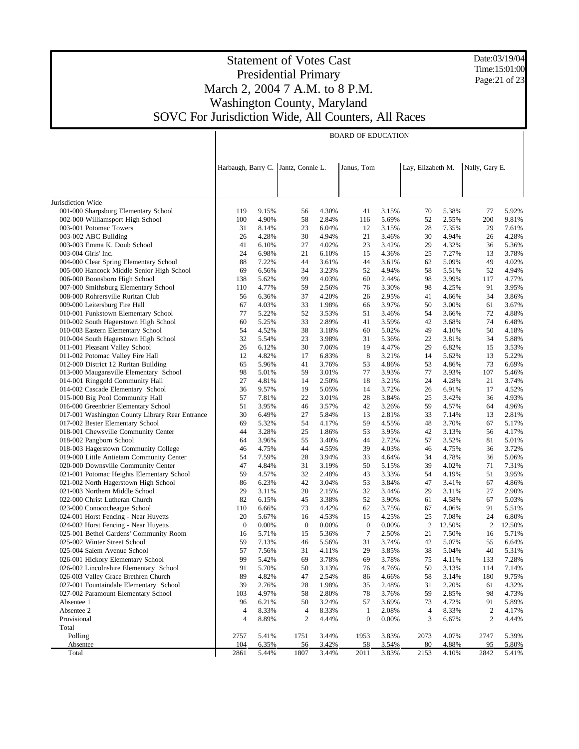Date:03/19/04 Time:15:01:00 Page:21 of 23

#### Statement of Votes Cast Presidential Primary March 2, 2004 7 A.M. to 8 P.M. Washington County, Maryland SOVC For Jurisdiction Wide, All Counters, All Races

Jurisdiction Wide 001-000 Sharpsburg Elementary School 002-000 Williamsport High School 003-001 Potomac Towers 003-002 ABC Building 003-003 Emma K. Doub School 003-004 Girls' Inc. 004-000 Clear Spring Elementary School 005-000 Hancock Middle Senior High School 006-000 Boonsboro High School 007-000 Smithsburg Elementary School 008-000 Rohrersville Ruritan Club 009-000 Leitersburg Fire Hall 010-001 Funkstown Elementary School 010-002 South Hagerstown High School 010-003 Eastern Elementary School 010-004 South Hagerstown High School 011-001 Pleasant Valley School 011-002 Potomac Valley Fire Hall 012-000 District 12 Ruritan Building 013-000 Maugansville Elementary School 014-001 Ringgold Community Hall 014-002 Cascade Elementary School 015-000 Big Pool Community Hall 016-000 Greenbrier Elementary School 017-001 Washington County Library Rear Entrance 017-002 Bester Elementary School 018-001 Chewsville Community Center 018-002 Pangborn School 018-003 Hagerstown Community College 019-000 Little Antietam Community Center 020-000 Downsville Community Center 021-001 Potomac Heights Elementary School 021-002 North Hagerstown High School 021-003 Northern Middle School 022-000 Christ Lutheran Church 023-000 Conococheague School 024-001 Horst Fencing - Near Huyetts 024-002 Horst Fencing - Near Huyetts 025-001 Bethel Gardens' Community Room 025-002 Winter Street School 025-004 Salem Avenue School 026-001 Hickory Elementary School 026-002 Lincolnshire Elementary School 026-003 Valley Grace Brethren Church 027-001 Fountaindale Elementary School 027-002 Paramount Elementary School Absentee 1 Absentee 2 Provisional Total Polling **Absentee**  Total Harbaugh, Barry C. Jantz, Connie L. Janus, Tom Lay, Elizabeth M. Nally, Gary E. BOARD OF EDUCATION 119 9.15% 56 4.30% 41 3.15% 70 5.38% 77 5.92% 100 4.90% 58 2.84% 116 5.69% 52 2.55% 200 9.81% 31 8.14% 23 6.04% 12 3.15% 28 7.35% 29 7.61% 26 4.28% 30 4.94% 21 3.46% 30 4.94% 26 4.28% 41 6.10% 27 4.02% 23 3.42% 29 4.32% 36 5.36% 24 6.98% 21 6.10% 15 4.36% 25 7.27% 13 3.78% 88 7.22% 44 3.61% 44 3.61% 62 5.09% 49 4.02% 69 6.56% 34 3.23% 52 4.94% 58 5.51% 52 4.94% 138 5.62% 99 4.03% 60 2.44% 98 3.99% 117 4.77% 110 4.77% 59 2.56% 76 3.30% 98 4.25% 91 3.95% 56 6.36% 37 4.20% 26 2.95% 41 4.66% 34 3.86% 67 4.03% 33 1.98% 66 3.97% 50 3.00% 61 3.67% 77 5.22% 52 3.53% 51 3.46% 54 3.66% 72 4.88% 60 5.25% 33 2.89% 41 3.59% 42 3.68% 74 6.48% 54 4.52% 38 3.18% 60 5.02% 49 4.10% 50 4.18% 32 5.54% 23 3.98% 31 5.36% 22 3.81% 34 5.88% 26 6.12% 30 7.06% 19 4.47% 29 6.82% 15 3.53% 12 4.82% 17 6.83% 8 3.21% 14 5.62% 13 5.22% 65 5.96% 41 3.76% 53 4.86% 53 4.86% 73 6.69% 98 5.01% 59 3.01% 77 3.93% 77 3.93% 107 5.46% 27 4.81% 14 2.50% 18 3.21% 24 4.28% 21 3.74% 36 9.57% 19 5.05% 14 3.72% 26 6.91% 17 4.52% 57 7.81% 22 3.01% 28 3.84% 25 3.42% 36 4.93% 51 3.95% 46 3.57% 42 3.26% 59 4.57% 64 4.96% 30 6.49% 27 5.84% 13 2.81% 33 7.14% 13 2.81% 69 5.32% 54 4.17% 59 4.55% 48 3.70% 67 5.17% 44 3.28% 25 1.86% 53 3.95% 42 3.13% 56 4.17% 64 3.96% 55 3.40% 44 2.72% 57 3.52% 81 5.01% 46 4.75% 44 4.55% 39 4.03% 46 4.75% 36 3.72% 54 7.59% 28 3.94% 33 4.64% 34 4.78% 36 5.06% 47 4.84% 31 3.19% 50 5.15% 39 4.02% 71 7.31% 59 4.57% 32 2.48% 43 3.33% 54 4.19% 51 3.95% 86 6.23% 42 3.04% 53 3.84% 47 3.41% 67 4.86% 29 3.11% 20 2.15% 32 3.44% 29 3.11% 27 2.90% 82 6.15% 45 3.38% 52 3.90% 61 4.58% 67 5.03% 110 6.66% 73 4.42% 62 3.75% 67 4.06% 91 5.51% 20 5.67% 16 4.53% 15 4.25% 25 7.08% 24 6.80% 0 0.00% 0 0.00% 0 0.00% 2 12.50% 2 12.50% 16 5.71% 15 5.36% 7 2.50% 21 7.50% 16 5.71% 59 7.13% 46 5.56% 31 3.74% 42 5.07% 55 6.64% 57 7.56% 31 4.11% 29 3.85% 38 5.04% 40 5.31% 99 5.42% 69 3.78% 69 3.78% 75 4.11% 133 7.28% 91 5.70% 50 3.13% 76 4.76% 50 3.13% 114 7.14% 89 4.82% 47 2.54% 86 4.66% 58 3.14% 180 9.75% 39 2.76% 28 1.98% 35 2.48% 31 2.20% 61 4.32% 103 4.97% 58 2.80% 78 3.76% 59 2.85% 98 4.73% 96 6.21% 50 3.24% 57 3.69% 73 4.72% 91 5.89% 4 8.33% 4 8.33% 1 2.08% 4 8.33% 2 4.17% 4 8.89% 2 4.44% 0 0.00% 3 6.67% 2 4.44% 2757 5.41% 1751 3.44% 1953 3.83% 2073 4.07% 2747 5.39% 104 6.35% 56 3.42% 58 3.54% 80 4.88% 95 5.80% 2861 5.44% 1807 3.44% 2011 3.83% 2153 4.10% 2842 5.41%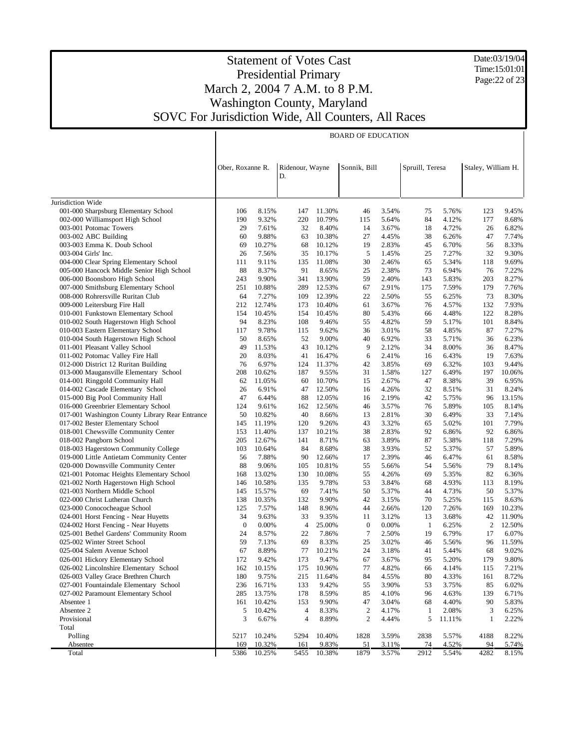Date:03/19/04 Time:15:01:01 Page:22 of 23

|                                                                                         | <b>BOARD OF EDUCATION</b> |                 |                 |                  |                  |                |                 |                |                    |                 |
|-----------------------------------------------------------------------------------------|---------------------------|-----------------|-----------------|------------------|------------------|----------------|-----------------|----------------|--------------------|-----------------|
|                                                                                         |                           |                 |                 |                  |                  |                |                 |                |                    |                 |
|                                                                                         |                           |                 |                 |                  |                  |                |                 |                |                    |                 |
|                                                                                         | Ober, Roxanne R.          |                 | Ridenour, Wayne |                  | Sonnik, Bill     |                | Spruill, Teresa |                | Staley, William H. |                 |
|                                                                                         |                           |                 | D.              |                  |                  |                |                 |                |                    |                 |
|                                                                                         |                           |                 |                 |                  |                  |                |                 |                |                    |                 |
|                                                                                         |                           |                 |                 |                  |                  |                |                 |                |                    |                 |
| Jurisdiction Wide                                                                       |                           |                 |                 |                  |                  |                |                 |                |                    |                 |
| 001-000 Sharpsburg Elementary School                                                    | 106                       | 8.15%           | 147             | 11.30%           | 46               | 3.54%          | 75              | 5.76%          | 123                | 9.45%           |
| 002-000 Williamsport High School                                                        | 190                       | 9.32%           | 220             | 10.79%           | 115              | 5.64%          | 84              | 4.12%          | 177                | 8.68%           |
| 003-001 Potomac Towers                                                                  | 29                        | 7.61%           | 32              | 8.40%            | 14               | 3.67%          | 18              | 4.72%          | 26                 | 6.82%           |
| 003-002 ABC Building                                                                    | 60                        | 9.88%           | 63              | 10.38%           | 27               | 4.45%          | 38              | 6.26%          | 47                 | 7.74%           |
| 003-003 Emma K. Doub School                                                             | 69                        | 10.27%          | 68              | 10.12%           | 19               | 2.83%          | 45              | 6.70%          | 56                 | 8.33%           |
| 003-004 Girls' Inc.<br>004-000 Clear Spring Elementary School                           | 26<br>111                 | 7.56%<br>9.11%  | 35<br>135       | 10.17%<br>11.08% | 5<br>30          | 1.45%<br>2.46% | 25<br>65        | 7.27%<br>5.34% | 32<br>118          | 9.30%<br>9.69%  |
| 005-000 Hancock Middle Senior High School                                               | 88                        | 8.37%           | 91              | 8.65%            | 25               | 2.38%          | 73              | 6.94%          | 76                 | 7.22%           |
| 006-000 Boonsboro High School                                                           | 243                       | 9.90%           | 341             | 13.90%           | 59               | 2.40%          | 143             | 5.83%          | 203                | 8.27%           |
| 007-000 Smithsburg Elementary School                                                    | 251                       | 10.88%          | 289             | 12.53%           | 67               | 2.91%          | 175             | 7.59%          | 179                | 7.76%           |
| 008-000 Rohrersville Ruritan Club                                                       | 64                        | 7.27%           | 109             | 12.39%           | 22               | 2.50%          | 55              | 6.25%          | 73                 | 8.30%           |
| 009-000 Leitersburg Fire Hall                                                           | 212                       | 12.74%          | 173             | 10.40%           | 61               | 3.67%          | 76              | 4.57%          | 132                | 7.93%           |
| 010-001 Funkstown Elementary School                                                     | 154                       | 10.45%          | 154             | 10.45%           | 80               | 5.43%          | 66              | 4.48%          | 122                | 8.28%           |
| 010-002 South Hagerstown High School                                                    | 94                        | 8.23%           | 108             | 9.46%            | 55               | 4.82%          | 59              | 5.17%          | 101                | 8.84%           |
| 010-003 Eastern Elementary School                                                       | 117                       | 9.78%           | 115             | 9.62%            | 36               | 3.01%          | 58              | 4.85%          | 87                 | 7.27%           |
| 010-004 South Hagerstown High School                                                    | 50                        | 8.65%           | 52              | 9.00%            | 40               | 6.92%          | 33              | 5.71%          | 36                 | 6.23%           |
| 011-001 Pleasant Valley School                                                          | 49                        | 11.53%          | 43              | 10.12%           | 9                | 2.12%          | 34              | 8.00%          | 36                 | 8.47%           |
| 011-002 Potomac Valley Fire Hall                                                        | 20                        | 8.03%           | 41              | 16.47%           | 6                | 2.41%          | 16              | 6.43%          | 19                 | 7.63%           |
| 012-000 District 12 Ruritan Building                                                    | 76                        | 6.97%           | 124             | 11.37%           | 42               | 3.85%          | 69              | 6.32%          | 103                | 9.44%           |
| 013-000 Maugansville Elementary School                                                  | 208                       | 10.62%          | 187             | 9.55%            | 31               | 1.58%          | 127             | 6.49%          | 197                | 10.06%          |
| 014-001 Ringgold Community Hall                                                         | 62                        | 11.05%          | 60              | 10.70%           | 15               | 2.67%          | 47              | 8.38%          | 39                 | 6.95%           |
| 014-002 Cascade Elementary School                                                       | 26                        | 6.91%           | 47              | 12.50%           | 16               | 4.26%          | 32              | 8.51%          | 31                 | 8.24%           |
| 015-000 Big Pool Community Hall                                                         | 47                        | 6.44%           | 88              | 12.05%           | 16               | 2.19%          | 42              | 5.75%          | 96                 | 13.15%          |
| 016-000 Greenbrier Elementary School<br>017-001 Washington County Library Rear Entrance | 124<br>50                 | 9.61%<br>10.82% | 162<br>40       | 12.56%<br>8.66%  | 46<br>13         | 3.57%<br>2.81% | 76<br>30        | 5.89%<br>6.49% | 105<br>33          | 8.14%<br>7.14%  |
| 017-002 Bester Elementary School                                                        | 145                       | 11.19%          | 120             | 9.26%            | 43               | 3.32%          | 65              | 5.02%          | 101                | 7.79%           |
| 018-001 Chewsville Community Center                                                     | 153                       | 11.40%          | 137             | 10.21%           | 38               | 2.83%          | 92              | 6.86%          | 92                 | 6.86%           |
| 018-002 Pangborn School                                                                 | 205                       | 12.67%          | 141             | 8.71%            | 63               | 3.89%          | 87              | 5.38%          | 118                | 7.29%           |
| 018-003 Hagerstown Community College                                                    | 103                       | 10.64%          | 84              | 8.68%            | 38               | 3.93%          | 52              | 5.37%          | 57                 | 5.89%           |
| 019-000 Little Antietam Community Center                                                | 56                        | 7.88%           | 90              | 12.66%           | 17               | 2.39%          | 46              | 6.47%          | 61                 | 8.58%           |
| 020-000 Downsville Community Center                                                     | 88                        | 9.06%           | 105             | 10.81%           | 55               | 5.66%          | 54              | 5.56%          | 79                 | 8.14%           |
| 021-001 Potomac Heights Elementary School                                               | 168                       | 13.02%          | 130             | 10.08%           | 55               | 4.26%          | 69              | 5.35%          | 82                 | 6.36%           |
| 021-002 North Hagerstown High School                                                    | 146                       | 10.58%          | 135             | 9.78%            | 53               | 3.84%          | 68              | 4.93%          | 113                | 8.19%           |
| 021-003 Northern Middle School                                                          | 145                       | 15.57%          | 69              | 7.41%            | 50               | 5.37%          | 44              | 4.73%          | 50                 | 5.37%           |
| 022-000 Christ Lutheran Church                                                          | 138                       | 10.35%          | 132             | 9.90%            | 42               | 3.15%          | 70              | 5.25%          | 115                | 8.63%           |
| 023-000 Conococheague School                                                            | 125                       | 7.57%           | 148             | 8.96%            | 44               | 2.66%          | 120             | 7.26%          | 169                | 10.23%          |
| 024-001 Horst Fencing - Near Huyetts                                                    | 34                        | 9.63%           | 33              | 9.35%            | 11               | 3.12%          | 13              | 3.68%          | 42                 | 11.90%          |
| 024-002 Horst Fencing - Near Huyetts                                                    | $\boldsymbol{0}$          | 0.00%           | 4               | 25.00%           | $\boldsymbol{0}$ | 0.00%          | -1              | 6.25%          | $\overline{2}$     | 12.50%          |
| 025-001 Bethel Gardens' Community Room                                                  | 24                        | 8.57%           | 22              | 7.86%            | 7                | 2.50%          | 19              | 6.79%          | 17                 | 6.07%           |
| 025-002 Winter Street School                                                            | 59<br>67                  | 7.13%<br>8.89%  | 69              | 8.33%            | 25               | 3.02%<br>3.18% | 46              | 5.56%          | 96                 | 11.59%<br>9.02% |
| 025-004 Salem Avenue School<br>026-001 Hickory Elementary School                        | 172                       | 9.42%           | 77<br>173       | 10.21%<br>9.47%  | 24               | 3.67%          | 41<br>95        | 5.44%<br>5.20% | 68<br>179          | 9.80%           |
| 026-002 Lincolnshire Elementary School                                                  | 162                       | 10.15%          | 175             | 10.96%           | 67<br>77         | 4.82%          | 66              | 4.14%          | 115                | 7.21%           |
| 026-003 Valley Grace Brethren Church                                                    | 180                       | 9.75%           | 215             | 11.64%           | 84               | 4.55%          | 80              | 4.33%          | 161                | 8.72%           |
| 027-001 Fountaindale Elementary School                                                  | 236                       | 16.71%          | 133             | 9.42%            | 55               | 3.90%          | 53              | 3.75%          | 85                 | 6.02%           |
| 027-002 Paramount Elementary School                                                     | 285                       | 13.75%          | 178             | 8.59%            | 85               | 4.10%          | 96              | 4.63%          | 139                | 6.71%           |
| Absentee 1                                                                              | 161                       | 10.42%          | 153             | 9.90%            | 47               | 3.04%          | 68              | 4.40%          | 90                 | 5.83%           |
| Absentee 2                                                                              | 5                         | 10.42%          | 4               | 8.33%            | $\boldsymbol{2}$ | 4.17%          | 1               | 2.08%          | 3                  | 6.25%           |
| Provisional                                                                             | 3                         | 6.67%           | 4               | 8.89%            | 2                | 4.44%          | 5               | 11.11%         | 1                  | 2.22%           |
| Total                                                                                   |                           |                 |                 |                  |                  |                |                 |                |                    |                 |
| Polling                                                                                 | 5217                      | 10.24%          | 5294            | 10.40%           | 1828             | 3.59%          | 2838            | 5.57%          | 4188               | 8.22%           |
| Absentee                                                                                | 169                       | 10.32%          | 161             | 9.83%            | 51               | 3.11%          | 74              | 4.52%          | 94                 | 5.74%           |
| Total                                                                                   | 5386                      | 10.25%          | 5455            | 10.38%           | 1879             | 3.57%          | 2912            | 5.54%          | 4282               | 8.15%           |